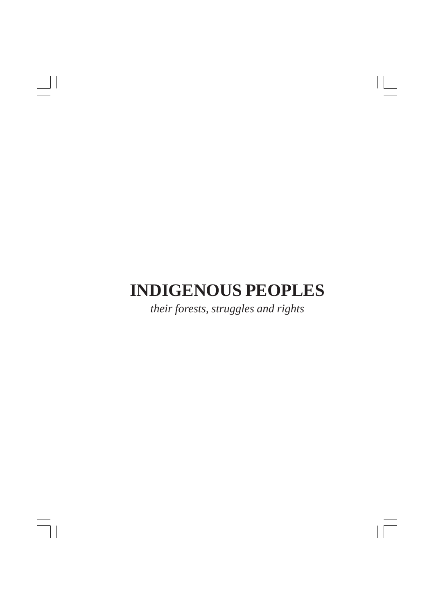# **INDIGENOUS PEOPLES**

 $\sqrt{1}$ 

 $\begin{array}{c|c|c|c} & \multicolumn{3}{c|}{\phantom{-}} \\ \hline \multicolumn{3}{c|}{\phantom{-}} & \multicolumn{3}{c|}{\phantom{-}} \\ \hline \multicolumn{3}{c|}{\phantom{-}} & \multicolumn{3}{c|}{\phantom{-}} \\ \hline \multicolumn{3}{c|}{\phantom{-}} & \multicolumn{3}{c|}{\phantom{-}} \\ \hline \multicolumn{3}{c|}{\phantom{-}} & \multicolumn{3}{c|}{\phantom{-}} \\ \hline \multicolumn{3}{c|}{\phantom{-}} & \multicolumn{3}{c|}{\phantom{-}} \\ \hline \multicolumn{3}{c|}{\phant$ 

 $\overline{\overline{\overline{1}}}$ 

*their forests, struggles and rights*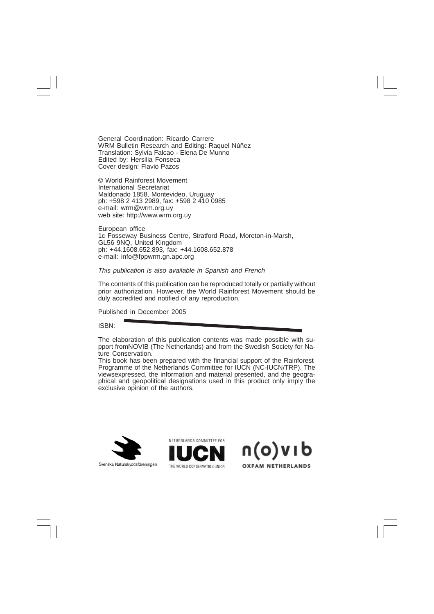General Coordination: Ricardo Carrere WRM Bulletin Research and Editing: Raquel Núñez Translation: Sylvia Falcao - Elena De Munno Edited by: Hersilia Fonseca Cover design: Flavio Pazos

© World Rainforest Movement International Secretariat Maldonado 1858, Montevideo, Uruguay ph: +598 2 413 2989, fax: +598 2 410 0985 e-mail: wrm@wrm.org.uy web site: http://www.wrm.org.uy

European office 1c Fosseway Business Centre, Stratford Road, Moreton-in-Marsh, GL56 9NQ, United Kingdom ph: +44.1608.652.893, fax: +44.1608.652.878 e-mail: info@fppwrm.gn.apc.org

*This publication is also available in Spanish and French*

The contents of this publication can be reproduced totally or partially without prior authorization. However, the World Rainforest Movement should be duly accredited and notified of any reproduction.

Published in December 2005

ISBN:

The elaboration of this publication contents was made possible with support fromNOVIB (The Netherlands) and from the Swedish Society for Nature Conservation.

This book has been prepared with the financial support of the Rainforest Programme of the Netherlands Committee for IUCN (NC-IUCN/TRP). The viewsexpressed, the information and material presented, and the geographical and geopolitical designations used in this product only imply the exclusive opinion of the authors.





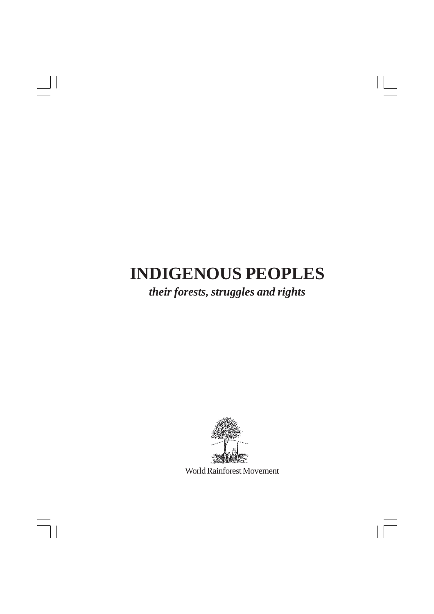# **INDIGENOUS PEOPLES**

 $\sqrt{2}$ 

 $\Box$ l

*their forests, struggles and rights*

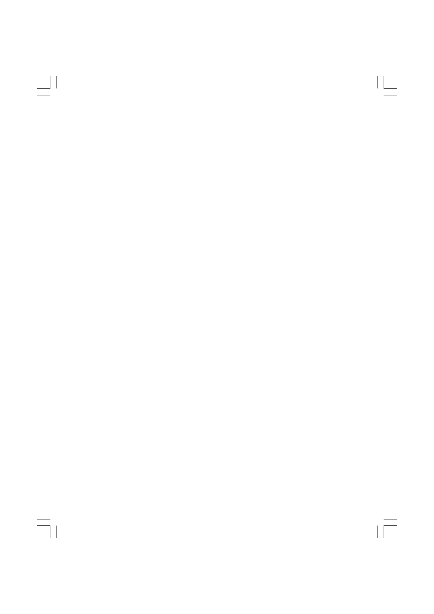$\frac{1}{1-\alpha}$ 

 $\frac{1}{\sqrt{2}}$ 

 $\begin{array}{c} \hline \hline \hline \hline \hline \end{array}$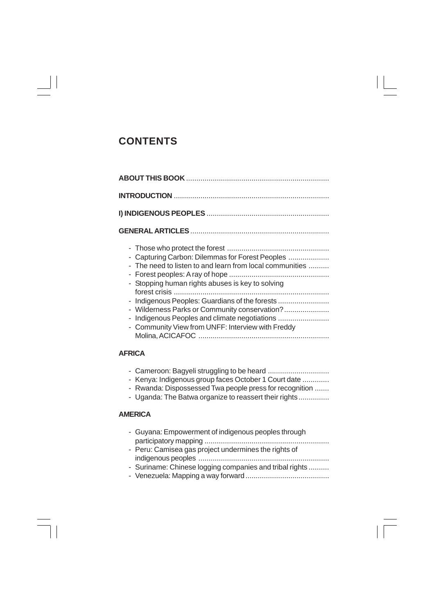## **CONTENTS**

 $\Box$ l

| - Capturing Carbon: Dilemmas for Forest Peoples<br>- The need to listen to and learn from local communities<br>- Stopping human rights abuses is key to solving<br>- Indigenous Peoples: Guardians of the forests<br>- Wilderness Parks or Community conservation?<br>- Indigenous Peoples and climate negotiations<br>- Community View from UNFF: Interview with Freddy |
|--------------------------------------------------------------------------------------------------------------------------------------------------------------------------------------------------------------------------------------------------------------------------------------------------------------------------------------------------------------------------|
| <b>AFRICA</b>                                                                                                                                                                                                                                                                                                                                                            |
| - Kenya: Indigenous group faces October 1 Court date<br>- Rwanda: Dispossessed Twa people press for recognition<br>- Uganda: The Batwa organize to reassert their rights                                                                                                                                                                                                 |

 $\mathbb{R}$ 

## **AMERICA**

| - Guyana: Empowerment of indigenous peoples through     |
|---------------------------------------------------------|
|                                                         |
| - Peru: Camisea gas project undermines the rights of    |
|                                                         |
| - Suriname: Chinese logging companies and tribal rights |

- Venezuela: Mapping a way forward.........................................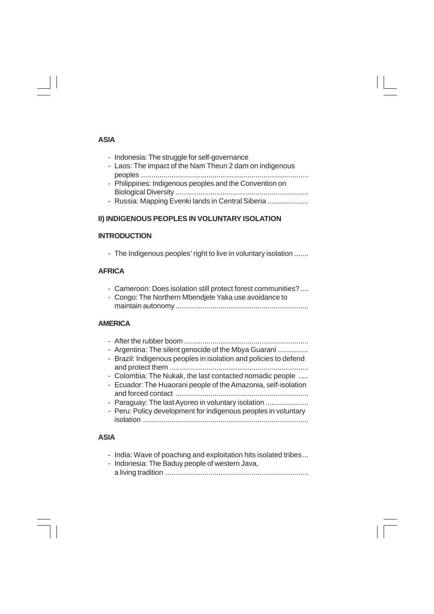## **ASIA**

- Indonesia: The struggle for self-governance
- Laos: The impact of the Nam Theun 2 dam on indigenous peoples ..................................................................................
- Philippines: Indigenous peoples and the Convention on Biological Diversity .................................................................
- Russia: Mapping Evenki lands in Central Siberia ...................

#### **II) INDIGENOUS PEOPLES IN VOLUNTARY ISOLATION**

## **INTRODUCTION**

- The Indigenous peoples' right to live in voluntary isolation .......

## **AFRICA**

- Cameroon: Does isolation still protect forest communities? ....
- Congo: The Northern Mbendjele Yaka use avoidance to maintain autonomy .................................................................

### **AMERICA**

- After the rubber boom .............................................................
- Argentina: The silent genocide of the Mbya Guarani ............... - Brazil: Indigenous peoples in isolation and policies to defend
- and protect them ....................................................................
- Colombia: The Nukak, the last contacted nomadic people .....
- Ecuador: The Huaorani people of the Amazonia, self-isolation and forced contact .................................................................
- Paraguay: The last Ayoreo in voluntary isolation .....................
- Peru: Policy development for indigenous peoples in voluntary isolation .................................................................................

#### **ASIA**

- India: Wave of poaching and exploitation hits isolated tribes...
- Indonesia: The Baduy people of western Java, a living tradition ......................................................................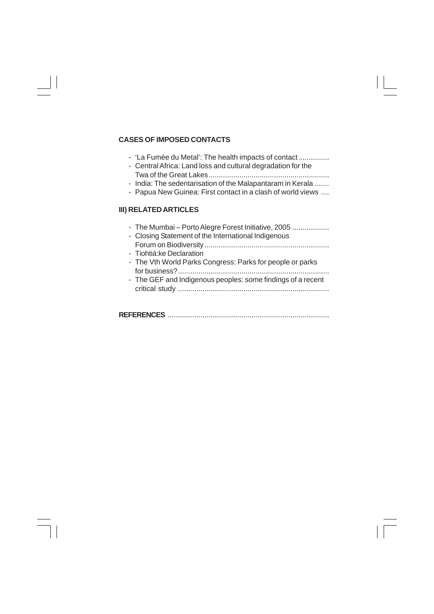## **CASES OF IMPOSED CONTACTS**

- 'La Fumée du Metal': The health impacts of contact...............
- Central Africa: Land loss and cultural degradation for the Twa of the Great Lakes...........................................................
- India: The sedentarisation of the Malapantaram in Kerala .......
- Papua New Guinea: First contact in a clash of world views ....

## **III) RELATED ARTICLES**

- The Mumbai Porto Alegre Forest Initiative, 2005 .................
- Closing Statement of the International Indigenous Forum on Biodiversity.............................................................
- Tiohtiá:ke Declaration
- The Vth World Parks Congress: Parks for people or parks for business?..........................................................................
- The GEF and Indigenous peoples: some findings of a recent critical study ..........................................................................
- **REFERENCES** ...............................................................................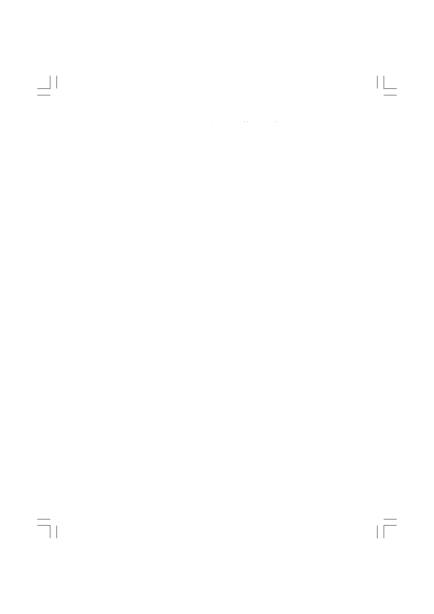$\mathbf{r}$ 

# 8 *INDIGENOUS PEOPLES their forests, struggles and rights*

 $\sqrt{-}$  $\frac{1}{\sqrt{2}}\int_{\mathbb{R}^{3}}\left( \int_{\mathbb{R}^{3}}\left( \int_{\mathbb{R}^{3}}\left( \int_{\mathbb{R}^{3}}\right) \right) \left( \int_{\mathbb{R}^{3}}\left( \int_{\mathbb{R}^{3}}\right) \right) \left( \int_{\mathbb{R}^{3}}\left( \int_{\mathbb{R}^{3}}\left( \int_{\mathbb{R}^{3}}\right) \right) \left( \int_{\mathbb{R}^{3}}\left( \int_{\mathbb{R}^{3}}\left( \int_{\mathbb{R}^{3}}\right) \right) \left( \int_{\mathbb$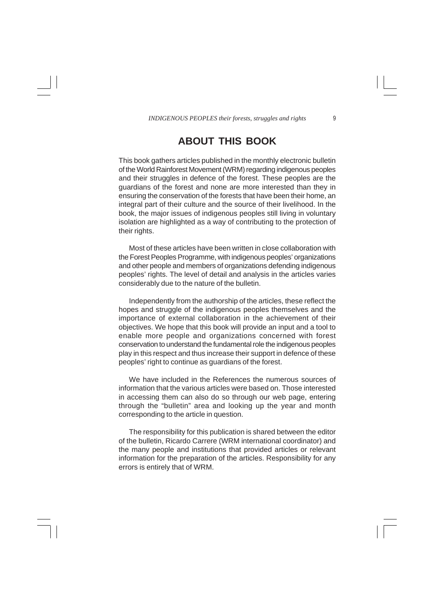## **ABOUT THIS BOOK**

This book gathers articles published in the monthly electronic bulletin of the World Rainforest Movement (WRM) regarding indigenous peoples and their struggles in defence of the forest. These peoples are the guardians of the forest and none are more interested than they in ensuring the conservation of the forests that have been their home, an integral part of their culture and the source of their livelihood. In the book, the major issues of indigenous peoples still living in voluntary isolation are highlighted as a way of contributing to the protection of their rights.

Most of these articles have been written in close collaboration with the Forest Peoples Programme, with indigenous peoples' organizations and other people and members of organizations defending indigenous peoples' rights. The level of detail and analysis in the articles varies considerably due to the nature of the bulletin.

Independently from the authorship of the articles, these reflect the hopes and struggle of the indigenous peoples themselves and the importance of external collaboration in the achievement of their objectives. We hope that this book will provide an input and a tool to enable more people and organizations concerned with forest conservation to understand the fundamental role the indigenous peoples play in this respect and thus increase their support in defence of these peoples' right to continue as guardians of the forest.

We have included in the References the numerous sources of information that the various articles were based on. Those interested in accessing them can also do so through our web page, entering through the "bulletin" area and looking up the year and month corresponding to the article in question.

The responsibility for this publication is shared between the editor of the bulletin, Ricardo Carrere (WRM international coordinator) and the many people and institutions that provided articles or relevant information for the preparation of the articles. Responsibility for any errors is entirely that of WRM.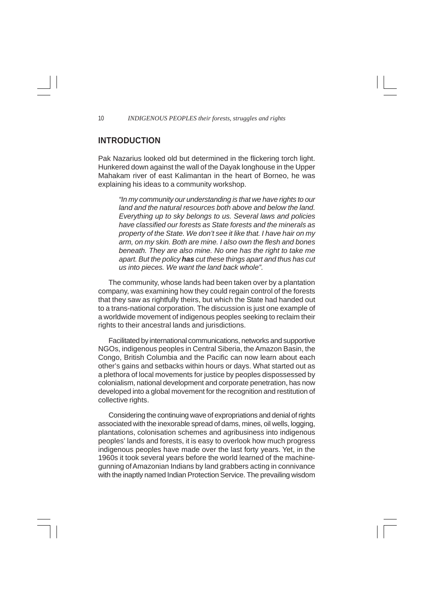## **INTRODUCTION**

Pak Nazarius looked old but determined in the flickering torch light. Hunkered down against the wall of the Dayak longhouse in the Upper Mahakam river of east Kalimantan in the heart of Borneo, he was explaining his ideas to a community workshop.

*"In my community our understanding is that we have rights to our land and the natural resources both above and below the land. Everything up to sky belongs to us. Several laws and policies have classified our forests as State forests and the minerals as property of the State. We don't see it like that. I have hair on my arm, on my skin. Both are mine. I also own the flesh and bones beneath. They are also mine. No one has the right to take me apart. But the policy has cut these things apart and thus has cut us into pieces. We want the land back whole".*

The community, whose lands had been taken over by a plantation company, was examining how they could regain control of the forests that they saw as rightfully theirs, but which the State had handed out to a trans-national corporation. The discussion is just one example of a worldwide movement of indigenous peoples seeking to reclaim their rights to their ancestral lands and jurisdictions.

Facilitated by international communications, networks and supportive NGOs, indigenous peoples in Central Siberia, the Amazon Basin, the Congo, British Columbia and the Pacific can now learn about each other's gains and setbacks within hours or days. What started out as a plethora of local movements for justice by peoples dispossessed by colonialism, national development and corporate penetration, has now developed into a global movement for the recognition and restitution of collective rights.

Considering the continuing wave of expropriations and denial of rights associated with the inexorable spread of dams, mines, oil wells, logging, plantations, colonisation schemes and agribusiness into indigenous peoples' lands and forests, it is easy to overlook how much progress indigenous peoples have made over the last forty years. Yet, in the 1960s it took several years before the world learned of the machinegunning of Amazonian Indians by land grabbers acting in connivance with the inaptly named Indian Protection Service. The prevailing wisdom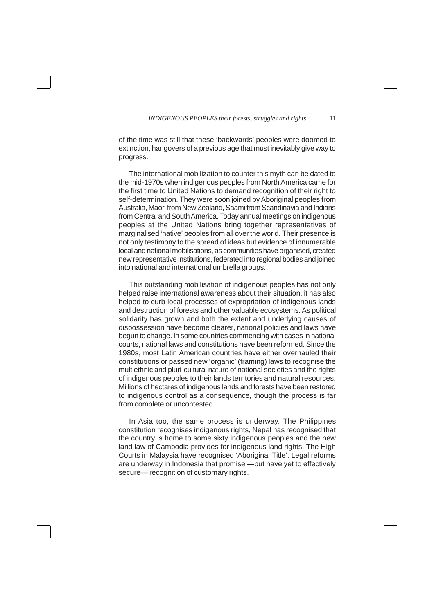of the time was still that these 'backwards' peoples were doomed to extinction, hangovers of a previous age that must inevitably give way to progress.

The international mobilization to counter this myth can be dated to the mid-1970s when indigenous peoples from North America came for the first time to United Nations to demand recognition of their right to self-determination. They were soon joined by Aboriginal peoples from Australia, Maori from New Zealand, Saami from Scandinavia and Indians from Central and South America. Today annual meetings on indigenous peoples at the United Nations bring together representatives of marginalised 'native' peoples from all over the world. Their presence is not only testimony to the spread of ideas but evidence of innumerable local and national mobilisations, as communities have organised, created new representative institutions, federated into regional bodies and joined into national and international umbrella groups.

This outstanding mobilisation of indigenous peoples has not only helped raise international awareness about their situation, it has also helped to curb local processes of expropriation of indigenous lands and destruction of forests and other valuable ecosystems. As political solidarity has grown and both the extent and underlying causes of dispossession have become clearer, national policies and laws have begun to change. In some countries commencing with cases in national courts, national laws and constitutions have been reformed. Since the 1980s, most Latin American countries have either overhauled their constitutions or passed new 'organic' (framing) laws to recognise the multiethnic and pluri-cultural nature of national societies and the rights of indigenous peoples to their lands territories and natural resources. Millions of hectares of indigenous lands and forests have been restored to indigenous control as a consequence, though the process is far from complete or uncontested.

In Asia too, the same process is underway. The Philippines constitution recognises indigenous rights, Nepal has recognised that the country is home to some sixty indigenous peoples and the new land law of Cambodia provides for indigenous land rights. The High Courts in Malaysia have recognised 'Aboriginal Title'. Legal reforms are underway in Indonesia that promise —but have yet to effectively secure— recognition of customary rights.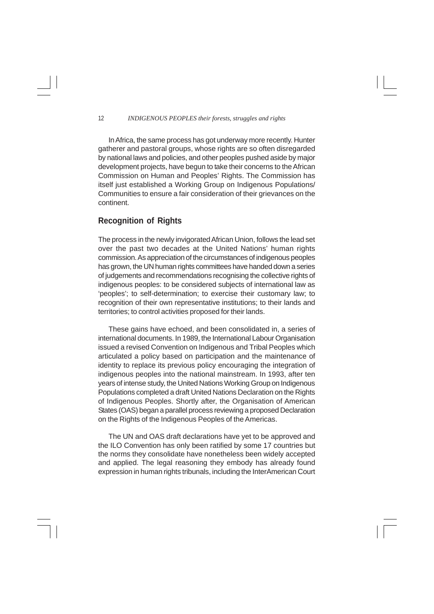In Africa, the same process has got underway more recently. Hunter gatherer and pastoral groups, whose rights are so often disregarded by national laws and policies, and other peoples pushed aside by major development projects, have begun to take their concerns to the African Commission on Human and Peoples' Rights. The Commission has itself just established a Working Group on Indigenous Populations/ Communities to ensure a fair consideration of their grievances on the continent.

## **Recognition of Rights**

The process in the newly invigorated African Union, follows the lead set over the past two decades at the United Nations' human rights commission. As appreciation of the circumstances of indigenous peoples has grown, the UN human rights committees have handed down a series of judgements and recommendations recognising the collective rights of indigenous peoples: to be considered subjects of international law as 'peoples'; to self-determination; to exercise their customary law; to recognition of their own representative institutions; to their lands and territories; to control activities proposed for their lands.

These gains have echoed, and been consolidated in, a series of international documents. In 1989, the International Labour Organisation issued a revised Convention on Indigenous and Tribal Peoples which articulated a policy based on participation and the maintenance of identity to replace its previous policy encouraging the integration of indigenous peoples into the national mainstream. In 1993, after ten years of intense study, the United Nations Working Group on Indigenous Populations completed a draft United Nations Declaration on the Rights of Indigenous Peoples. Shortly after, the Organisation of American States (OAS) began a parallel process reviewing a proposed Declaration on the Rights of the Indigenous Peoples of the Americas.

The UN and OAS draft declarations have yet to be approved and the ILO Convention has only been ratified by some 17 countries but the norms they consolidate have nonetheless been widely accepted and applied. The legal reasoning they embody has already found expression in human rights tribunals, including the InterAmerican Court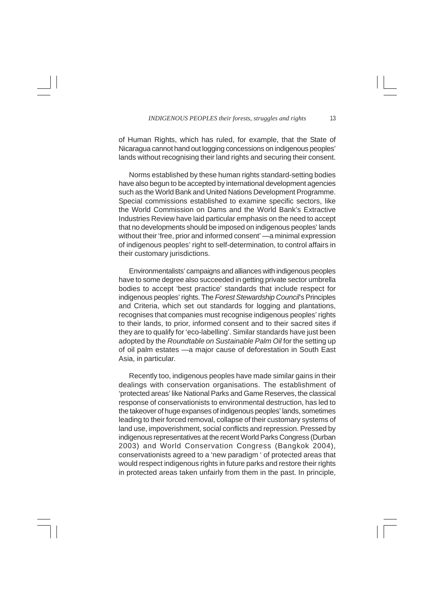of Human Rights, which has ruled, for example, that the State of Nicaragua cannot hand out logging concessions on indigenous peoples' lands without recognising their land rights and securing their consent.

Norms established by these human rights standard-setting bodies have also begun to be accepted by international development agencies such as the World Bank and United Nations Development Programme. Special commissions established to examine specific sectors, like the World Commission on Dams and the World Bank's Extractive Industries Review have laid particular emphasis on the need to accept that no developments should be imposed on indigenous peoples' lands without their 'free, prior and informed consent' —a minimal expression of indigenous peoples' right to self-determination, to control affairs in their customary jurisdictions.

Environmentalists' campaigns and alliances with indigenous peoples have to some degree also succeeded in getting private sector umbrella bodies to accept 'best practice' standards that include respect for indigenous peoples' rights. The *Forest Stewardship Council*'s Principles and Criteria, which set out standards for logging and plantations, recognises that companies must recognise indigenous peoples' rights to their lands, to prior, informed consent and to their sacred sites if they are to qualify for 'eco-labelling'. Similar standards have just been adopted by the *Roundtable on Sustainable Palm Oil* for the setting up of oil palm estates —a major cause of deforestation in South East Asia, in particular.

Recently too, indigenous peoples have made similar gains in their dealings with conservation organisations. The establishment of 'protected areas' like National Parks and Game Reserves, the classical response of conservationists to environmental destruction, has led to the takeover of huge expanses of indigenous peoples' lands, sometimes leading to their forced removal, collapse of their customary systems of land use, impoverishment, social conflicts and repression. Pressed by indigenous representatives at the recent World Parks Congress (Durban 2003) and World Conservation Congress (Bangkok 2004), conservationists agreed to a 'new paradigm ' of protected areas that would respect indigenous rights in future parks and restore their rights in protected areas taken unfairly from them in the past. In principle,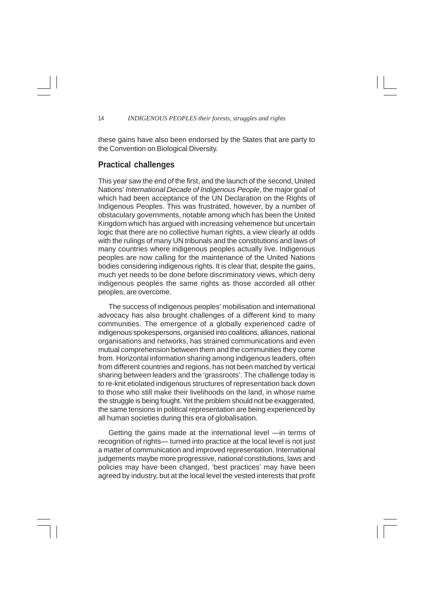these gains have also been endorsed by the States that are party to the Convention on Biological Diversity.

## **Practical challenges**

This year saw the end of the first, and the launch of the second, United Nations' *International Decade of Indigenous People*, the major goal of which had been acceptance of the UN Declaration on the Rights of Indigenous Peoples. This was frustrated, however, by a number of obstaculary governments, notable among which has been the United Kingdom which has argued with increasing vehemence but uncertain logic that there are no collective human rights, a view clearly at odds with the rulings of many UN tribunals and the constitutions and laws of many countries where indigenous peoples actually live. Indigenous peoples are now calling for the maintenance of the United Nations bodies considering indigenous rights. It is clear that, despite the gains, much yet needs to be done before discriminatory views, which deny indigenous peoples the same rights as those accorded all other peoples, are overcome.

The success of indigenous peoples' mobilisation and international advocacy has also brought challenges of a different kind to many communities. The emergence of a globally experienced cadre of indigenous spokespersons, organised into coalitions, alliances, national organisations and networks, has strained communications and even mutual comprehension between them and the communities they come from. Horizontal information sharing among indigenous leaders, often from different countries and regions, has not been matched by vertical sharing between leaders and the 'grassroots'. The challenge today is to re-knit etiolated indigenous structures of representation back down to those who still make their livelihoods on the land, in whose name the struggle is being fought. Yet the problem should not be exaggerated, the same tensions in political representation are being experienced by all human societies during this era of globalisation.

Getting the gains made at the international level —in terms of recognition of rights— turned into practice at the local level is not just a matter of communication and improved representation. International judgements maybe more progressive, national constitutions, laws and policies may have been changed, 'best practices' may have been agreed by industry, but at the local level the vested interests that profit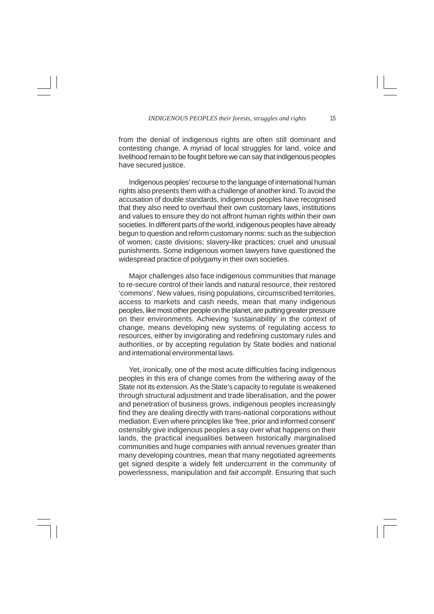from the denial of indigenous rights are often still dominant and contesting change. A myriad of local struggles for land, voice and livelihood remain to be fought before we can say that indigenous peoples have secured justice.

Indigenous peoples' recourse to the language of international human rights also presents them with a challenge of another kind. To avoid the accusation of double standards, indigenous peoples have recognised that they also need to overhaul their own customary laws, institutions and values to ensure they do not affront human rights within their own societies. In different parts of the world, indigenous peoples have already begun to question and reform customary norms: such as the subjection of women; caste divisions; slavery-like practices; cruel and unusual punishments. Some indigenous women lawyers have questioned the widespread practice of polygamy in their own societies.

Major challenges also face indigenous communities that manage to re-secure control of their lands and natural resource, their restored 'commons'. New values, rising populations, circumscribed territories, access to markets and cash needs, mean that many indigenous peoples, like most other people on the planet, are putting greater pressure on their environments. Achieving 'sustainability' in the context of change, means developing new systems of regulating access to resources, either by invigorating and redefining customary rules and authorities, or by accepting regulation by State bodies and national and international environmental laws.

Yet, ironically, one of the most acute difficulties facing indigenous peoples in this era of change comes from the withering away of the State not its extension. As the State's capacity to regulate is weakened through structural adjustment and trade liberalisation, and the power and penetration of business grows, indigenous peoples increasingly find they are dealing directly with trans-national corporations without mediation. Even where principles like 'free, prior and informed consent' ostensibly give indigenous peoples a say over what happens on their lands, the practical inequalities between historically marginalised communities and huge companies with annual revenues greater than many developing countries, mean that many negotiated agreements get signed despite a widely felt undercurrent in the community of powerlessness, manipulation and *fait accomplit*. Ensuring that such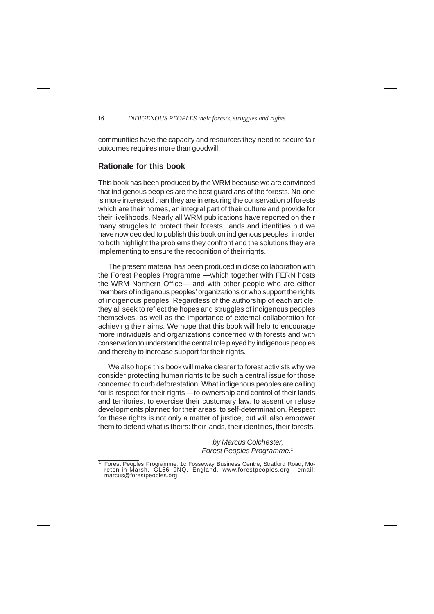communities have the capacity and resources they need to secure fair outcomes requires more than goodwill.

### **Rationale for this book**

This book has been produced by the WRM because we are convinced that indigenous peoples are the best guardians of the forests. No-one is more interested than they are in ensuring the conservation of forests which are their homes, an integral part of their culture and provide for their livelihoods. Nearly all WRM publications have reported on their many struggles to protect their forests, lands and identities but we have now decided to publish this book on indigenous peoples, in order to both highlight the problems they confront and the solutions they are implementing to ensure the recognition of their rights.

The present material has been produced in close collaboration with the Forest Peoples Programme —which together with FERN hosts the WRM Northern Office— and with other people who are either members of indigenous peoples' organizations or who support the rights of indigenous peoples. Regardless of the authorship of each article, they all seek to reflect the hopes and struggles of indigenous peoples themselves, as well as the importance of external collaboration for achieving their aims. We hope that this book will help to encourage more individuals and organizations concerned with forests and with conservation to understand the central role played by indigenous peoples and thereby to increase support for their rights.

We also hope this book will make clearer to forest activists why we consider protecting human rights to be such a central issue for those concerned to curb deforestation. What indigenous peoples are calling for is respect for their rights —to ownership and control of their lands and territories, to exercise their customary law, to assent or refuse developments planned for their areas, to self-determination. Respect for these rights is not only a matter of justice, but will also empower them to defend what is theirs: their lands, their identities, their forests.

> *by Marcus Colchester, Forest Peoples Programme.1*

<sup>&</sup>lt;sup>1</sup> Forest Peoples Programme, 1c Fosseway Business Centre, Stratford Road, Mo-<br>1 reton-in-Marsh, GL56 9NQ, England, www.forestpeoples.org email: reton-in-Marsh, GL56 9NQ, England. www.forestpeoples.org marcus@forestpeoples.org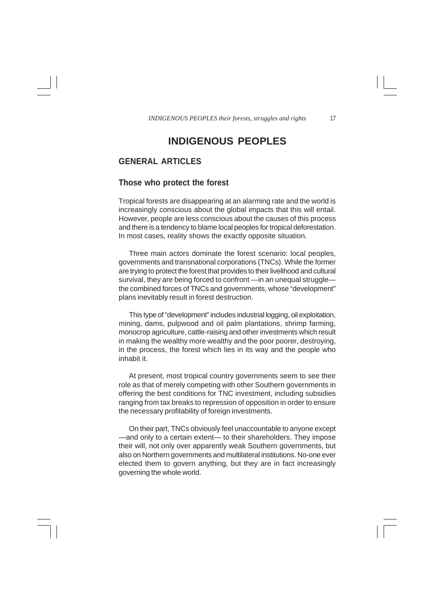## **INDIGENOUS PEOPLES**

## **GENERAL ARTICLES**

#### **Those who protect the forest**

Tropical forests are disappearing at an alarming rate and the world is increasingly conscious about the global impacts that this will entail. However, people are less conscious about the causes of this process and there is a tendency to blame local peoples for tropical deforestation. In most cases, reality shows the exactly opposite situation.

Three main actors dominate the forest scenario: local peoples, governments and transnational corporations (TNCs). While the former are trying to protect the forest that provides to their livelihood and cultural survival, they are being forced to confront —in an unequal struggle the combined forces of TNCs and governments, whose "development" plans inevitably result in forest destruction.

This type of "development" includes industrial logging, oil exploitation, mining, dams, pulpwood and oil palm plantations, shrimp farming, monocrop agriculture, cattle-raising and other investments which result in making the wealthy more wealthy and the poor poorer, destroying, in the process, the forest which lies in its way and the people who inhabit it.

At present, most tropical country governments seem to see their role as that of merely competing with other Southern governments in offering the best conditions for TNC investment, including subsidies ranging from tax breaks to repression of opposition in order to ensure the necessary profitability of foreign investments.

On their part, TNCs obviously feel unaccountable to anyone except —and only to a certain extent— to their shareholders. They impose their will, not only over apparently weak Southern governments, but also on Northern governments and multilateral institutions. No-one ever elected them to govern anything, but they are in fact increasingly governing the whole world.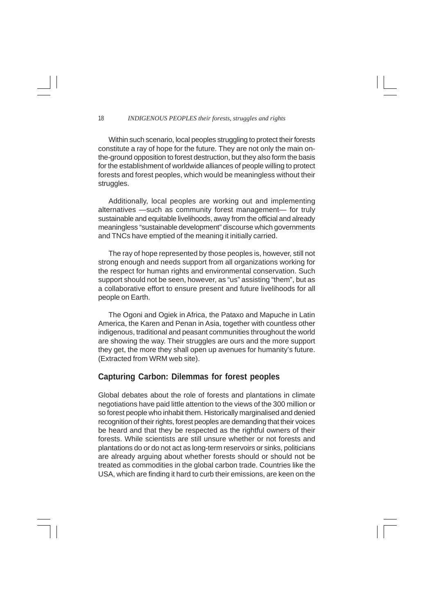Within such scenario, local peoples struggling to protect their forests constitute a ray of hope for the future. They are not only the main onthe-ground opposition to forest destruction, but they also form the basis for the establishment of worldwide alliances of people willing to protect forests and forest peoples, which would be meaningless without their struggles.

Additionally, local peoples are working out and implementing alternatives —such as community forest management— for truly sustainable and equitable livelihoods, away from the official and already meaningless "sustainable development" discourse which governments and TNCs have emptied of the meaning it initially carried.

The ray of hope represented by those peoples is, however, still not strong enough and needs support from all organizations working for the respect for human rights and environmental conservation. Such support should not be seen, however, as "us" assisting "them", but as a collaborative effort to ensure present and future livelihoods for all people on Earth.

The Ogoni and Ogiek in Africa, the Pataxo and Mapuche in Latin America, the Karen and Penan in Asia, together with countless other indigenous, traditional and peasant communities throughout the world are showing the way. Their struggles are ours and the more support they get, the more they shall open up avenues for humanity's future. (Extracted from WRM web site).

#### **Capturing Carbon: Dilemmas for forest peoples**

Global debates about the role of forests and plantations in climate negotiations have paid little attention to the views of the 300 million or so forest people who inhabit them. Historically marginalised and denied recognition of their rights, forest peoples are demanding that their voices be heard and that they be respected as the rightful owners of their forests. While scientists are still unsure whether or not forests and plantations do or do not act as long-term reservoirs or sinks, politicians are already arguing about whether forests should or should not be treated as commodities in the global carbon trade. Countries like the USA, which are finding it hard to curb their emissions, are keen on the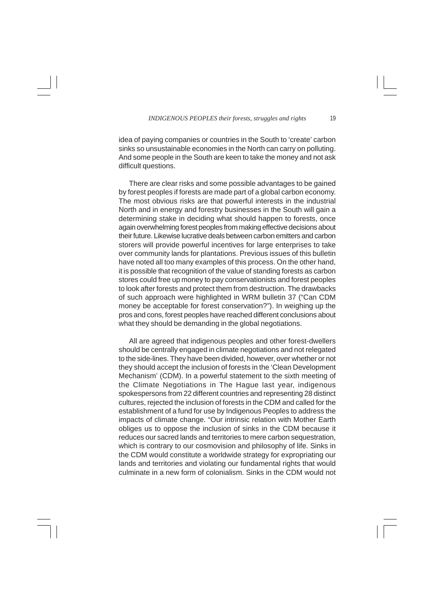idea of paying companies or countries in the South to 'create' carbon sinks so unsustainable economies in the North can carry on polluting. And some people in the South are keen to take the money and not ask difficult questions.

There are clear risks and some possible advantages to be gained by forest peoples if forests are made part of a global carbon economy. The most obvious risks are that powerful interests in the industrial North and in energy and forestry businesses in the South will gain a determining stake in deciding what should happen to forests, once again overwhelming forest peoples from making effective decisions about their future. Likewise lucrative deals between carbon emitters and carbon storers will provide powerful incentives for large enterprises to take over community lands for plantations. Previous issues of this bulletin have noted all too many examples of this process. On the other hand, it is possible that recognition of the value of standing forests as carbon stores could free up money to pay conservationists and forest peoples to look after forests and protect them from destruction. The drawbacks of such approach were highlighted in WRM bulletin 37 ("Can CDM money be acceptable for forest conservation?"). In weighing up the pros and cons, forest peoples have reached different conclusions about what they should be demanding in the global negotiations.

All are agreed that indigenous peoples and other forest-dwellers should be centrally engaged in climate negotiations and not relegated to the side-lines. They have been divided, however, over whether or not they should accept the inclusion of forests in the 'Clean Development Mechanism' (CDM). In a powerful statement to the sixth meeting of the Climate Negotiations in The Hague last year, indigenous spokespersons from 22 different countries and representing 28 distinct cultures, rejected the inclusion of forests in the CDM and called for the establishment of a fund for use by Indigenous Peoples to address the impacts of climate change. "Our intrinsic relation with Mother Earth obliges us to oppose the inclusion of sinks in the CDM because it reduces our sacred lands and territories to mere carbon sequestration, which is contrary to our cosmovision and philosophy of life. Sinks in the CDM would constitute a worldwide strategy for expropriating our lands and territories and violating our fundamental rights that would culminate in a new form of colonialism. Sinks in the CDM would not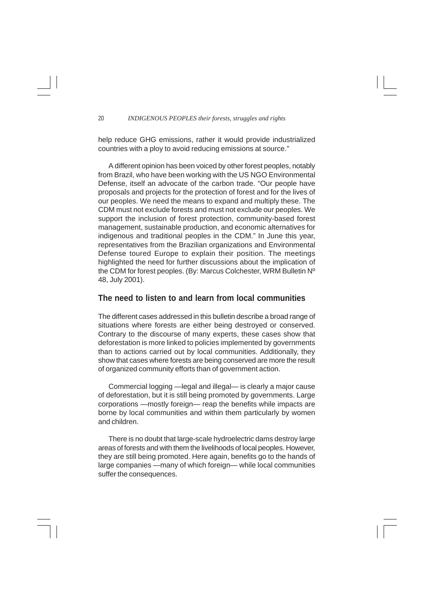help reduce GHG emissions, rather it would provide industrialized countries with a ploy to avoid reducing emissions at source."

A different opinion has been voiced by other forest peoples, notably from Brazil, who have been working with the US NGO Environmental Defense, itself an advocate of the carbon trade. "Our people have proposals and projects for the protection of forest and for the lives of our peoples. We need the means to expand and multiply these. The CDM must not exclude forests and must not exclude our peoples. We support the inclusion of forest protection, community-based forest management, sustainable production, and economic alternatives for indigenous and traditional peoples in the CDM." In June this year, representatives from the Brazilian organizations and Environmental Defense toured Europe to explain their position. The meetings highlighted the need for further discussions about the implication of the CDM for forest peoples. (By: Marcus Colchester, WRM Bulletin Nº 48, July 2001).

## **The need to listen to and learn from local communities**

The different cases addressed in this bulletin describe a broad range of situations where forests are either being destroyed or conserved. Contrary to the discourse of many experts, these cases show that deforestation is more linked to policies implemented by governments than to actions carried out by local communities. Additionally, they show that cases where forests are being conserved are more the result of organized community efforts than of government action.

Commercial logging —legal and illegal— is clearly a major cause of deforestation, but it is still being promoted by governments. Large corporations —mostly foreign— reap the benefits while impacts are borne by local communities and within them particularly by women and children.

There is no doubt that large-scale hydroelectric dams destroy large areas of forests and with them the livelihoods of local peoples. However, they are still being promoted. Here again, benefits go to the hands of large companies —many of which foreign— while local communities suffer the consequences.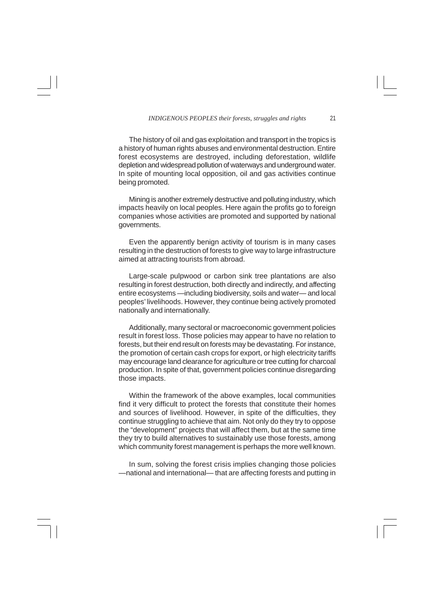The history of oil and gas exploitation and transport in the tropics is a history of human rights abuses and environmental destruction. Entire forest ecosystems are destroyed, including deforestation, wildlife depletion and widespread pollution of waterways and underground water. In spite of mounting local opposition, oil and gas activities continue being promoted.

Mining is another extremely destructive and polluting industry, which impacts heavily on local peoples. Here again the profits go to foreign companies whose activities are promoted and supported by national governments.

Even the apparently benign activity of tourism is in many cases resulting in the destruction of forests to give way to large infrastructure aimed at attracting tourists from abroad.

Large-scale pulpwood or carbon sink tree plantations are also resulting in forest destruction, both directly and indirectly, and affecting entire ecosystems —including biodiversity, soils and water— and local peoples' livelihoods. However, they continue being actively promoted nationally and internationally.

Additionally, many sectoral or macroeconomic government policies result in forest loss. Those policies may appear to have no relation to forests, but their end result on forests may be devastating. For instance, the promotion of certain cash crops for export, or high electricity tariffs may encourage land clearance for agriculture or tree cutting for charcoal production. In spite of that, government policies continue disregarding those impacts.

Within the framework of the above examples, local communities find it very difficult to protect the forests that constitute their homes and sources of livelihood. However, in spite of the difficulties, they continue struggling to achieve that aim. Not only do they try to oppose the "development" projects that will affect them, but at the same time they try to build alternatives to sustainably use those forests, among which community forest management is perhaps the more well known.

In sum, solving the forest crisis implies changing those policies —national and international— that are affecting forests and putting in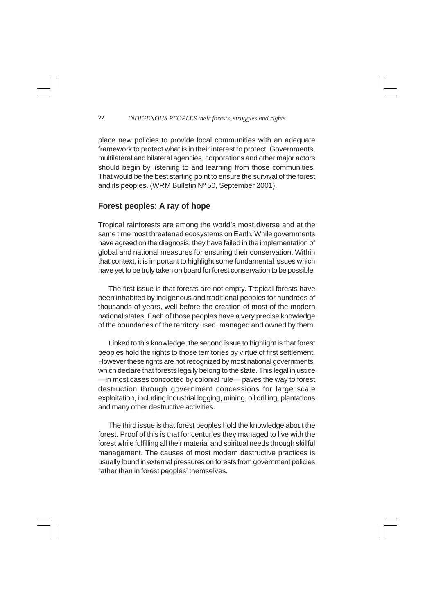place new policies to provide local communities with an adequate framework to protect what is in their interest to protect. Governments, multilateral and bilateral agencies, corporations and other major actors should begin by listening to and learning from those communities. That would be the best starting point to ensure the survival of the forest and its peoples. (WRM Bulletin Nº 50, September 2001).

## **Forest peoples: A ray of hope**

Tropical rainforests are among the world's most diverse and at the same time most threatened ecosystems on Earth. While governments have agreed on the diagnosis, they have failed in the implementation of global and national measures for ensuring their conservation. Within that context, it is important to highlight some fundamental issues which have yet to be truly taken on board for forest conservation to be possible.

The first issue is that forests are not empty. Tropical forests have been inhabited by indigenous and traditional peoples for hundreds of thousands of years, well before the creation of most of the modern national states. Each of those peoples have a very precise knowledge of the boundaries of the territory used, managed and owned by them.

Linked to this knowledge, the second issue to highlight is that forest peoples hold the rights to those territories by virtue of first settlement. However these rights are not recognized by most national governments, which declare that forests legally belong to the state. This legal injustice —in most cases concocted by colonial rule— paves the way to forest destruction through government concessions for large scale exploitation, including industrial logging, mining, oil drilling, plantations and many other destructive activities.

The third issue is that forest peoples hold the knowledge about the forest. Proof of this is that for centuries they managed to live with the forest while fulfilling all their material and spiritual needs through skillful management. The causes of most modern destructive practices is usually found in external pressures on forests from government policies rather than in forest peoples' themselves.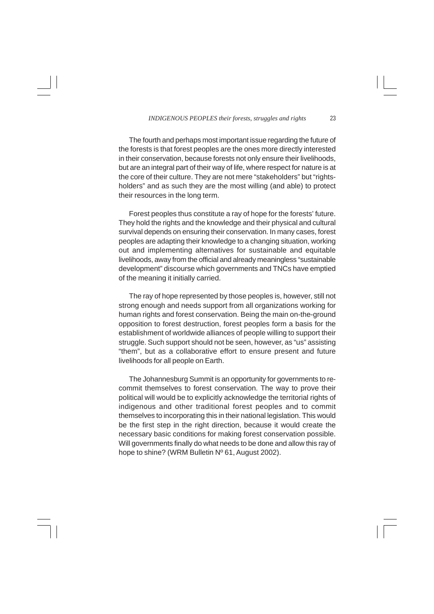The fourth and perhaps most important issue regarding the future of the forests is that forest peoples are the ones more directly interested in their conservation, because forests not only ensure their livelihoods, but are an integral part of their way of life, where respect for nature is at the core of their culture. They are not mere "stakeholders" but "rightsholders" and as such they are the most willing (and able) to protect their resources in the long term.

Forest peoples thus constitute a ray of hope for the forests' future. They hold the rights and the knowledge and their physical and cultural survival depends on ensuring their conservation. In many cases, forest peoples are adapting their knowledge to a changing situation, working out and implementing alternatives for sustainable and equitable livelihoods, away from the official and already meaningless "sustainable development" discourse which governments and TNCs have emptied of the meaning it initially carried.

The ray of hope represented by those peoples is, however, still not strong enough and needs support from all organizations working for human rights and forest conservation. Being the main on-the-ground opposition to forest destruction, forest peoples form a basis for the establishment of worldwide alliances of people willing to support their struggle. Such support should not be seen, however, as "us" assisting "them", but as a collaborative effort to ensure present and future livelihoods for all people on Earth.

The Johannesburg Summit is an opportunity for governments to recommit themselves to forest conservation. The way to prove their political will would be to explicitly acknowledge the territorial rights of indigenous and other traditional forest peoples and to commit themselves to incorporating this in their national legislation. This would be the first step in the right direction, because it would create the necessary basic conditions for making forest conservation possible. Will governments finally do what needs to be done and allow this ray of hope to shine? (WRM Bulletin Nº 61, August 2002).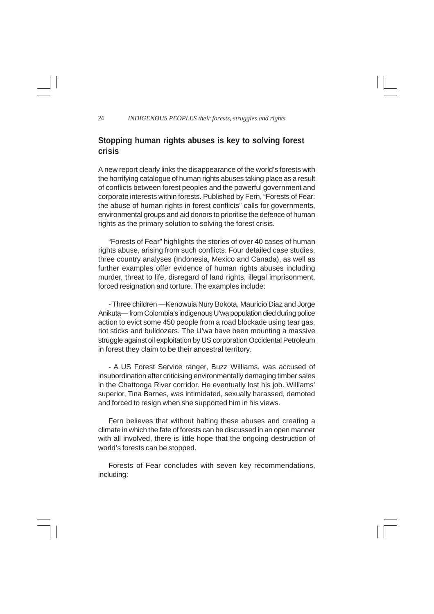## **Stopping human rights abuses is key to solving forest crisis**

A new report clearly links the disappearance of the world's forests with the horrifying catalogue of human rights abuses taking place as a result of conflicts between forest peoples and the powerful government and corporate interests within forests. Published by Fern, "Forests of Fear: the abuse of human rights in forest conflicts" calls for governments, environmental groups and aid donors to prioritise the defence of human rights as the primary solution to solving the forest crisis.

"Forests of Fear" highlights the stories of over 40 cases of human rights abuse, arising from such conflicts. Four detailed case studies, three country analyses (Indonesia, Mexico and Canada), as well as further examples offer evidence of human rights abuses including murder, threat to life, disregard of land rights, illegal imprisonment, forced resignation and torture. The examples include:

- Three children —Kenowuia Nury Bokota, Mauricio Diaz and Jorge Anikuta— from Colombia's indigenous U'wa population died during police action to evict some 450 people from a road blockade using tear gas, riot sticks and bulldozers. The U'wa have been mounting a massive struggle against oil exploitation by US corporation Occidental Petroleum in forest they claim to be their ancestral territory.

- A US Forest Service ranger, Buzz Williams, was accused of insubordination after criticising environmentally damaging timber sales in the Chattooga River corridor. He eventually lost his job. Williams' superior, Tina Barnes, was intimidated, sexually harassed, demoted and forced to resign when she supported him in his views.

Fern believes that without halting these abuses and creating a climate in which the fate of forests can be discussed in an open manner with all involved, there is little hope that the ongoing destruction of world's forests can be stopped.

Forests of Fear concludes with seven key recommendations, including: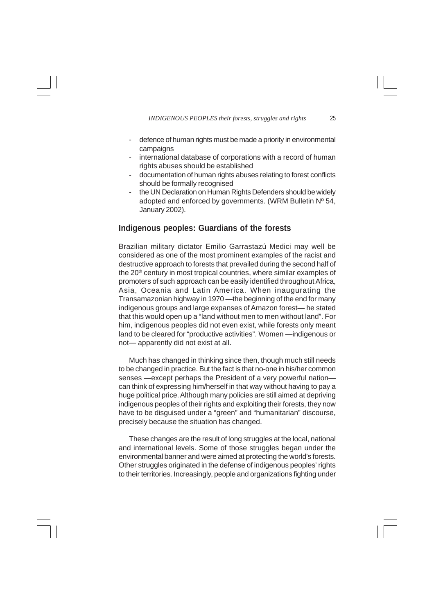- defence of human rights must be made a priority in environmental campaigns
- international database of corporations with a record of human rights abuses should be established
- documentation of human rights abuses relating to forest conflicts should be formally recognised
- the UN Declaration on Human Rights Defenders should be widely adopted and enforced by governments. (WRM Bulletin Nº 54, January 2002).

#### **Indigenous peoples: Guardians of the forests**

Brazilian military dictator Emilio Garrastazú Medici may well be considered as one of the most prominent examples of the racist and destructive approach to forests that prevailed during the second half of the 20<sup>th</sup> century in most tropical countries, where similar examples of promoters of such approach can be easily identified throughout Africa, Asia, Oceania and Latin America. When inaugurating the Transamazonian highway in 1970 —the beginning of the end for many indigenous groups and large expanses of Amazon forest— he stated that this would open up a "land without men to men without land". For him, indigenous peoples did not even exist, while forests only meant land to be cleared for "productive activities". Women —indigenous or not— apparently did not exist at all.

Much has changed in thinking since then, though much still needs to be changed in practice. But the fact is that no-one in his/her common senses —except perhaps the President of a very powerful nation can think of expressing him/herself in that way without having to pay a huge political price. Although many policies are still aimed at depriving indigenous peoples of their rights and exploiting their forests, they now have to be disguised under a "green" and "humanitarian" discourse, precisely because the situation has changed.

These changes are the result of long struggles at the local, national and international levels. Some of those struggles began under the environmental banner and were aimed at protecting the world's forests. Other struggles originated in the defense of indigenous peoples' rights to their territories. Increasingly, people and organizations fighting under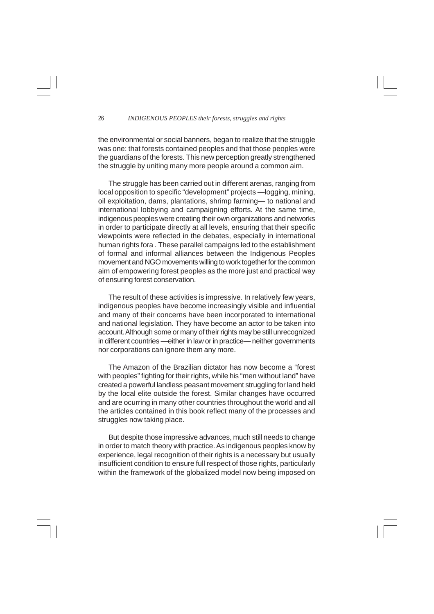the environmental or social banners, began to realize that the struggle was one: that forests contained peoples and that those peoples were the guardians of the forests. This new perception greatly strengthened the struggle by uniting many more people around a common aim.

The struggle has been carried out in different arenas, ranging from local opposition to specific "development" projects —logging, mining, oil exploitation, dams, plantations, shrimp farming— to national and international lobbying and campaigning efforts. At the same time, indigenous peoples were creating their own organizations and networks in order to participate directly at all levels, ensuring that their specific viewpoints were reflected in the debates, especially in international human rights fora . These parallel campaigns led to the establishment of formal and informal alliances between the Indigenous Peoples movement and NGO movements willing to work together for the common aim of empowering forest peoples as the more just and practical way of ensuring forest conservation.

The result of these activities is impressive. In relatively few years, indigenous peoples have become increasingly visible and influential and many of their concerns have been incorporated to international and national legislation. They have become an actor to be taken into account. Although some or many of their rights may be still unrecognized in different countries —either in law or in practice— neither governments nor corporations can ignore them any more.

The Amazon of the Brazilian dictator has now become a "forest with peoples" fighting for their rights, while his "men without land" have created a powerful landless peasant movement struggling for land held by the local elite outside the forest. Similar changes have occurred and are ocurring in many other countries throughout the world and all the articles contained in this book reflect many of the processes and struggles now taking place.

But despite those impressive advances, much still needs to change in order to match theory with practice. As indigenous peoples know by experience, legal recognition of their rights is a necessary but usually insufficient condition to ensure full respect of those rights, particularly within the framework of the globalized model now being imposed on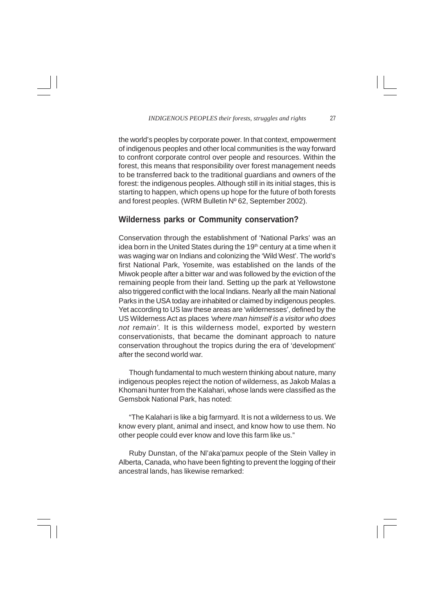the world's peoples by corporate power. In that context, empowerment of indigenous peoples and other local communities is the way forward to confront corporate control over people and resources. Within the forest, this means that responsibility over forest management needs to be transferred back to the traditional guardians and owners of the forest: the indigenous peoples. Although still in its initial stages, this is starting to happen, which opens up hope for the future of both forests and forest peoples. (WRM Bulletin Nº 62, September 2002).

#### **Wilderness parks or Community conservation?**

Conservation through the establishment of 'National Parks' was an idea born in the United States during the 19<sup>th</sup> century at a time when it was waging war on Indians and colonizing the 'Wild West'. The world's first National Park, Yosemite, was established on the lands of the Miwok people after a bitter war and was followed by the eviction of the remaining people from their land. Setting up the park at Yellowstone also triggered conflict with the local Indians. Nearly all the main National Parks in the USA today are inhabited or claimed by indigenous peoples. Yet according to US law these areas are 'wildernesses', defined by the US Wilderness Act as places *'where man himself is a visitor who does not remain'.* It is this wilderness model, exported by western conservationists, that became the dominant approach to nature conservation throughout the tropics during the era of 'development' after the second world war.

Though fundamental to much western thinking about nature, many indigenous peoples reject the notion of wilderness, as Jakob Malas a Khomani hunter from the Kalahari, whose lands were classified as the Gemsbok National Park, has noted:

"The Kalahari is like a big farmyard. It is not a wilderness to us. We know every plant, animal and insect, and know how to use them. No other people could ever know and love this farm like us."

Ruby Dunstan, of the Nl'aka'pamux people of the Stein Valley in Alberta, Canada, who have been fighting to prevent the logging of their ancestral lands, has likewise remarked: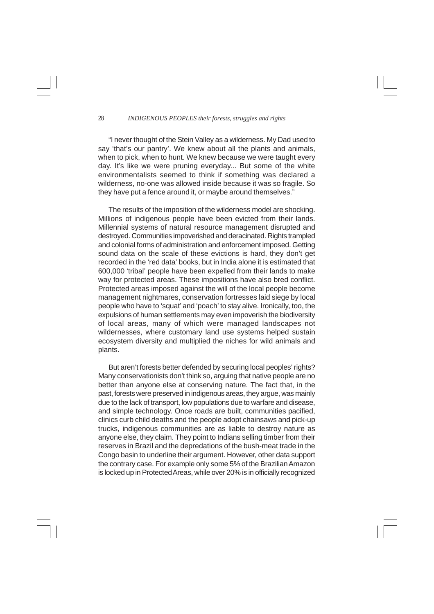"I never thought of the Stein Valley as a wilderness. My Dad used to say 'that's our pantry'. We knew about all the plants and animals, when to pick, when to hunt. We knew because we were taught every day. It's like we were pruning everyday... But some of the white environmentalists seemed to think if something was declared a wilderness, no-one was allowed inside because it was so fragile. So they have put a fence around it, or maybe around themselves."

The results of the imposition of the wilderness model are shocking. Millions of indigenous people have been evicted from their lands. Millennial systems of natural resource management disrupted and destroyed. Communities impoverished and deracinated. Rights trampled and colonial forms of administration and enforcement imposed. Getting sound data on the scale of these evictions is hard, they don't get recorded in the 'red data' books, but in India alone it is estimated that 600,000 'tribal' people have been expelled from their lands to make way for protected areas. These impositions have also bred conflict. Protected areas imposed against the will of the local people become management nightmares, conservation fortresses laid siege by local people who have to 'squat' and 'poach' to stay alive. Ironically, too, the expulsions of human settlements may even impoverish the biodiversity of local areas, many of which were managed landscapes not wildernesses, where customary land use systems helped sustain ecosystem diversity and multiplied the niches for wild animals and plants.

But aren't forests better defended by securing local peoples' rights? Many conservationists don't think so, arguing that native people are no better than anyone else at conserving nature. The fact that, in the past, forests were preserved in indigenous areas, they argue, was mainly due to the lack of transport, low populations due to warfare and disease, and simple technology. Once roads are built, communities pacified, clinics curb child deaths and the people adopt chainsaws and pick-up trucks, indigenous communities are as liable to destroy nature as anyone else, they claim. They point to Indians selling timber from their reserves in Brazil and the depredations of the bush-meat trade in the Congo basin to underline their argument. However, other data support the contrary case. For example only some 5% of the Brazilian Amazon is locked up in Protected Areas, while over 20% is in officially recognized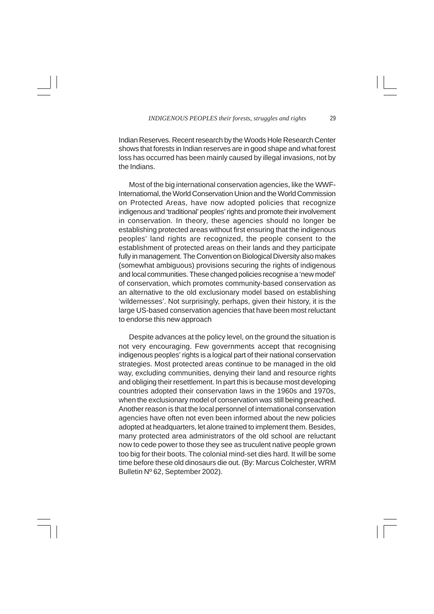Indian Reserves. Recent research by the Woods Hole Research Center shows that forests in Indian reserves are in good shape and what forest loss has occurred has been mainly caused by illegal invasions, not by the Indians.

Most of the big international conservation agencies, like the WWF-Internatiomal, the World Conservation Union and the World Commission on Protected Areas, have now adopted policies that recognize indigenous and 'traditional' peoples' rights and promote their involvement in conservation. In theory, these agencies should no longer be establishing protected areas without first ensuring that the indigenous peoples' land rights are recognized, the people consent to the establishment of protected areas on their lands and they participate fully in management. The Convention on Biological Diversity also makes (somewhat ambiguous) provisions securing the rights of indigenous and local communities. These changed policies recognise a 'new model' of conservation, which promotes community-based conservation as an alternative to the old exclusionary model based on establishing 'wildernesses'. Not surprisingly, perhaps, given their history, it is the large US-based conservation agencies that have been most reluctant to endorse this new approach

Despite advances at the policy level, on the ground the situation is not very encouraging. Few governments accept that recognising indigenous peoples' rights is a logical part of their national conservation strategies. Most protected areas continue to be managed in the old way, excluding communities, denying their land and resource rights and obliging their resettlement. In part this is because most developing countries adopted their conservation laws in the 1960s and 1970s, when the exclusionary model of conservation was still being preached. Another reason is that the local personnel of international conservation agencies have often not even been informed about the new policies adopted at headquarters, let alone trained to implement them. Besides, many protected area administrators of the old school are reluctant now to cede power to those they see as truculent native people grown too big for their boots. The colonial mind-set dies hard. It will be some time before these old dinosaurs die out. (By: Marcus Colchester, WRM Bulletin Nº 62, September 2002).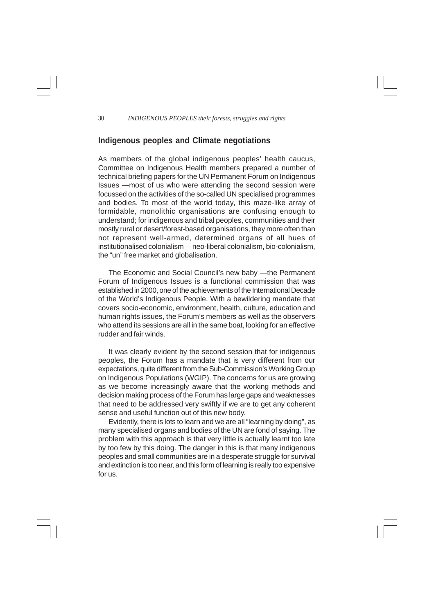## **Indigenous peoples and Climate negotiations**

As members of the global indigenous peoples' health caucus, Committee on Indigenous Health members prepared a number of technical briefing papers for the UN Permanent Forum on Indigenous Issues —most of us who were attending the second session were focussed on the activities of the so-called UN specialised programmes and bodies. To most of the world today, this maze-like array of formidable, monolithic organisations are confusing enough to understand; for indigenous and tribal peoples, communities and their mostly rural or desert/forest-based organisations, they more often than not represent well-armed, determined organs of all hues of institutionalised colonialism —neo-liberal colonialism, bio-colonialism, the "un" free market and globalisation.

The Economic and Social Council's new baby —the Permanent Forum of Indigenous Issues is a functional commission that was established in 2000, one of the achievements of the International Decade of the World's Indigenous People. With a bewildering mandate that covers socio-economic, environment, health, culture, education and human rights issues, the Forum's members as well as the observers who attend its sessions are all in the same boat, looking for an effective rudder and fair winds.

It was clearly evident by the second session that for indigenous peoples, the Forum has a mandate that is very different from our expectations, quite different from the Sub-Commission's Working Group on Indigenous Populations (WGIP). The concerns for us are growing as we become increasingly aware that the working methods and decision making process of the Forum has large gaps and weaknesses that need to be addressed very swiftly if we are to get any coherent sense and useful function out of this new body.

Evidently, there is lots to learn and we are all "learning by doing", as many specialised organs and bodies of the UN are fond of saying. The problem with this approach is that very little is actually learnt too late by too few by this doing. The danger in this is that many indigenous peoples and small communities are in a desperate struggle for survival and extinction is too near, and this form of learning is really too expensive for us.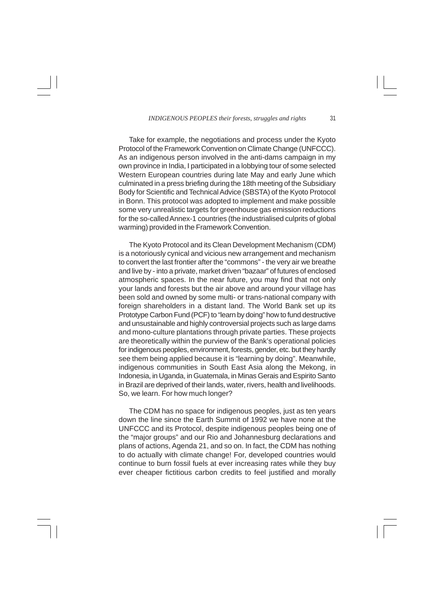Take for example, the negotiations and process under the Kyoto Protocol of the Framework Convention on Climate Change (UNFCCC). As an indigenous person involved in the anti-dams campaign in my own province in India, I participated in a lobbying tour of some selected Western European countries during late May and early June which culminated in a press briefing during the 18th meeting of the Subsidiary Body for Scientific and Technical Advice (SBSTA) of the Kyoto Protocol in Bonn. This protocol was adopted to implement and make possible some very unrealistic targets for greenhouse gas emission reductions for the so-called Annex-1 countries (the industrialised culprits of global warming) provided in the Framework Convention.

The Kyoto Protocol and its Clean Development Mechanism (CDM) is a notoriously cynical and vicious new arrangement and mechanism to convert the last frontier after the "commons" - the very air we breathe and live by - into a private, market driven "bazaar" of futures of enclosed atmospheric spaces. In the near future, you may find that not only your lands and forests but the air above and around your village has been sold and owned by some multi- or trans-national company with foreign shareholders in a distant land. The World Bank set up its Prototype Carbon Fund (PCF) to "learn by doing" how to fund destructive and unsustainable and highly controversial projects such as large dams and mono-culture plantations through private parties. These projects are theoretically within the purview of the Bank's operational policies for indigenous peoples, environment, forests, gender, etc. but they hardly see them being applied because it is "learning by doing". Meanwhile, indigenous communities in South East Asia along the Mekong, in Indonesia, in Uganda, in Guatemala, in Minas Gerais and Espirito Santo in Brazil are deprived of their lands, water, rivers, health and livelihoods. So, we learn. For how much longer?

The CDM has no space for indigenous peoples, just as ten years down the line since the Earth Summit of 1992 we have none at the UNFCCC and its Protocol, despite indigenous peoples being one of the "major groups" and our Rio and Johannesburg declarations and plans of actions, Agenda 21, and so on. In fact, the CDM has nothing to do actually with climate change! For, developed countries would continue to burn fossil fuels at ever increasing rates while they buy ever cheaper fictitious carbon credits to feel justified and morally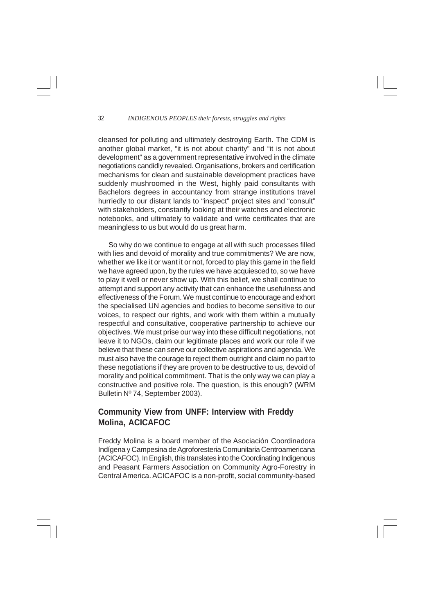cleansed for polluting and ultimately destroying Earth. The CDM is another global market, "it is not about charity" and "it is not about development" as a government representative involved in the climate negotiations candidly revealed. Organisations, brokers and certification mechanisms for clean and sustainable development practices have suddenly mushroomed in the West, highly paid consultants with Bachelors degrees in accountancy from strange institutions travel hurriedly to our distant lands to "inspect" project sites and "consult" with stakeholders, constantly looking at their watches and electronic notebooks, and ultimately to validate and write certificates that are meaningless to us but would do us great harm.

So why do we continue to engage at all with such processes filled with lies and devoid of morality and true commitments? We are now, whether we like it or want it or not, forced to play this game in the field we have agreed upon, by the rules we have acquiesced to, so we have to play it well or never show up. With this belief, we shall continue to attempt and support any activity that can enhance the usefulness and effectiveness of the Forum. We must continue to encourage and exhort the specialised UN agencies and bodies to become sensitive to our voices, to respect our rights, and work with them within a mutually respectful and consultative, cooperative partnership to achieve our objectives. We must prise our way into these difficult negotiations, not leave it to NGOs, claim our legitimate places and work our role if we believe that these can serve our collective aspirations and agenda. We must also have the courage to reject them outright and claim no part to these negotiations if they are proven to be destructive to us, devoid of morality and political commitment. That is the only way we can play a constructive and positive role. The question, is this enough? (WRM Bulletin Nº 74, September 2003).

## **Community View from UNFF: Interview with Freddy Molina, ACICAFOC**

Freddy Molina is a board member of the Asociación Coordinadora Indígena y Campesina de Agroforesteria Comunitaria Centroamericana (ACICAFOC). In English, this translates into the Coordinating Indigenous and Peasant Farmers Association on Community Agro-Forestry in Central America. ACICAFOC is a non-profit, social community-based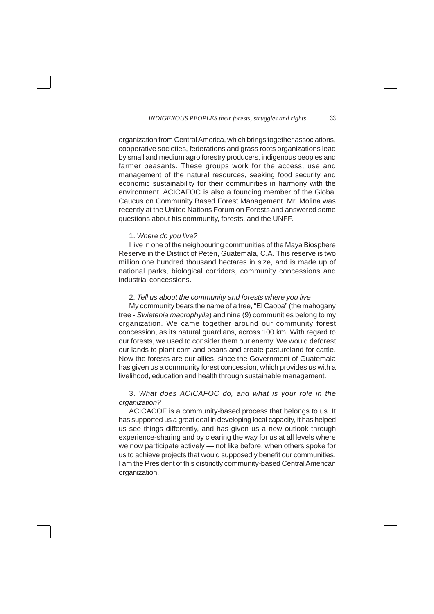organization from Central America, which brings together associations, cooperative societies, federations and grass roots organizations lead by small and medium agro forestry producers, indigenous peoples and farmer peasants. These groups work for the access, use and management of the natural resources, seeking food security and economic sustainability for their communities in harmony with the environment. ACICAFOC is also a founding member of the Global Caucus on Community Based Forest Management. Mr. Molina was recently at the United Nations Forum on Forests and answered some questions about his community, forests, and the UNFF.

#### 1. *Where do you live?*

I live in one of the neighbouring communities of the Maya Biosphere Reserve in the District of Petén, Guatemala, C.A. This reserve is two million one hundred thousand hectares in size, and is made up of national parks, biological corridors, community concessions and industrial concessions.

#### 2. *Tell us about the community and forests where you live*

My community bears the name of a tree, "El Caoba" (the mahogany tree - *Swietenia macrophylla*) and nine (9) communities belong to my organization. We came together around our community forest concession, as its natural guardians, across 100 km. With regard to our forests, we used to consider them our enemy. We would deforest our lands to plant corn and beans and create pastureland for cattle. Now the forests are our allies, since the Government of Guatemala has given us a community forest concession, which provides us with a livelihood, education and health through sustainable management.

#### 3. *What does ACICAFOC do, and what is your role in the organization?*

ACICACOF is a community-based process that belongs to us. It has supported us a great deal in developing local capacity, it has helped us see things differently, and has given us a new outlook through experience-sharing and by clearing the way for us at all levels where we now participate actively — not like before, when others spoke for us to achieve projects that would supposedly benefit our communities. I am the President of this distinctly community-based Central American organization.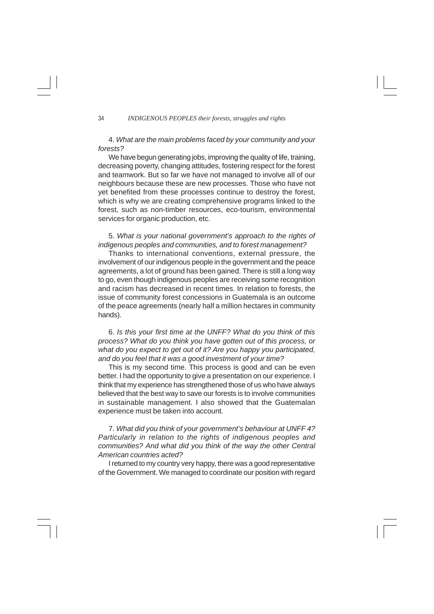4. *What are the main problems faced by your community and your forests?*

We have begun generating jobs, improving the quality of life, training, decreasing poverty, changing attitudes, fostering respect for the forest and teamwork. But so far we have not managed to involve all of our neighbours because these are new processes. Those who have not yet benefited from these processes continue to destroy the forest, which is why we are creating comprehensive programs linked to the forest, such as non-timber resources, eco-tourism, environmental services for organic production, etc.

5. *What is your national government's approach to the rights of indigenous peoples and communities, and to forest management?*

Thanks to international conventions, external pressure, the involvement of our indigenous people in the government and the peace agreements, a lot of ground has been gained. There is still a long way to go, even though indigenous peoples are receiving some recognition and racism has decreased in recent times. In relation to forests, the issue of community forest concessions in Guatemala is an outcome of the peace agreements (nearly half a million hectares in community hands).

6. *Is this your first time at the UNFF? What do you think of this process? What do you think you have gotten out of this process, or what do you expect to get out of it? Are you happy you participated, and do you feel that it was a good investment of your time?*

This is my second time. This process is good and can be even better. I had the opportunity to give a presentation on our experience. I think that my experience has strengthened those of us who have always believed that the best way to save our forests is to involve communities in sustainable management. I also showed that the Guatemalan experience must be taken into account.

7. *What did you think of your government's behaviour at UNFF 4? Particularly in relation to the rights of indigenous peoples and communities? And what did you think of the way the other Central American countries acted?*

I returned to my country very happy, there was a good representative of the Government. We managed to coordinate our position with regard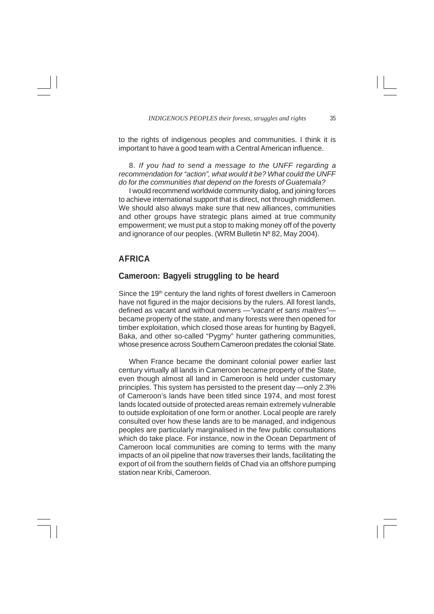to the rights of indigenous peoples and communities. I think it is important to have a good team with a Central American influence.

8. *If you had to send a message to the UNFF regarding a recommendation for "action", what would it be? What could the UNFF do for the communities that depend on the forests of Guatemala?*

I would recommend worldwide community dialog, and joining forces to achieve international support that is direct, not through middlemen. We should also always make sure that new alliances, communities and other groups have strategic plans aimed at true community empowerment; we must put a stop to making money off of the poverty and ignorance of our peoples. (WRM Bulletin Nº 82, May 2004).

## **AFRICA**

#### **Cameroon: Bagyeli struggling to be heard**

Since the 19<sup>th</sup> century the land rights of forest dwellers in Cameroon have not figured in the major decisions by the rulers. All forest lands, defined as vacant and without owners —*"vacant et sans maitres"* became property of the state, and many forests were then opened for timber exploitation, which closed those areas for hunting by Bagyeli, Baka, and other so-called "Pygmy" hunter gathering communities, whose presence across Southern Cameroon predates the colonial State.

When France became the dominant colonial power earlier last century virtually all lands in Cameroon became property of the State, even though almost all land in Cameroon is held under customary principles. This system has persisted to the present day —only 2.3% of Cameroon's lands have been titled since 1974, and most forest lands located outside of protected areas remain extremely vulnerable to outside exploitation of one form or another. Local people are rarely consulted over how these lands are to be managed, and indigenous peoples are particularly marginalised in the few public consultations which do take place. For instance, now in the Ocean Department of Cameroon local communities are coming to terms with the many impacts of an oil pipeline that now traverses their lands, facilitating the export of oil from the southern fields of Chad via an offshore pumping station near Kribi, Cameroon.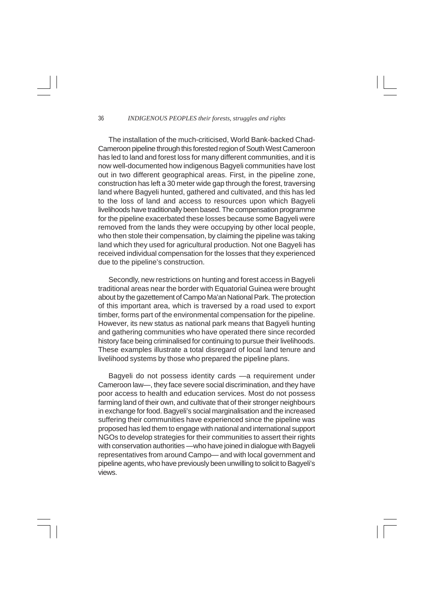The installation of the much-criticised, World Bank-backed Chad-Cameroon pipeline through this forested region of South West Cameroon has led to land and forest loss for many different communities, and it is now well-documented how indigenous Bagyeli communities have lost out in two different geographical areas. First, in the pipeline zone, construction has left a 30 meter wide gap through the forest, traversing land where Bagyeli hunted, gathered and cultivated, and this has led to the loss of land and access to resources upon which Bagyeli livelihoods have traditionally been based. The compensation programme for the pipeline exacerbated these losses because some Bagyeli were removed from the lands they were occupying by other local people, who then stole their compensation, by claiming the pipeline was taking land which they used for agricultural production. Not one Bagyeli has received individual compensation for the losses that they experienced due to the pipeline's construction.

Secondly, new restrictions on hunting and forest access in Bagyeli traditional areas near the border with Equatorial Guinea were brought about by the gazettement of Campo Ma'an National Park. The protection of this important area, which is traversed by a road used to export timber, forms part of the environmental compensation for the pipeline. However, its new status as national park means that Bagyeli hunting and gathering communities who have operated there since recorded history face being criminalised for continuing to pursue their livelihoods. These examples illustrate a total disregard of local land tenure and livelihood systems by those who prepared the pipeline plans.

Bagyeli do not possess identity cards —a requirement under Cameroon law—, they face severe social discrimination, and they have poor access to health and education services. Most do not possess farming land of their own, and cultivate that of their stronger neighbours in exchange for food. Bagyeli's social marginalisation and the increased suffering their communities have experienced since the pipeline was proposed has led them to engage with national and international support NGOs to develop strategies for their communities to assert their rights with conservation authorities —who have joined in dialogue with Bagyeli representatives from around Campo— and with local government and pipeline agents, who have previously been unwilling to solicit to Bagyeli's views.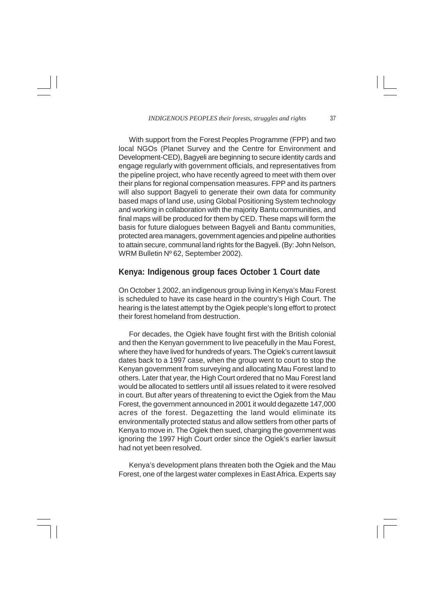With support from the Forest Peoples Programme (FPP) and two local NGOs (Planet Survey and the Centre for Environment and Development-CED), Bagyeli are beginning to secure identity cards and engage regularly with government officials, and representatives from the pipeline project, who have recently agreed to meet with them over their plans for regional compensation measures. FPP and its partners will also support Bagyeli to generate their own data for community based maps of land use, using Global Positioning System technology and working in collaboration with the majority Bantu communities, and final maps will be produced for them by CED. These maps will form the basis for future dialogues between Bagyeli and Bantu communities, protected area managers, government agencies and pipeline authorities to attain secure, communal land rights for the Bagyeli. (By: John Nelson, WRM Bulletin Nº 62, September 2002).

### **Kenya: Indigenous group faces October 1 Court date**

On October 1 2002, an indigenous group living in Kenya's Mau Forest is scheduled to have its case heard in the country's High Court. The hearing is the latest attempt by the Ogiek people's long effort to protect their forest homeland from destruction.

For decades, the Ogiek have fought first with the British colonial and then the Kenyan government to live peacefully in the Mau Forest, where they have lived for hundreds of years. The Ogiek's current lawsuit dates back to a 1997 case, when the group went to court to stop the Kenyan government from surveying and allocating Mau Forest land to others. Later that year, the High Court ordered that no Mau Forest land would be allocated to settlers until all issues related to it were resolved in court. But after years of threatening to evict the Ogiek from the Mau Forest, the government announced in 2001 it would degazette 147,000 acres of the forest. Degazetting the land would eliminate its environmentally protected status and allow settlers from other parts of Kenya to move in. The Ogiek then sued, charging the government was ignoring the 1997 High Court order since the Ogiek's earlier lawsuit had not yet been resolved.

Kenya's development plans threaten both the Ogiek and the Mau Forest, one of the largest water complexes in East Africa. Experts say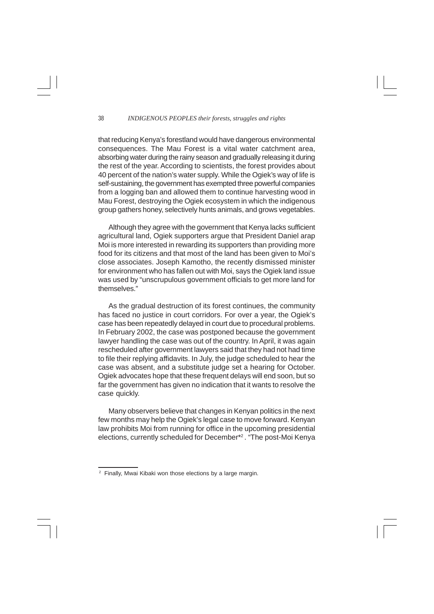that reducing Kenya's forestland would have dangerous environmental consequences. The Mau Forest is a vital water catchment area, absorbing water during the rainy season and gradually releasing it during the rest of the year. According to scientists, the forest provides about 40 percent of the nation's water supply. While the Ogiek's way of life is self-sustaining, the government has exempted three powerful companies from a logging ban and allowed them to continue harvesting wood in Mau Forest, destroying the Ogiek ecosystem in which the indigenous group gathers honey, selectively hunts animals, and grows vegetables.

Although they agree with the government that Kenya lacks sufficient agricultural land, Ogiek supporters argue that President Daniel arap Moi is more interested in rewarding its supporters than providing more food for its citizens and that most of the land has been given to Moi's close associates. Joseph Kamotho, the recently dismissed minister for environment who has fallen out with Moi, says the Ogiek land issue was used by "unscrupulous government officials to get more land for themselves."

As the gradual destruction of its forest continues, the community has faced no justice in court corridors. For over a year, the Ogiek's case has been repeatedly delayed in court due to procedural problems. In February 2002, the case was postponed because the government lawyer handling the case was out of the country. In April, it was again rescheduled after government lawyers said that they had not had time to file their replying affidavits. In July, the judge scheduled to hear the case was absent, and a substitute judge set a hearing for October. Ogiek advocates hope that these frequent delays will end soon, but so far the government has given no indication that it wants to resolve the case quickly.

Many observers believe that changes in Kenyan politics in the next few months may help the Ogiek's legal case to move forward. Kenyan law prohibits Moi from running for office in the upcoming presidential elections, currently scheduled for December\*2 . "The post-Moi Kenya

<sup>&</sup>lt;sup>2</sup> Finally, Mwai Kibaki won those elections by a large margin.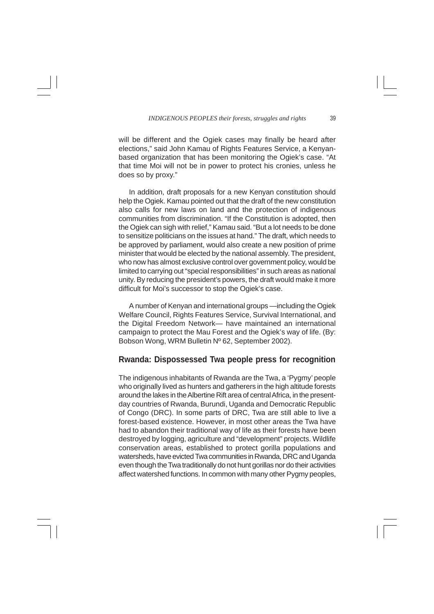will be different and the Ogiek cases may finally be heard after elections," said John Kamau of Rights Features Service, a Kenyanbased organization that has been monitoring the Ogiek's case. "At that time Moi will not be in power to protect his cronies, unless he does so by proxy."

In addition, draft proposals for a new Kenyan constitution should help the Ogiek. Kamau pointed out that the draft of the new constitution also calls for new laws on land and the protection of indigenous communities from discrimination. "If the Constitution is adopted, then the Ogiek can sigh with relief," Kamau said. "But a lot needs to be done to sensitize politicians on the issues at hand." The draft, which needs to be approved by parliament, would also create a new position of prime minister that would be elected by the national assembly. The president, who now has almost exclusive control over government policy, would be limited to carrying out "special responsibilities" in such areas as national unity. By reducing the president's powers, the draft would make it more difficult for Moi's successor to stop the Ogiek's case.

A number of Kenyan and international groups —including the Ogiek Welfare Council, Rights Features Service, Survival International, and the Digital Freedom Network— have maintained an international campaign to protect the Mau Forest and the Ogiek's way of life. (By: Bobson Wong, WRM Bulletin Nº 62, September 2002).

### **Rwanda: Dispossessed Twa people press for recognition**

The indigenous inhabitants of Rwanda are the Twa, a 'Pygmy' people who originally lived as hunters and gatherers in the high altitude forests around the lakes in the Albertine Rift area of central Africa, in the presentday countries of Rwanda, Burundi, Uganda and Democratic Republic of Congo (DRC). In some parts of DRC, Twa are still able to live a forest-based existence. However, in most other areas the Twa have had to abandon their traditional way of life as their forests have been destroyed by logging, agriculture and "development" projects. Wildlife conservation areas, established to protect gorilla populations and watersheds, have evicted Twa communities in Rwanda, DRC and Uganda even though the Twa traditionally do not hunt gorillas nor do their activities affect watershed functions. In common with many other Pygmy peoples,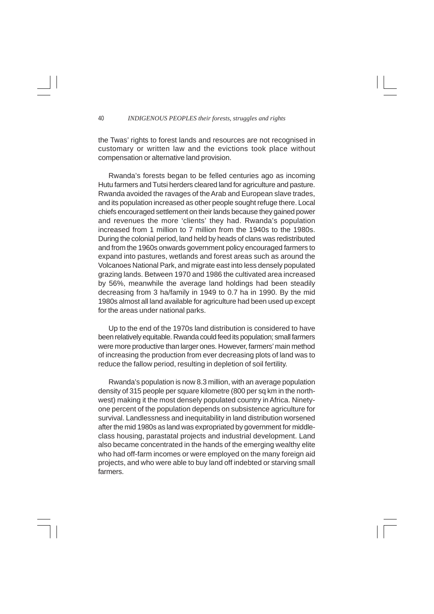the Twas' rights to forest lands and resources are not recognised in customary or written law and the evictions took place without compensation or alternative land provision.

Rwanda's forests began to be felled centuries ago as incoming Hutu farmers and Tutsi herders cleared land for agriculture and pasture. Rwanda avoided the ravages of the Arab and European slave trades, and its population increased as other people sought refuge there. Local chiefs encouraged settlement on their lands because they gained power and revenues the more 'clients' they had. Rwanda's population increased from 1 million to 7 million from the 1940s to the 1980s. During the colonial period, land held by heads of clans was redistributed and from the 1960s onwards government policy encouraged farmers to expand into pastures, wetlands and forest areas such as around the Volcanoes National Park, and migrate east into less densely populated grazing lands. Between 1970 and 1986 the cultivated area increased by 56%, meanwhile the average land holdings had been steadily decreasing from 3 ha/family in 1949 to 0.7 ha in 1990. By the mid 1980s almost all land available for agriculture had been used up except for the areas under national parks.

Up to the end of the 1970s land distribution is considered to have been relatively equitable. Rwanda could feed its population; small farmers were more productive than larger ones. However, farmers' main method of increasing the production from ever decreasing plots of land was to reduce the fallow period, resulting in depletion of soil fertility.

Rwanda's population is now 8.3 million, with an average population density of 315 people per square kilometre (800 per sq km in the northwest) making it the most densely populated country in Africa. Ninetyone percent of the population depends on subsistence agriculture for survival. Landlessness and inequitability in land distribution worsened after the mid 1980s as land was expropriated by government for middleclass housing, parastatal projects and industrial development. Land also became concentrated in the hands of the emerging wealthy elite who had off-farm incomes or were employed on the many foreign aid projects, and who were able to buy land off indebted or starving small farmers.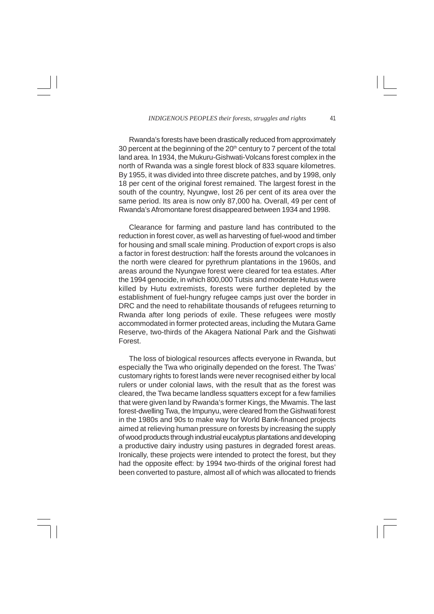Rwanda's forests have been drastically reduced from approximately 30 percent at the beginning of the  $20<sup>th</sup>$  century to 7 percent of the total land area. In 1934, the Mukuru-Gishwati-Volcans forest complex in the north of Rwanda was a single forest block of 833 square kilometres. By 1955, it was divided into three discrete patches, and by 1998, only 18 per cent of the original forest remained. The largest forest in the south of the country, Nyungwe, lost 26 per cent of its area over the same period. Its area is now only 87,000 ha. Overall, 49 per cent of Rwanda's Afromontane forest disappeared between 1934 and 1998.

Clearance for farming and pasture land has contributed to the reduction in forest cover, as well as harvesting of fuel-wood and timber for housing and small scale mining. Production of export crops is also a factor in forest destruction: half the forests around the volcanoes in the north were cleared for pyrethrum plantations in the 1960s, and areas around the Nyungwe forest were cleared for tea estates. After the 1994 genocide, in which 800,000 Tutsis and moderate Hutus were killed by Hutu extremists, forests were further depleted by the establishment of fuel-hungry refugee camps just over the border in DRC and the need to rehabilitate thousands of refugees returning to Rwanda after long periods of exile. These refugees were mostly accommodated in former protected areas, including the Mutara Game Reserve, two-thirds of the Akagera National Park and the Gishwati Forest.

The loss of biological resources affects everyone in Rwanda, but especially the Twa who originally depended on the forest. The Twas' customary rights to forest lands were never recognised either by local rulers or under colonial laws, with the result that as the forest was cleared, the Twa became landless squatters except for a few families that were given land by Rwanda's former Kings, the Mwamis. The last forest-dwelling Twa, the Impunyu, were cleared from the Gishwati forest in the 1980s and 90s to make way for World Bank-financed projects aimed at relieving human pressure on forests by increasing the supply of wood products through industrial eucalyptus plantations and developing a productive dairy industry using pastures in degraded forest areas. Ironically, these projects were intended to protect the forest, but they had the opposite effect: by 1994 two-thirds of the original forest had been converted to pasture, almost all of which was allocated to friends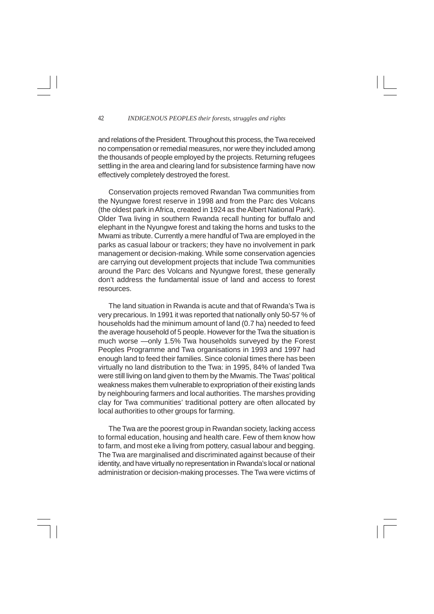and relations of the President. Throughout this process, the Twa received no compensation or remedial measures, nor were they included among the thousands of people employed by the projects. Returning refugees settling in the area and clearing land for subsistence farming have now effectively completely destroyed the forest.

Conservation projects removed Rwandan Twa communities from the Nyungwe forest reserve in 1998 and from the Parc des Volcans (the oldest park in Africa, created in 1924 as the Albert National Park). Older Twa living in southern Rwanda recall hunting for buffalo and elephant in the Nyungwe forest and taking the horns and tusks to the Mwami as tribute. Currently a mere handful of Twa are employed in the parks as casual labour or trackers; they have no involvement in park management or decision-making. While some conservation agencies are carrying out development projects that include Twa communities around the Parc des Volcans and Nyungwe forest, these generally don't address the fundamental issue of land and access to forest resources.

The land situation in Rwanda is acute and that of Rwanda's Twa is very precarious. In 1991 it was reported that nationally only 50-57 % of households had the minimum amount of land (0.7 ha) needed to feed the average household of 5 people. However for the Twa the situation is much worse —only 1.5% Twa households surveyed by the Forest Peoples Programme and Twa organisations in 1993 and 1997 had enough land to feed their families. Since colonial times there has been virtually no land distribution to the Twa: in 1995, 84% of landed Twa were still living on land given to them by the Mwamis. The Twas' political weakness makes them vulnerable to expropriation of their existing lands by neighbouring farmers and local authorities. The marshes providing clay for Twa communities' traditional pottery are often allocated by local authorities to other groups for farming.

The Twa are the poorest group in Rwandan society, lacking access to formal education, housing and health care. Few of them know how to farm, and most eke a living from pottery, casual labour and begging. The Twa are marginalised and discriminated against because of their identity, and have virtually no representation in Rwanda's local or national administration or decision-making processes. The Twa were victims of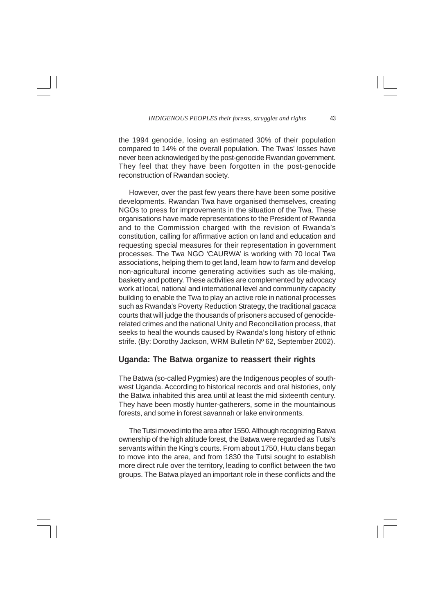the 1994 genocide, losing an estimated 30% of their population compared to 14% of the overall population. The Twas' losses have never been acknowledged by the post-genocide Rwandan government. They feel that they have been forgotten in the post-genocide reconstruction of Rwandan society.

However, over the past few years there have been some positive developments. Rwandan Twa have organised themselves, creating NGOs to press for improvements in the situation of the Twa. These organisations have made representations to the President of Rwanda and to the Commission charged with the revision of Rwanda's constitution, calling for affirmative action on land and education and requesting special measures for their representation in government processes. The Twa NGO 'CAURWA' is working with 70 local Twa associations, helping them to get land, learn how to farm and develop non-agricultural income generating activities such as tile-making, basketry and pottery. These activities are complemented by advocacy work at local, national and international level and community capacity building to enable the Twa to play an active role in national processes such as Rwanda's Poverty Reduction Strategy, the traditional *gacaca* courts that will judge the thousands of prisoners accused of genociderelated crimes and the national Unity and Reconciliation process, that seeks to heal the wounds caused by Rwanda's long history of ethnic strife. (By: Dorothy Jackson, WRM Bulletin Nº 62, September 2002).

### **Uganda: The Batwa organize to reassert their rights**

The Batwa (so-called Pygmies) are the Indigenous peoples of southwest Uganda. According to historical records and oral histories, only the Batwa inhabited this area until at least the mid sixteenth century. They have been mostly hunter-gatherers, some in the mountainous forests, and some in forest savannah or lake environments.

The Tutsi moved into the area after 1550. Although recognizing Batwa ownership of the high altitude forest, the Batwa were regarded as Tutsi's servants within the King's courts. From about 1750, Hutu clans began to move into the area, and from 1830 the Tutsi sought to establish more direct rule over the territory, leading to conflict between the two groups. The Batwa played an important role in these conflicts and the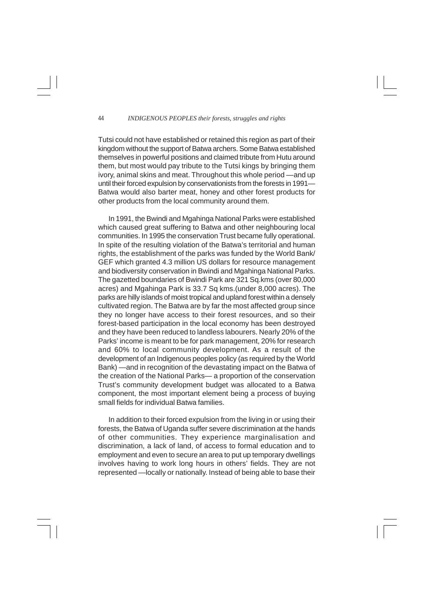Tutsi could not have established or retained this region as part of their kingdom without the support of Batwa archers. Some Batwa established themselves in powerful positions and claimed tribute from Hutu around them, but most would pay tribute to the Tutsi kings by bringing them ivory, animal skins and meat. Throughout this whole period —and up until their forced expulsion by conservationists from the forests in 1991— Batwa would also barter meat, honey and other forest products for other products from the local community around them.

In 1991, the Bwindi and Mgahinga National Parks were established which caused great suffering to Batwa and other neighbouring local communities. In 1995 the conservation Trust became fully operational. In spite of the resulting violation of the Batwa's territorial and human rights, the establishment of the parks was funded by the World Bank/ GEF which granted 4.3 million US dollars for resource management and biodiversity conservation in Bwindi and Mgahinga National Parks. The gazetted boundaries of Bwindi Park are 321 Sq.kms (over 80,000 acres) and Mgahinga Park is 33.7 Sq kms.(under 8,000 acres). The parks are hilly islands of moist tropical and upland forest within a densely cultivated region. The Batwa are by far the most affected group since they no longer have access to their forest resources, and so their forest-based participation in the local economy has been destroyed and they have been reduced to landless labourers. Nearly 20% of the Parks' income is meant to be for park management, 20% for research and 60% to local community development. As a result of the development of an Indigenous peoples policy (as required by the World Bank) —and in recognition of the devastating impact on the Batwa of the creation of the National Parks— a proportion of the conservation Trust's community development budget was allocated to a Batwa component, the most important element being a process of buying small fields for individual Batwa families.

In addition to their forced expulsion from the living in or using their forests, the Batwa of Uganda suffer severe discrimination at the hands of other communities. They experience marginalisation and discrimination, a lack of land, of access to formal education and to employment and even to secure an area to put up temporary dwellings involves having to work long hours in others' fields. They are not represented —locally or nationally. Instead of being able to base their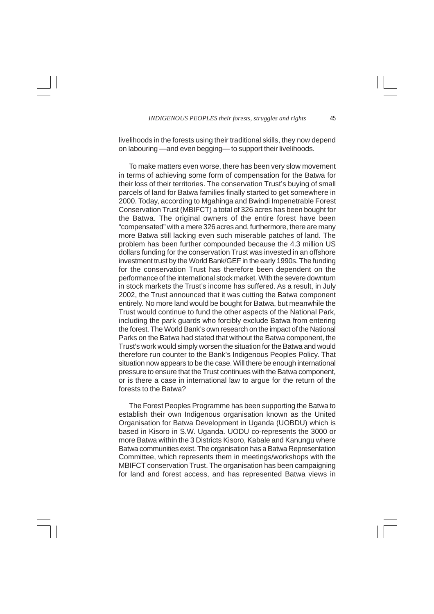livelihoods in the forests using their traditional skills, they now depend on labouring —and even begging— to support their livelihoods.

To make matters even worse, there has been very slow movement in terms of achieving some form of compensation for the Batwa for their loss of their territories. The conservation Trust's buying of small parcels of land for Batwa families finally started to get somewhere in 2000. Today, according to Mgahinga and Bwindi Impenetrable Forest Conservation Trust (MBIFCT) a total of 326 acres has been bought for the Batwa. The original owners of the entire forest have been "compensated" with a mere 326 acres and, furthermore, there are many more Batwa still lacking even such miserable patches of land. The problem has been further compounded because the 4.3 million US dollars funding for the conservation Trust was invested in an offshore investment trust by the World Bank/GEF in the early 1990s. The funding for the conservation Trust has therefore been dependent on the performance of the international stock market. With the severe downturn in stock markets the Trust's income has suffered. As a result, in July 2002, the Trust announced that it was cutting the Batwa component entirely. No more land would be bought for Batwa, but meanwhile the Trust would continue to fund the other aspects of the National Park, including the park guards who forcibly exclude Batwa from entering the forest. The World Bank's own research on the impact of the National Parks on the Batwa had stated that without the Batwa component, the Trust's work would simply worsen the situation for the Batwa and would therefore run counter to the Bank's Indigenous Peoples Policy. That situation now appears to be the case. Will there be enough international pressure to ensure that the Trust continues with the Batwa component, or is there a case in international law to argue for the return of the forests to the Batwa?

The Forest Peoples Programme has been supporting the Batwa to establish their own Indigenous organisation known as the United Organisation for Batwa Development in Uganda (UOBDU) which is based in Kisoro in S.W. Uganda. UODU co-represents the 3000 or more Batwa within the 3 Districts Kisoro, Kabale and Kanungu where Batwa communities exist. The organisation has a Batwa Representation Committee, which represents them in meetings/workshops with the MBIFCT conservation Trust. The organisation has been campaigning for land and forest access, and has represented Batwa views in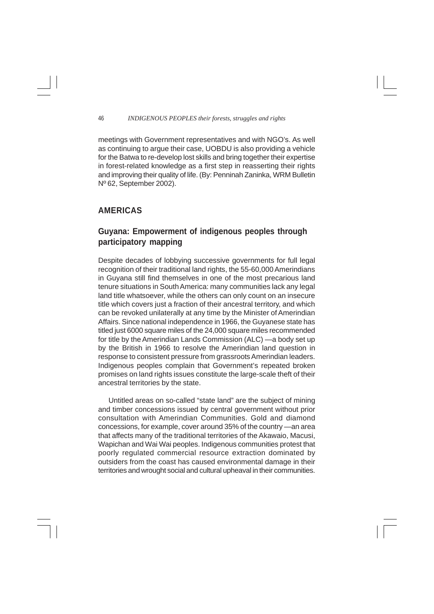meetings with Government representatives and with NGO's. As well as continuing to argue their case, UOBDU is also providing a vehicle for the Batwa to re-develop lost skills and bring together their expertise in forest-related knowledge as a first step in reasserting their rights and improving their quality of life. (By: Penninah Zaninka, WRM Bulletin Nº 62, September 2002).

### **AMERICAS**

# **Guyana: Empowerment of indigenous peoples through participatory mapping**

Despite decades of lobbying successive governments for full legal recognition of their traditional land rights, the 55-60,000 Amerindians in Guyana still find themselves in one of the most precarious land tenure situations in South America: many communities lack any legal land title whatsoever, while the others can only count on an insecure title which covers just a fraction of their ancestral territory, and which can be revoked unilaterally at any time by the Minister of Amerindian Affairs. Since national independence in 1966, the Guyanese state has titled just 6000 square miles of the 24,000 square miles recommended for title by the Amerindian Lands Commission (ALC) —a body set up by the British in 1966 to resolve the Amerindian land question in response to consistent pressure from grassroots Amerindian leaders. Indigenous peoples complain that Government's repeated broken promises on land rights issues constitute the large-scale theft of their ancestral territories by the state.

Untitled areas on so-called "state land" are the subject of mining and timber concessions issued by central government without prior consultation with Amerindian Communities. Gold and diamond concessions, for example, cover around 35% of the country —an area that affects many of the traditional territories of the Akawaio, Macusi, Wapichan and Wai Wai peoples. Indigenous communities protest that poorly regulated commercial resource extraction dominated by outsiders from the coast has caused environmental damage in their territories and wrought social and cultural upheaval in their communities.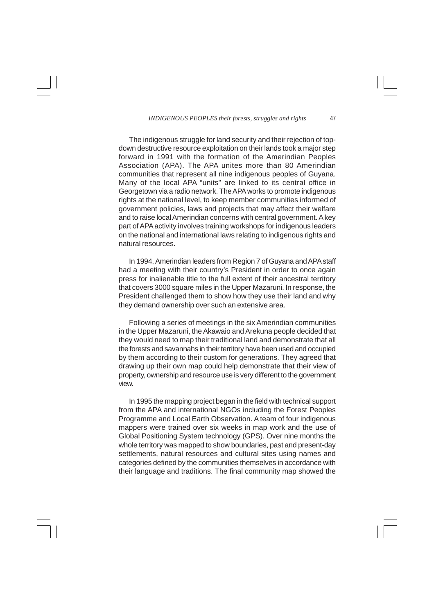The indigenous struggle for land security and their rejection of topdown destructive resource exploitation on their lands took a major step forward in 1991 with the formation of the Amerindian Peoples Association (APA). The APA unites more than 80 Amerindian communities that represent all nine indigenous peoples of Guyana. Many of the local APA "units" are linked to its central office in Georgetown via a radio network. The APA works to promote indigenous rights at the national level, to keep member communities informed of government policies, laws and projects that may affect their welfare and to raise local Amerindian concerns with central government. A key part of APA activity involves training workshops for indigenous leaders on the national and international laws relating to indigenous rights and natural resources.

In 1994, Amerindian leaders from Region 7 of Guyana and APA staff had a meeting with their country's President in order to once again press for inalienable title to the full extent of their ancestral territory that covers 3000 square miles in the Upper Mazaruni. In response, the President challenged them to show how they use their land and why they demand ownership over such an extensive area.

Following a series of meetings in the six Amerindian communities in the Upper Mazaruni, the Akawaio and Arekuna people decided that they would need to map their traditional land and demonstrate that all the forests and savannahs in their territory have been used and occupied by them according to their custom for generations. They agreed that drawing up their own map could help demonstrate that their view of property, ownership and resource use is very different to the government view.

In 1995 the mapping project began in the field with technical support from the APA and international NGOs including the Forest Peoples Programme and Local Earth Observation. A team of four indigenous mappers were trained over six weeks in map work and the use of Global Positioning System technology (GPS). Over nine months the whole territory was mapped to show boundaries, past and present-day settlements, natural resources and cultural sites using names and categories defined by the communities themselves in accordance with their language and traditions. The final community map showed the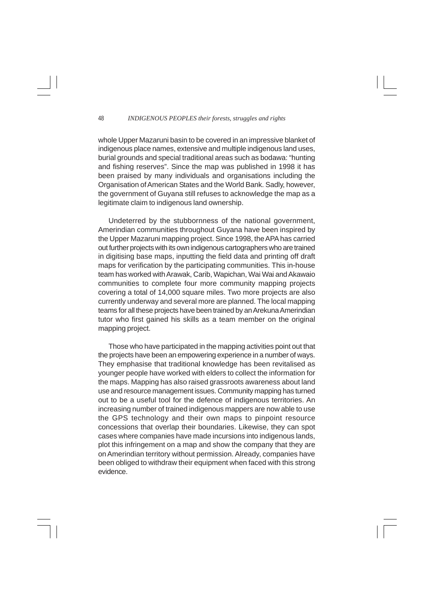whole Upper Mazaruni basin to be covered in an impressive blanket of indigenous place names, extensive and multiple indigenous land uses, burial grounds and special traditional areas such as bodawa: "hunting and fishing reserves". Since the map was published in 1998 it has been praised by many individuals and organisations including the Organisation of American States and the World Bank. Sadly, however, the government of Guyana still refuses to acknowledge the map as a legitimate claim to indigenous land ownership.

Undeterred by the stubbornness of the national government, Amerindian communities throughout Guyana have been inspired by the Upper Mazaruni mapping project. Since 1998, the APA has carried out further projects with its own indigenous cartographers who are trained in digitising base maps, inputting the field data and printing off draft maps for verification by the participating communities. This in-house team has worked with Arawak, Carib, Wapichan, Wai Wai and Akawaio communities to complete four more community mapping projects covering a total of 14,000 square miles. Two more projects are also currently underway and several more are planned. The local mapping teams for all these projects have been trained by an Arekuna Amerindian tutor who first gained his skills as a team member on the original mapping project.

Those who have participated in the mapping activities point out that the projects have been an empowering experience in a number of ways. They emphasise that traditional knowledge has been revitalised as younger people have worked with elders to collect the information for the maps. Mapping has also raised grassroots awareness about land use and resource management issues. Community mapping has turned out to be a useful tool for the defence of indigenous territories. An increasing number of trained indigenous mappers are now able to use the GPS technology and their own maps to pinpoint resource concessions that overlap their boundaries. Likewise, they can spot cases where companies have made incursions into indigenous lands, plot this infringement on a map and show the company that they are on Amerindian territory without permission. Already, companies have been obliged to withdraw their equipment when faced with this strong evidence.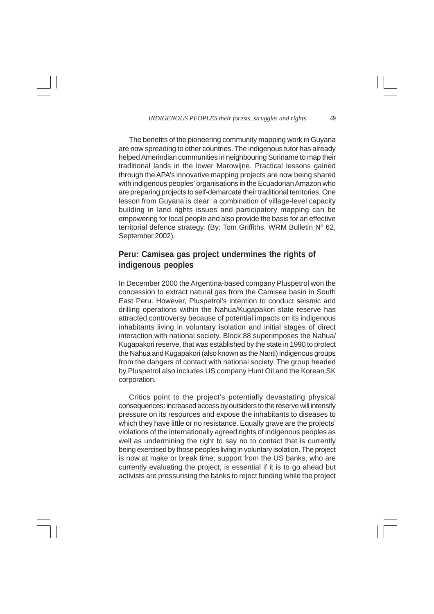The benefits of the pioneering community mapping work in Guyana are now spreading to other countries. The indigenous tutor has already helped Amerindian communities in neighbouring Suriname to map their traditional lands in the lower Marowijne. Practical lessons gained through the APA's innovative mapping projects are now being shared with indigenous peoples' organisations in the Ecuadorian Amazon who are preparing projects to self-demarcate their traditional territories. One lesson from Guyana is clear: a combination of village-level capacity building in land rights issues and participatory mapping can be empowering for local people and also provide the basis for an effective territorial defence strategy. (By: Tom Griffiths, WRM Bulletin Nº 62, September 2002).

### **Peru: Camisea gas project undermines the rights of indigenous peoples**

In December 2000 the Argentina-based company Pluspetrol won the concession to extract natural gas from the Camisea basin in South East Peru. However, Pluspetrol's intention to conduct seismic and drilling operations within the Nahua/Kugapakori state reserve has attracted controversy because of potential impacts on its indigenous inhabitants living in voluntary isolation and initial stages of direct interaction with national society. Block 88 superimposes the Nahua/ Kugapakori reserve, that was established by the state in 1990 to protect the Nahua and Kugapakori (also known as the Nanti) indigenous groups from the dangers of contact with national society. The group headed by Pluspetrol also includes US company Hunt Oil and the Korean SK corporation.

Critics point to the project's potentially devastating physical consequences: increased access by outsiders to the reserve will intensify pressure on its resources and expose the inhabitants to diseases to which they have little or no resistance. Equally grave are the projects' violations of the internationally agreed rights of indigenous peoples as well as undermining the right to say no to contact that is currently being exercised by those peoples living in voluntary isolation. The project is now at make or break time; support from the US banks, who are currently evaluating the project, is essential if it is to go ahead but activists are pressurising the banks to reject funding while the project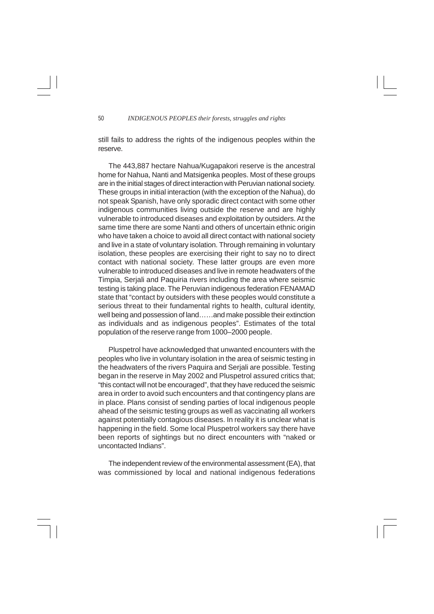still fails to address the rights of the indigenous peoples within the reserve.

The 443,887 hectare Nahua/Kugapakori reserve is the ancestral home for Nahua, Nanti and Matsigenka peoples. Most of these groups are in the initial stages of direct interaction with Peruvian national society. These groups in initial interaction (with the exception of the Nahua), do not speak Spanish, have only sporadic direct contact with some other indigenous communities living outside the reserve and are highly vulnerable to introduced diseases and exploitation by outsiders. At the same time there are some Nanti and others of uncertain ethnic origin who have taken a choice to avoid all direct contact with national society and live in a state of voluntary isolation. Through remaining in voluntary isolation, these peoples are exercising their right to say no to direct contact with national society. These latter groups are even more vulnerable to introduced diseases and live in remote headwaters of the Timpia, Serjali and Paquiria rivers including the area where seismic testing is taking place. The Peruvian indigenous federation FENAMAD state that "contact by outsiders with these peoples would constitute a serious threat to their fundamental rights to health, cultural identity, well being and possession of land……and make possible their extinction as individuals and as indigenous peoples". Estimates of the total population of the reserve range from 1000–2000 people.

Pluspetrol have acknowledged that unwanted encounters with the peoples who live in voluntary isolation in the area of seismic testing in the headwaters of the rivers Paquira and Serjali are possible. Testing began in the reserve in May 2002 and Pluspetrol assured critics that; "this contact will not be encouraged", that they have reduced the seismic area in order to avoid such encounters and that contingency plans are in place. Plans consist of sending parties of local indigenous people ahead of the seismic testing groups as well as vaccinating all workers against potentially contagious diseases. In reality it is unclear what is happening in the field. Some local Pluspetrol workers say there have been reports of sightings but no direct encounters with "naked or uncontacted Indians".

The independent review of the environmental assessment (EA), that was commissioned by local and national indigenous federations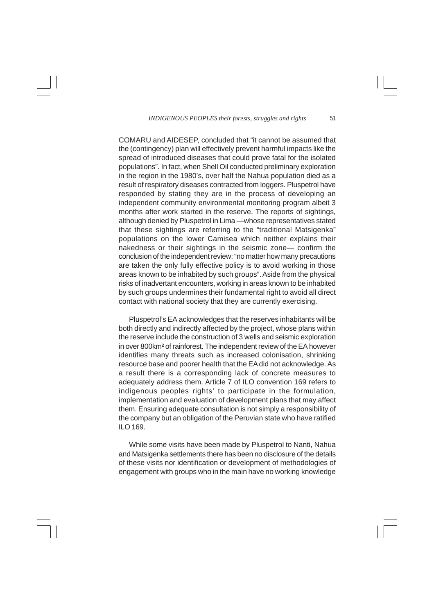COMARU and AIDESEP, concluded that "it cannot be assumed that the (contingency) plan will effectively prevent harmful impacts like the spread of introduced diseases that could prove fatal for the isolated populations". In fact, when Shell Oil conducted preliminary exploration in the region in the 1980's, over half the Nahua population died as a result of respiratory diseases contracted from loggers. Pluspetrol have responded by stating they are in the process of developing an independent community environmental monitoring program albeit 3 months after work started in the reserve. The reports of sightings, although denied by Pluspetrol in Lima —whose representatives stated that these sightings are referring to the "traditional Matsigenka" populations on the lower Camisea which neither explains their nakedness or their sightings in the seismic zone— confirm the conclusion of the independent review: "no matter how many precautions are taken the only fully effective policy is to avoid working in those areas known to be inhabited by such groups". Aside from the physical risks of inadvertant encounters, working in areas known to be inhabited by such groups undermines their fundamental right to avoid all direct contact with national society that they are currently exercising.

Pluspetrol's EA acknowledges that the reserves inhabitants will be both directly and indirectly affected by the project, whose plans within the reserve include the construction of 3 wells and seismic exploration in over 800km² of rainforest. The independent review of the EA however identifies many threats such as increased colonisation, shrinking resource base and poorer health that the EA did not acknowledge. As a result there is a corresponding lack of concrete measures to adequately address them. Article 7 of ILO convention 169 refers to indigenous peoples rights' to participate in the formulation, implementation and evaluation of development plans that may affect them. Ensuring adequate consultation is not simply a responsibility of the company but an obligation of the Peruvian state who have ratified ILO 169.

While some visits have been made by Pluspetrol to Nanti, Nahua and Matsigenka settlements there has been no disclosure of the details of these visits nor identification or development of methodologies of engagement with groups who in the main have no working knowledge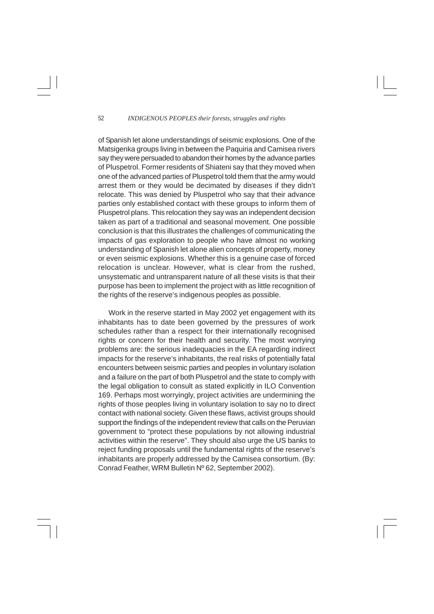of Spanish let alone understandings of seismic explosions. One of the Matsigenka groups living in between the Paquiria and Camisea rivers say they were persuaded to abandon their homes by the advance parties of Pluspetrol. Former residents of Shiateni say that they moved when one of the advanced parties of Pluspetrol told them that the army would arrest them or they would be decimated by diseases if they didn't relocate. This was denied by Pluspetrol who say that their advance parties only established contact with these groups to inform them of Pluspetrol plans. This relocation they say was an independent decision taken as part of a traditional and seasonal movement. One possible conclusion is that this illustrates the challenges of communicating the impacts of gas exploration to people who have almost no working understanding of Spanish let alone alien concepts of property, money or even seismic explosions. Whether this is a genuine case of forced relocation is unclear. However, what is clear from the rushed, unsystematic and untransparent nature of all these visits is that their purpose has been to implement the project with as little recognition of the rights of the reserve's indigenous peoples as possible.

Work in the reserve started in May 2002 yet engagement with its inhabitants has to date been governed by the pressures of work schedules rather than a respect for their internationally recognised rights or concern for their health and security. The most worrying problems are: the serious inadequacies in the EA regarding indirect impacts for the reserve's inhabitants, the real risks of potentially fatal encounters between seismic parties and peoples in voluntary isolation and a failure on the part of both Pluspetrol and the state to comply with the legal obligation to consult as stated explicitly in ILO Convention 169. Perhaps most worryingly, project activities are undermining the rights of those peoples living in voluntary isolation to say no to direct contact with national society. Given these flaws, activist groups should support the findings of the independent review that calls on the Peruvian government to "protect these populations by not allowing industrial activities within the reserve". They should also urge the US banks to reject funding proposals until the fundamental rights of the reserve's inhabitants are properly addressed by the Camisea consortium. (By: Conrad Feather, WRM Bulletin Nº 62, September 2002).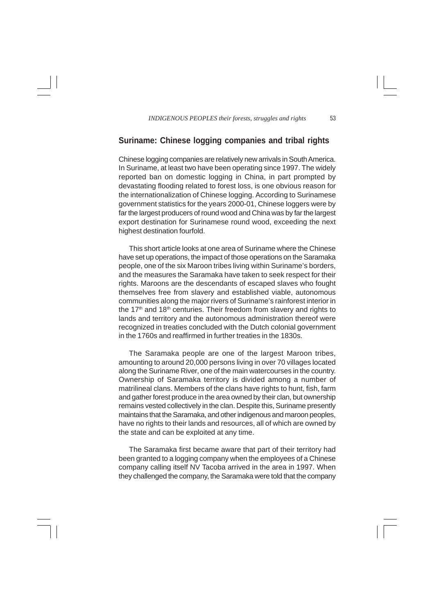# **Suriname: Chinese logging companies and tribal rights**

Chinese logging companies are relatively new arrivals in South America. In Suriname, at least two have been operating since 1997. The widely reported ban on domestic logging in China, in part prompted by devastating flooding related to forest loss, is one obvious reason for the internationalization of Chinese logging. According to Surinamese government statistics for the years 2000-01, Chinese loggers were by far the largest producers of round wood and China was by far the largest export destination for Surinamese round wood, exceeding the next highest destination fourfold.

This short article looks at one area of Suriname where the Chinese have set up operations, the impact of those operations on the Saramaka people, one of the six Maroon tribes living within Suriname's borders, and the measures the Saramaka have taken to seek respect for their rights. Maroons are the descendants of escaped slaves who fought themselves free from slavery and established viable, autonomous communities along the major rivers of Suriname's rainforest interior in the  $17<sup>th</sup>$  and  $18<sup>th</sup>$  centuries. Their freedom from slavery and rights to lands and territory and the autonomous administration thereof were recognized in treaties concluded with the Dutch colonial government in the 1760s and reaffirmed in further treaties in the 1830s.

The Saramaka people are one of the largest Maroon tribes, amounting to around 20,000 persons living in over 70 villages located along the Suriname River, one of the main watercourses in the country. Ownership of Saramaka territory is divided among a number of matrilineal clans. Members of the clans have rights to hunt, fish, farm and gather forest produce in the area owned by their clan, but ownership remains vested collectively in the clan. Despite this, Suriname presently maintains that the Saramaka, and other indigenous and maroon peoples, have no rights to their lands and resources, all of which are owned by the state and can be exploited at any time.

The Saramaka first became aware that part of their territory had been granted to a logging company when the employees of a Chinese company calling itself NV Tacoba arrived in the area in 1997. When they challenged the company, the Saramaka were told that the company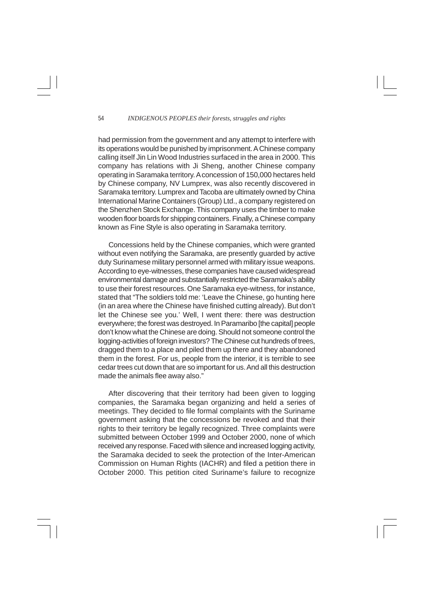had permission from the government and any attempt to interfere with its operations would be punished by imprisonment. A Chinese company calling itself Jin Lin Wood Industries surfaced in the area in 2000. This company has relations with Ji Sheng, another Chinese company operating in Saramaka territory. A concession of 150,000 hectares held by Chinese company, NV Lumprex, was also recently discovered in Saramaka territory. Lumprex and Tacoba are ultimately owned by China International Marine Containers (Group) Ltd., a company registered on the Shenzhen Stock Exchange. This company uses the timber to make wooden floor boards for shipping containers. Finally, a Chinese company known as Fine Style is also operating in Saramaka territory.

Concessions held by the Chinese companies, which were granted without even notifying the Saramaka, are presently guarded by active duty Surinamese military personnel armed with military issue weapons. According to eye-witnesses, these companies have caused widespread environmental damage and substantially restricted the Saramaka's ability to use their forest resources. One Saramaka eye-witness, for instance, stated that "The soldiers told me: 'Leave the Chinese, go hunting here (in an area where the Chinese have finished cutting already). But don't let the Chinese see you.' Well, I went there: there was destruction everywhere; the forest was destroyed. In Paramaribo [the capital] people don't know what the Chinese are doing. Should not someone control the logging-activities of foreign investors? The Chinese cut hundreds of trees, dragged them to a place and piled them up there and they abandoned them in the forest. For us, people from the interior, it is terrible to see cedar trees cut down that are so important for us. And all this destruction made the animals flee away also."

After discovering that their territory had been given to logging companies, the Saramaka began organizing and held a series of meetings. They decided to file formal complaints with the Suriname government asking that the concessions be revoked and that their rights to their territory be legally recognized. Three complaints were submitted between October 1999 and October 2000, none of which received any response. Faced with silence and increased logging activity, the Saramaka decided to seek the protection of the Inter-American Commission on Human Rights (IACHR) and filed a petition there in October 2000. This petition cited Suriname's failure to recognize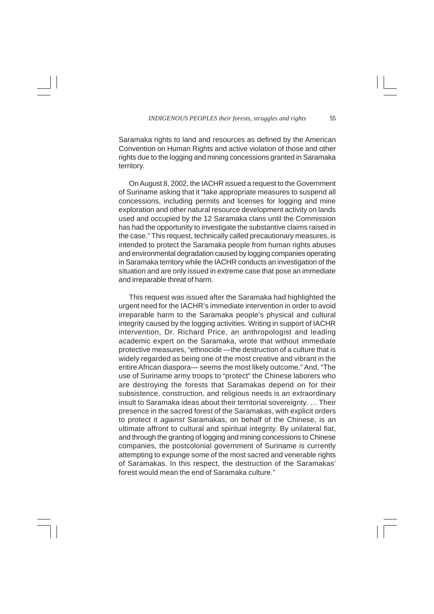Saramaka rights to land and resources as defined by the American Convention on Human Rights and active violation of those and other rights due to the logging and mining concessions granted in Saramaka territory.

On August 8, 2002, the IACHR issued a request to the Government of Suriname asking that it "take appropriate measures to suspend all concessions, including permits and licenses for logging and mine exploration and other natural resource development activity on lands used and occupied by the 12 Saramaka clans until the Commission has had the opportunity to investigate the substantive claims raised in the case." This request, technically called precautionary measures, is intended to protect the Saramaka people from human rights abuses and environmental degradation caused by logging companies operating in Saramaka territory while the IACHR conducts an investigation of the situation and are only issued in extreme case that pose an immediate and irreparable threat of harm.

This request was issued after the Saramaka had highlighted the urgent need for the IACHR's immediate intervention in order to avoid irreparable harm to the Saramaka people's physical and cultural integrity caused by the logging activities. Writing in support of IACHR intervention, Dr. Richard Price, an anthropologist and leading academic expert on the Saramaka, wrote that without immediate protective measures, "ethnocide —the destruction of a culture that is widely regarded as being one of the most creative and vibrant in the entire African diaspora— seems the most likely outcome." And, "The use of Suriname army troops to "protect" the Chinese laborers who are destroying the forests that Saramakas depend on for their subsistence, construction, and religious needs is an extraordinary insult to Saramaka ideas about their territorial sovereignty. … Their presence in the sacred forest of the Saramakas, with explicit orders to protect it *against* Saramakas, on behalf of the Chinese, is an ultimate affront to cultural and spiritual integrity. By unilateral fiat, and through the granting of logging and mining concessions to Chinese companies, the postcolonial government of Suriname is currently attempting to expunge some of the most sacred and venerable rights of Saramakas. In this respect, the destruction of the Saramakas' forest would mean the end of Saramaka culture."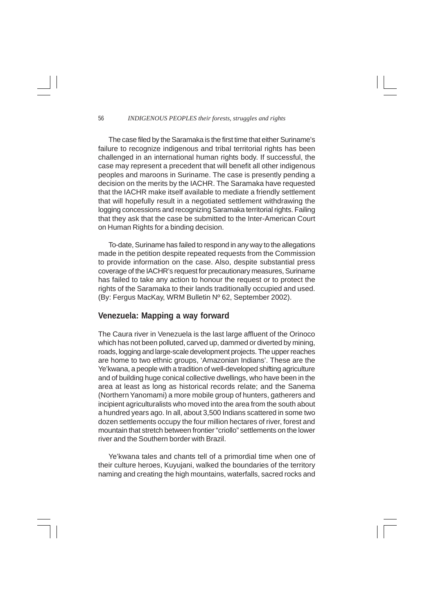The case filed by the Saramaka is the first time that either Suriname's failure to recognize indigenous and tribal territorial rights has been challenged in an international human rights body. If successful, the case may represent a precedent that will benefit all other indigenous peoples and maroons in Suriname. The case is presently pending a decision on the merits by the IACHR. The Saramaka have requested that the IACHR make itself available to mediate a friendly settlement that will hopefully result in a negotiated settlement withdrawing the logging concessions and recognizing Saramaka territorial rights. Failing that they ask that the case be submitted to the Inter-American Court on Human Rights for a binding decision.

To-date, Suriname has failed to respond in any way to the allegations made in the petition despite repeated requests from the Commission to provide information on the case. Also, despite substantial press coverage of the IACHR's request for precautionary measures, Suriname has failed to take any action to honour the request or to protect the rights of the Saramaka to their lands traditionally occupied and used. (By: Fergus MacKay, WRM Bulletin Nº 62, September 2002).

### **Venezuela: Mapping a way forward**

The Caura river in Venezuela is the last large affluent of the Orinoco which has not been polluted, carved up, dammed or diverted by mining, roads, logging and large-scale development projects. The upper reaches are home to two ethnic groups, 'Amazonian Indians'. These are the Ye'kwana, a people with a tradition of well-developed shifting agriculture and of building huge conical collective dwellings, who have been in the area at least as long as historical records relate; and the Sanema (Northern Yanomami) a more mobile group of hunters, gatherers and incipient agriculturalists who moved into the area from the south about a hundred years ago. In all, about 3,500 Indians scattered in some two dozen settlements occupy the four million hectares of river, forest and mountain that stretch between frontier "criollo" settlements on the lower river and the Southern border with Brazil.

Ye'kwana tales and chants tell of a primordial time when one of their culture heroes, Kuyujani, walked the boundaries of the territory naming and creating the high mountains, waterfalls, sacred rocks and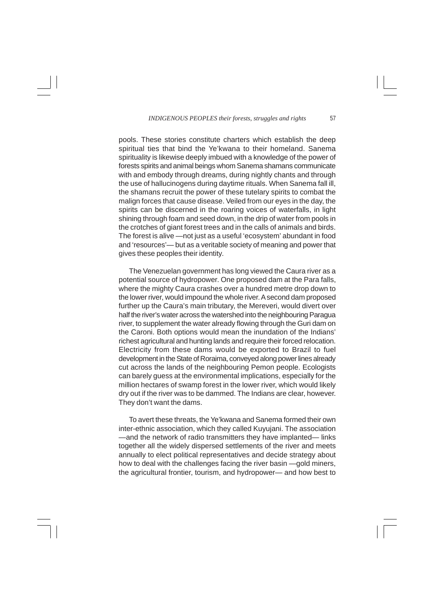pools. These stories constitute charters which establish the deep spiritual ties that bind the Ye'kwana to their homeland. Sanema spirituality is likewise deeply imbued with a knowledge of the power of forests spirits and animal beings whom Sanema shamans communicate with and embody through dreams, during nightly chants and through the use of hallucinogens during daytime rituals. When Sanema fall ill, the shamans recruit the power of these tutelary spirits to combat the malign forces that cause disease. Veiled from our eyes in the day, the spirits can be discerned in the roaring voices of waterfalls, in light shining through foam and seed down, in the drip of water from pools in the crotches of giant forest trees and in the calls of animals and birds. The forest is alive —not just as a useful 'ecosystem' abundant in food and 'resources'— but as a veritable society of meaning and power that gives these peoples their identity.

The Venezuelan government has long viewed the Caura river as a potential source of hydropower. One proposed dam at the Para falls, where the mighty Caura crashes over a hundred metre drop down to the lower river, would impound the whole river. A second dam proposed further up the Caura's main tributary, the Mereveri, would divert over half the river's water across the watershed into the neighbouring Paragua river, to supplement the water already flowing through the Guri dam on the Caroni. Both options would mean the inundation of the Indians' richest agricultural and hunting lands and require their forced relocation. Electricity from these dams would be exported to Brazil to fuel development in the State of Roraima, conveyed along power lines already cut across the lands of the neighbouring Pemon people. Ecologists can barely guess at the environmental implications, especially for the million hectares of swamp forest in the lower river, which would likely dry out if the river was to be dammed. The Indians are clear, however. They don't want the dams.

To avert these threats, the Ye'kwana and Sanema formed their own inter-ethnic association, which they called Kuyujani. The association —and the network of radio transmitters they have implanted— links together all the widely dispersed settlements of the river and meets annually to elect political representatives and decide strategy about how to deal with the challenges facing the river basin —gold miners, the agricultural frontier, tourism, and hydropower— and how best to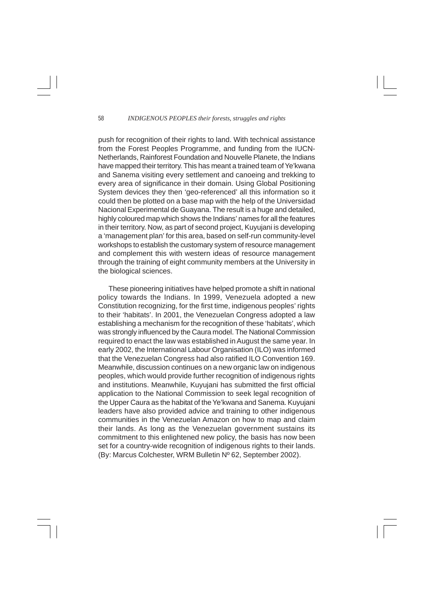push for recognition of their rights to land. With technical assistance from the Forest Peoples Programme, and funding from the IUCN-Netherlands, Rainforest Foundation and Nouvelle Planete, the Indians have mapped their territory. This has meant a trained team of Ye'kwana and Sanema visiting every settlement and canoeing and trekking to every area of significance in their domain. Using Global Positioning System devices they then 'geo-referenced' all this information so it could then be plotted on a base map with the help of the Universidad Nacional Experimental de Guayana. The result is a huge and detailed, highly coloured map which shows the Indians' names for all the features in their territory. Now, as part of second project, Kuyujani is developing a 'management plan' for this area, based on self-run community-level workshops to establish the customary system of resource management and complement this with western ideas of resource management through the training of eight community members at the University in the biological sciences.

These pioneering initiatives have helped promote a shift in national policy towards the Indians. In 1999, Venezuela adopted a new Constitution recognizing, for the first time, indigenous peoples' rights to their 'habitats'. In 2001, the Venezuelan Congress adopted a law establishing a mechanism for the recognition of these 'habitats', which was strongly influenced by the Caura model. The National Commission required to enact the law was established in August the same year. In early 2002, the International Labour Organisation (ILO) was informed that the Venezuelan Congress had also ratified ILO Convention 169. Meanwhile, discussion continues on a new organic law on indigenous peoples, which would provide further recognition of indigenous rights and institutions. Meanwhile, Kuyujani has submitted the first official application to the National Commission to seek legal recognition of the Upper Caura as the habitat of the Ye'kwana and Sanema. Kuyujani leaders have also provided advice and training to other indigenous communities in the Venezuelan Amazon on how to map and claim their lands. As long as the Venezuelan government sustains its commitment to this enlightened new policy, the basis has now been set for a country-wide recognition of indigenous rights to their lands. (By: Marcus Colchester, WRM Bulletin Nº 62, September 2002).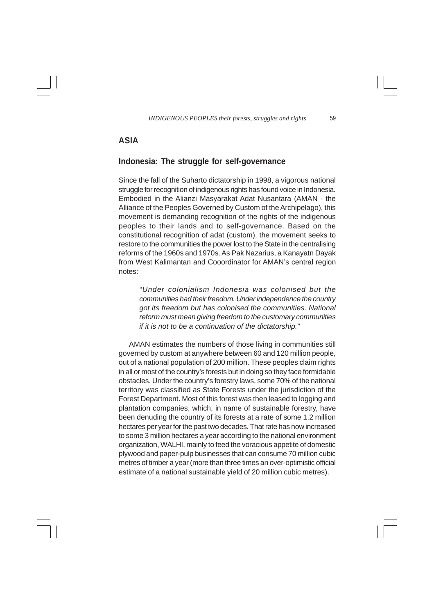# **ASIA**

### **Indonesia: The struggle for self-governance**

Since the fall of the Suharto dictatorship in 1998, a vigorous national struggle for recognition of indigenous rights has found voice in Indonesia. Embodied in the Alianzi Masyarakat Adat Nusantara (AMAN - the Alliance of the Peoples Governed by Custom of the Archipelago), this movement is demanding recognition of the rights of the indigenous peoples to their lands and to self-governance. Based on the constitutional recognition of adat (custom), the movement seeks to restore to the communities the power lost to the State in the centralising reforms of the 1960s and 1970s. As Pak Nazarius, a Kanayatn Dayak from West Kalimantan and Cooordinator for AMAN's central region notes:

*"Under colonialism Indonesia was colonised but the communities had their freedom. Under independence the country got its freedom but has colonised the communities. National reform must mean giving freedom to the customary communities if it is not to be a continuation of the dictatorship."*

AMAN estimates the numbers of those living in communities still governed by custom at anywhere between 60 and 120 million people, out of a national population of 200 million. These peoples claim rights in all or most of the country's forests but in doing so they face formidable obstacles. Under the country's forestry laws, some 70% of the national territory was classified as State Forests under the jurisdiction of the Forest Department. Most of this forest was then leased to logging and plantation companies, which, in name of sustainable forestry, have been denuding the country of its forests at a rate of some 1.2 million hectares per year for the past two decades. That rate has now increased to some 3 million hectares a year according to the national environment organization, WALHI, mainly to feed the voracious appetite of domestic plywood and paper-pulp businesses that can consume 70 million cubic metres of timber a year (more than three times an over-optimistic official estimate of a national sustainable yield of 20 million cubic metres).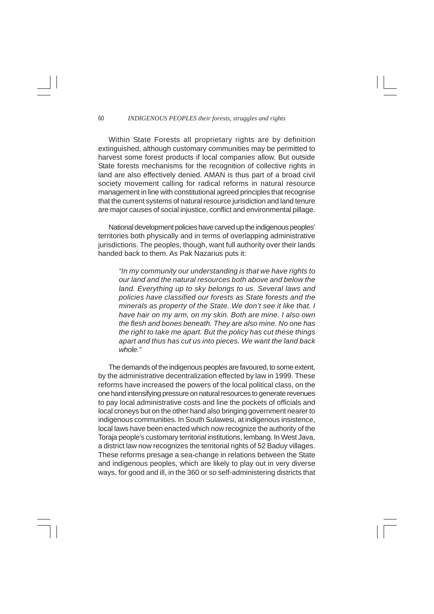Within State Forests all proprietary rights are by definition extinguished, although customary communities may be permitted to harvest some forest products if local companies allow. But outside State forests mechanisms for the recognition of collective rights in land are also effectively denied. AMAN is thus part of a broad civil society movement calling for radical reforms in natural resource management in line with constitutional agreed principles that recognise that the current systems of natural resource jurisdiction and land tenure are major causes of social injustice, conflict and environmental pillage.

National development policies have carved up the indigenous peoples' territories both physically and in terms of overlapping administrative jurisdictions. The peoples, though, want full authority over their lands handed back to them. As Pak Nazarius puts it:

*"In my community our understanding is that we have rights to our land and the natural resources both above and below the land. Everything up to sky belongs to us. Several laws and policies have classified our forests as State forests and the minerals as property of the State. We don't see it like that. I have hair on my arm, on my skin. Both are mine. I also own the flesh and bones beneath. They are also mine. No one has the right to take me apart. But the policy has cut these things apart and thus has cut us into pieces. We want the land back whole."*

The demands of the indigenous peoples are favoured, to some extent, by the administrative decentralization effected by law in 1999. These reforms have increased the powers of the local political class, on the one hand intensifying pressure on natural resources to generate revenues to pay local administrative costs and line the pockets of officials and local croneys but on the other hand also bringing government nearer to indigenous communities. In South Sulawesi, at indigenous insistence, local laws have been enacted which now recognize the authority of the Toraja people's customary territorial institutions, lembang. In West Java, a district law now recognizes the territorial rights of 52 Baduy villages. These reforms presage a sea-change in relations between the State and indigenous peoples, which are likely to play out in very diverse ways, for good and ill, in the 360 or so self-administering districts that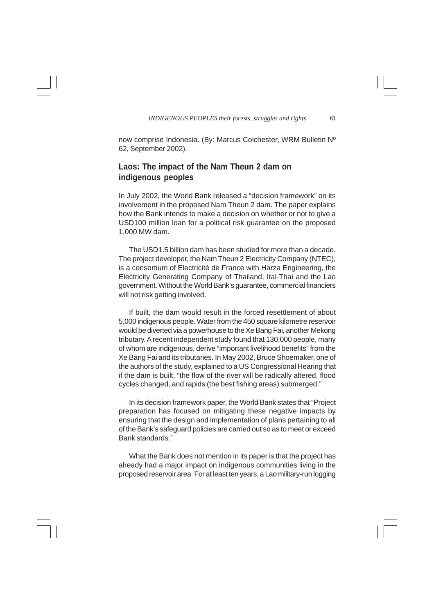now comprise Indonesia. (By: Marcus Colchester, WRM Bulletin Nº 62, September 2002).

### **Laos: The impact of the Nam Theun 2 dam on indigenous peoples**

In July 2002, the World Bank released a "decision framework" on its involvement in the proposed Nam Theun 2 dam. The paper explains how the Bank intends to make a decision on whether or not to give a USD100 million loan for a political risk guarantee on the proposed 1,000 MW dam.

The USD1.5 billion dam has been studied for more than a decade. The project developer, the Nam Theun 2 Electricity Company (NTEC), is a consortium of Electricité de France with Harza Engineering, the Electricity Generating Company of Thailand, Ital-Thai and the Lao government. Without the World Bank's guarantee, commercial financiers will not risk getting involved.

If built, the dam would result in the forced resettlement of about 5,000 indigenous people. Water from the 450 square kilometre reservoir would be diverted via a powerhouse to the Xe Bang Fai, another Mekong tributary. A recent independent study found that 130,000 people, many of whom are indigenous, derive "important livelihood benefits" from the Xe Bang Fai and its tributaries. In May 2002, Bruce Shoemaker, one of the authors of the study, explained to a US Congressional Hearing that if the dam is built, "the flow of the river will be radically altered, flood cycles changed, and rapids (the best fishing areas) submerged."

In its decision framework paper, the World Bank states that "Project preparation has focused on mitigating these negative impacts by ensuring that the design and implementation of plans pertaining to all of the Bank's safeguard policies are carried out so as to meet or exceed Bank standards."

What the Bank does not mention in its paper is that the project has already had a major impact on indigenous communities living in the proposed reservoir area. For at least ten years, a Lao military-run logging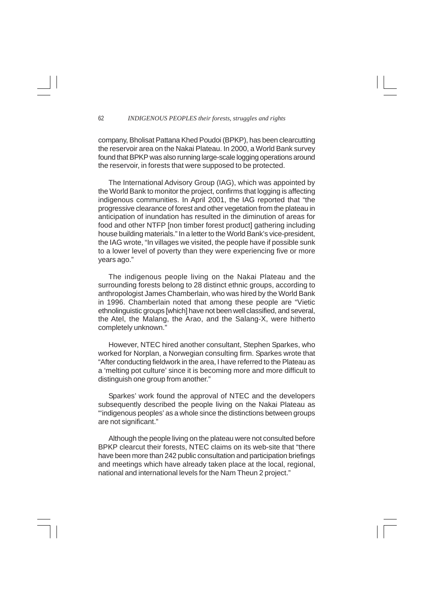company, Bholisat Pattana Khed Poudoi (BPKP), has been clearcutting the reservoir area on the Nakai Plateau. In 2000, a World Bank survey found that BPKP was also running large-scale logging operations around the reservoir, in forests that were supposed to be protected.

The International Advisory Group (IAG), which was appointed by the World Bank to monitor the project, confirms that logging is affecting indigenous communities. In April 2001, the IAG reported that "the progressive clearance of forest and other vegetation from the plateau in anticipation of inundation has resulted in the diminution of areas for food and other NTFP [non timber forest product] gathering including house building materials." In a letter to the World Bank's vice-president, the IAG wrote, "In villages we visited, the people have if possible sunk to a lower level of poverty than they were experiencing five or more years ago."

The indigenous people living on the Nakai Plateau and the surrounding forests belong to 28 distinct ethnic groups, according to anthropologist James Chamberlain, who was hired by the World Bank in 1996. Chamberlain noted that among these people are "Vietic ethnolinguistic groups [which] have not been well classified, and several, the Atel, the Malang, the Arao, and the Salang-X, were hitherto completely unknown."

However, NTEC hired another consultant, Stephen Sparkes, who worked for Norplan, a Norwegian consulting firm. Sparkes wrote that "After conducting fieldwork in the area, I have referred to the Plateau as a 'melting pot culture' since it is becoming more and more difficult to distinguish one group from another."

Sparkes' work found the approval of NTEC and the developers subsequently described the people living on the Nakai Plateau as "'indigenous peoples' as a whole since the distinctions between groups are not significant."

Although the people living on the plateau were not consulted before BPKP clearcut their forests, NTEC claims on its web-site that "there have been more than 242 public consultation and participation briefings and meetings which have already taken place at the local, regional, national and international levels for the Nam Theun 2 project."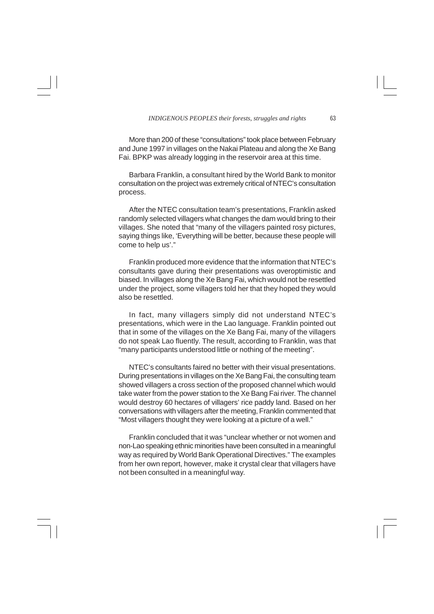More than 200 of these "consultations" took place between February and June 1997 in villages on the Nakai Plateau and along the Xe Bang Fai. BPKP was already logging in the reservoir area at this time.

Barbara Franklin, a consultant hired by the World Bank to monitor consultation on the project was extremely critical of NTEC's consultation process.

After the NTEC consultation team's presentations, Franklin asked randomly selected villagers what changes the dam would bring to their villages. She noted that "many of the villagers painted rosy pictures, saying things like, 'Everything will be better, because these people will come to help us'."

Franklin produced more evidence that the information that NTEC's consultants gave during their presentations was overoptimistic and biased. In villages along the Xe Bang Fai, which would not be resettled under the project, some villagers told her that they hoped they would also be resettled.

In fact, many villagers simply did not understand NTEC's presentations, which were in the Lao language. Franklin pointed out that in some of the villages on the Xe Bang Fai, many of the villagers do not speak Lao fluently. The result, according to Franklin, was that "many participants understood little or nothing of the meeting".

NTEC's consultants faired no better with their visual presentations. During presentations in villages on the Xe Bang Fai, the consulting team showed villagers a cross section of the proposed channel which would take water from the power station to the Xe Bang Fai river. The channel would destroy 60 hectares of villagers' rice paddy land. Based on her conversations with villagers after the meeting, Franklin commented that "Most villagers thought they were looking at a picture of a well."

Franklin concluded that it was "unclear whether or not women and non-Lao speaking ethnic minorities have been consulted in a meaningful way as required by World Bank Operational Directives." The examples from her own report, however, make it crystal clear that villagers have not been consulted in a meaningful way.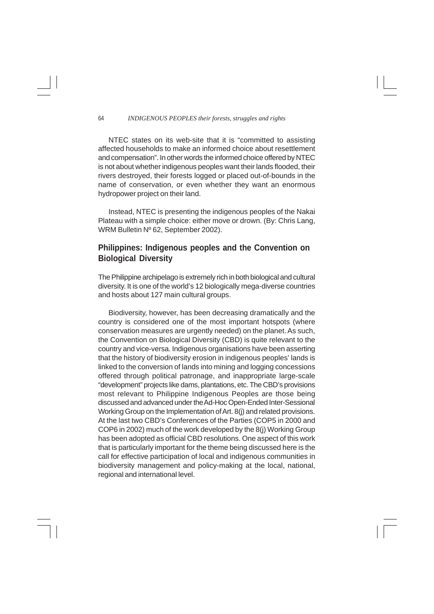NTEC states on its web-site that it is "committed to assisting affected households to make an informed choice about resettlement and compensation". In other words the informed choice offered by NTEC is not about whether indigenous peoples want their lands flooded, their rivers destroyed, their forests logged or placed out-of-bounds in the name of conservation, or even whether they want an enormous hydropower project on their land.

Instead, NTEC is presenting the indigenous peoples of the Nakai Plateau with a simple choice: either move or drown. (By: Chris Lang, WRM Bulletin Nº 62, September 2002).

### **Philippines: Indigenous peoples and the Convention on Biological Diversity**

The Philippine archipelago is extremely rich in both biological and cultural diversity. It is one of the world's 12 biologically mega-diverse countries and hosts about 127 main cultural groups.

Biodiversity, however, has been decreasing dramatically and the country is considered one of the most important hotspots (where conservation measures are urgently needed) on the planet. As such, the Convention on Biological Diversity (CBD) is quite relevant to the country and vice-versa. Indigenous organisations have been asserting that the history of biodiversity erosion in indigenous peoples' lands is linked to the conversion of lands into mining and logging concessions offered through political patronage, and inappropriate large-scale "development" projects like dams, plantations, etc. The CBD's provisions most relevant to Philippine Indigenous Peoples are those being discussed and advanced under the Ad-Hoc Open-Ended Inter-Sessional Working Group on the Implementation of Art. 8(j) and related provisions. At the last two CBD's Conferences of the Parties (COP5 in 2000 and COP6 in 2002) much of the work developed by the 8(j) Working Group has been adopted as official CBD resolutions. One aspect of this work that is particularly important for the theme being discussed here is the call for effective participation of local and indigenous communities in biodiversity management and policy-making at the local, national, regional and international level.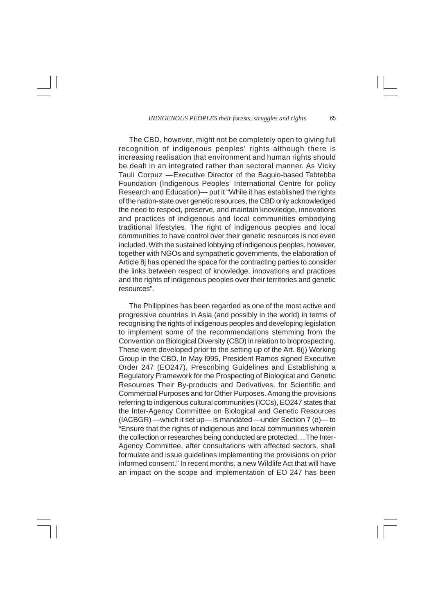The CBD, however, might not be completely open to giving full recognition of indigenous peoples' rights although there is increasing realisation that environment and human rights should be dealt in an integrated rather than sectoral manner. As Vicky Tauli Corpuz —Executive Director of the Baguio-based Tebtebba Foundation (Indigenous Peoples' International Centre for policy Research and Education)— put it "While it has established the rights of the nation-state over genetic resources, the CBD only acknowledged the need to respect, preserve, and maintain knowledge, innovations and practices of indigenous and local communities embodying traditional lifestyles. The right of indigenous peoples and local communities to have control over their genetic resources is not even included. With the sustained lobbying of indigenous peoples, however, together with NGOs and sympathetic governments, the elaboration of Article 8j has opened the space for the contracting parties to consider the links between respect of knowledge, innovations and practices and the rights of indigenous peoples over their territories and genetic resources".

The Philippines has been regarded as one of the most active and progressive countries in Asia (and possibly in the world) in terms of recognising the rights of indigenous peoples and developing legislation to implement some of the recommendations stemming from the Convention on Biological Diversity (CBD) in relation to bioprospecting. These were developed prior to the setting up of the Art. 8(j) Working Group in the CBD. In May l995, President Ramos signed Executive Order 247 (EO247), Prescribing Guidelines and Establishing a Regulatory Framework for the Prospecting of Biological and Genetic Resources Their By-products and Derivatives, for Scientific and Commercial Purposes and for Other Purposes. Among the provisions referring to indigenous cultural communities (ICCs), EO247 states that the Inter-Agency Committee on Biological and Genetic Resources (IACBGR) —which it set up— is mandated —under Section 7 (e)— to "Ensure that the rights of indigenous and local communities wherein the collection or researches being conducted are protected, ...The Inter-Agency Committee, after consultations with affected sectors, shall formulate and issue guidelines implementing the provisions on prior informed consent." In recent months, a new Wildlife Act that will have an impact on the scope and implementation of EO 247 has been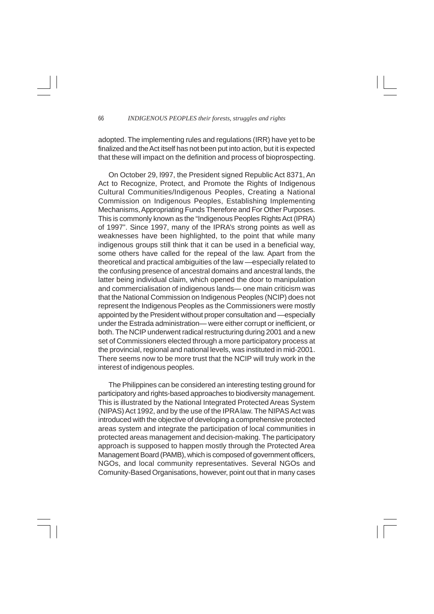adopted. The implementing rules and regulations (IRR) have yet to be finalized and the Act itself has not been put into action, but it is expected that these will impact on the definition and process of bioprospecting.

On October 29, l997, the President signed Republic Act 8371, An Act to Recognize, Protect, and Promote the Rights of Indigenous Cultural Communities/Indigenous Peoples, Creating a National Commission on Indigenous Peoples, Establishing Implementing Mechanisms, Appropriating Funds Therefore and For Other Purposes. This is commonly known as the "Indigenous Peoples Rights Act (IPRA) of 1997". Since 1997, many of the IPRA's strong points as well as weaknesses have been highlighted, to the point that while many indigenous groups still think that it can be used in a beneficial way, some others have called for the repeal of the law. Apart from the theoretical and practical ambiguities of the law —especially related to the confusing presence of ancestral domains and ancestral lands, the latter being individual claim, which opened the door to manipulation and commercialisation of indigenous lands— one main criticism was that the National Commission on Indigenous Peoples (NCIP) does not represent the Indigenous Peoples as the Commissioners were mostly appointed by the President without proper consultation and —especially under the Estrada administration— were either corrupt or inefficient, or both. The NCIP underwent radical restructuring during 2001 and a new set of Commissioners elected through a more participatory process at the provincial, regional and national levels, was instituted in mid-2001. There seems now to be more trust that the NCIP will truly work in the interest of indigenous peoples.

The Philippines can be considered an interesting testing ground for participatory and rights-based approaches to biodiversity management. This is illustrated by the National Integrated Protected Areas System (NIPAS) Act 1992, and by the use of the IPRA law. The NIPAS Act was introduced with the objective of developing a comprehensive protected areas system and integrate the participation of local communities in protected areas management and decision-making. The participatory approach is supposed to happen mostly through the Protected Area Management Board (PAMB), which is composed of government officers, NGOs, and local community representatives. Several NGOs and Comunity-Based Organisations, however, point out that in many cases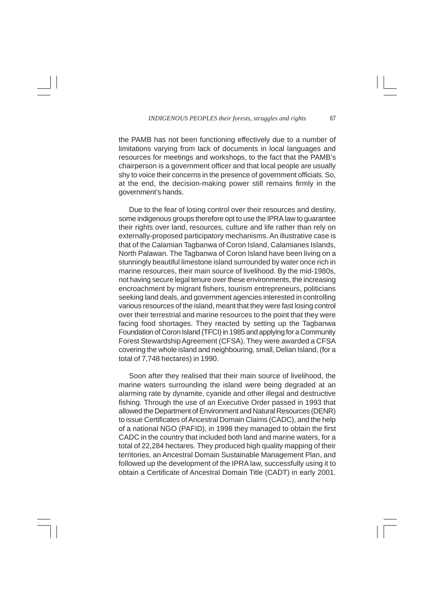the PAMB has not been functioning effectively due to a number of limitations varying from lack of documents in local languages and resources for meetings and workshops, to the fact that the PAMB's chairperson is a government officer and that local people are usually shy to voice their concerns in the presence of government officials. So, at the end, the decision-making power still remains firmly in the government's hands.

Due to the fear of losing control over their resources and destiny, some indigenous groups therefore opt to use the IPRA law to guarantee their rights over land, resources, culture and life rather than rely on externally-proposed participatory mechanisms. An illustrative case is that of the Calamian Tagbanwa of Coron Island, Calamianes Islands, North Palawan. The Tagbanwa of Coron Island have been living on a stunningly beautiful limestone island surrounded by water once rich in marine resources, their main source of livelihood. By the mid-1980s, not having secure legal tenure over these environments, the increasing encroachment by migrant fishers, tourism entrepreneurs, politicians seeking land deals, and government agencies interested in controlling various resources of the island, meant that they were fast losing control over their terrestrial and marine resources to the point that they were facing food shortages. They reacted by setting up the Tagbanwa Foundation of Coron Island (TFCI) in 1985 and applying for a Community Forest Stewardship Agreement (CFSA). They were awarded a CFSA covering the whole island and neighbouring, small, Delian Island, (for a total of 7,748 hectares) in 1990.

Soon after they realised that their main source of livelihood, the marine waters surrounding the island were being degraded at an alarming rate by dynamite, cyanide and other illegal and destructive fishing. Through the use of an Executive Order passed in 1993 that allowed the Department of Environment and Natural Resources (DENR) to issue Certificates of Ancestral Domain Claims (CADC), and the help of a national NGO (PAFID), in 1998 they managed to obtain the first CADC in the country that included both land and marine waters, for a total of 22,284 hectares. They produced high quality mapping of their territories, an Ancestral Domain Sustainable Management Plan, and followed up the development of the IPRA law, successfully using it to obtain a Certificate of Ancestral Domain Title (CADT) in early 2001.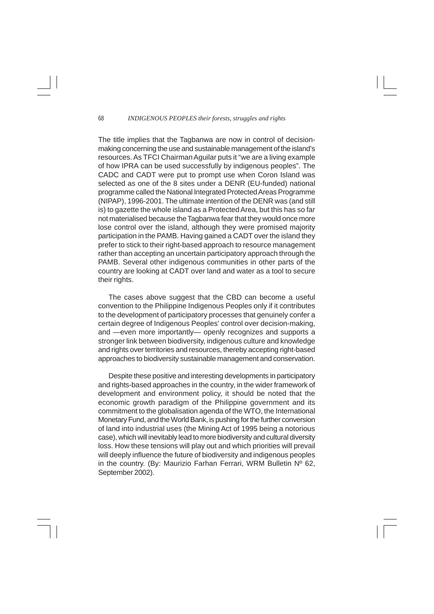The title implies that the Tagbanwa are now in control of decisionmaking concerning the use and sustainable management of the island's resources. As TFCI Chairman Aguilar puts it "we are a living example of how IPRA can be used successfully by indigenous peoples". The CADC and CADT were put to prompt use when Coron Island was selected as one of the 8 sites under a DENR (EU-funded) national programme called the National Integrated Protected Areas Programme (NIPAP), 1996-2001. The ultimate intention of the DENR was (and still is) to gazette the whole island as a Protected Area, but this has so far not materialised because the Tagbanwa fear that they would once more lose control over the island, although they were promised majority participation in the PAMB. Having gained a CADT over the island they prefer to stick to their right-based approach to resource management rather than accepting an uncertain participatory approach through the PAMB. Several other indigenous communities in other parts of the country are looking at CADT over land and water as a tool to secure their rights.

The cases above suggest that the CBD can become a useful convention to the Philippine Indigenous Peoples only if it contributes to the development of participatory processes that genuinely confer a certain degree of Indigenous Peoples' control over decision-making, and —even more importantly— openly recognizes and supports a stronger link between biodiversity, indigenous culture and knowledge and rights over territories and resources, thereby accepting right-based approaches to biodiversity sustainable management and conservation.

Despite these positive and interesting developments in participatory and rights-based approaches in the country, in the wider framework of development and environment policy, it should be noted that the economic growth paradigm of the Philippine government and its commitment to the globalisation agenda of the WTO, the International Monetary Fund, and the World Bank, is pushing for the further conversion of land into industrial uses (the Mining Act of 1995 being a notorious case), which will inevitably lead to more biodiversity and cultural diversity loss. How these tensions will play out and which priorities will prevail will deeply influence the future of biodiversity and indigenous peoples in the country. (By: Maurizio Farhan Ferrari, WRM Bulletin Nº 62, September 2002).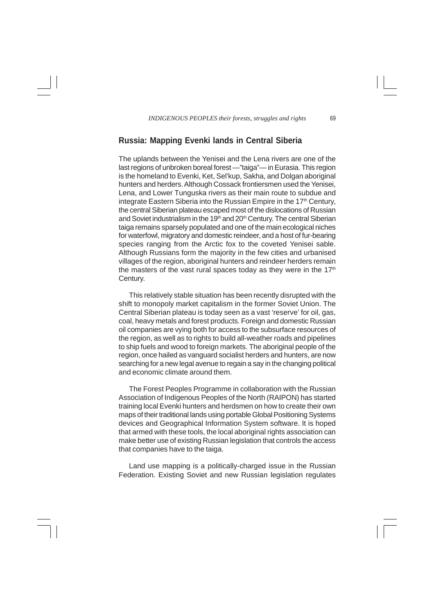### **Russia: Mapping Evenki lands in Central Siberia**

The uplands between the Yenisei and the Lena rivers are one of the last regions of unbroken boreal forest —"taiga"— in Eurasia. This region is the homeland to Evenki, Ket, Sel'kup, Sakha, and Dolgan aboriginal hunters and herders. Although Cossack frontiersmen used the Yenisei, Lena, and Lower Tunguska rivers as their main route to subdue and integrate Eastern Siberia into the Russian Empire in the 17<sup>th</sup> Century, the central Siberian plateau escaped most of the dislocations of Russian and Soviet industrialism in the 19<sup>th</sup> and 20<sup>th</sup> Century. The central Siberian taiga remains sparsely populated and one of the main ecological niches for waterfowl, migratory and domestic reindeer, and a host of fur-bearing species ranging from the Arctic fox to the coveted Yenisei sable. Although Russians form the majority in the few cities and urbanised villages of the region, aboriginal hunters and reindeer herders remain the masters of the vast rural spaces today as they were in the  $17<sup>th</sup>$ Century.

This relatively stable situation has been recently disrupted with the shift to monopoly market capitalism in the former Soviet Union. The Central Siberian plateau is today seen as a vast 'reserve' for oil, gas, coal, heavy metals and forest products. Foreign and domestic Russian oil companies are vying both for access to the subsurface resources of the region, as well as to rights to build all-weather roads and pipelines to ship fuels and wood to foreign markets. The aboriginal people of the region, once hailed as vanguard socialist herders and hunters, are now searching for a new legal avenue to regain a say in the changing political and economic climate around them.

The Forest Peoples Programme in collaboration with the Russian Association of Indigenous Peoples of the North (RAIPON) has started training local Evenki hunters and herdsmen on how to create their own maps of their traditional lands using portable Global Positioning Systems devices and Geographical Information System software. It is hoped that armed with these tools, the local aboriginal rights association can make better use of existing Russian legislation that controls the access that companies have to the taiga.

Land use mapping is a politically-charged issue in the Russian Federation. Existing Soviet and new Russian legislation regulates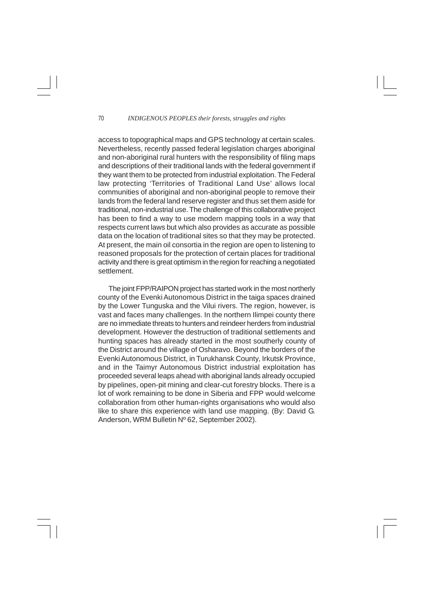access to topographical maps and GPS technology at certain scales. Nevertheless, recently passed federal legislation charges aboriginal and non-aboriginal rural hunters with the responsibility of filing maps and descriptions of their traditional lands with the federal government if they want them to be protected from industrial exploitation. The Federal law protecting 'Territories of Traditional Land Use' allows local communities of aboriginal and non-aboriginal people to remove their lands from the federal land reserve register and thus set them aside for traditional, non-industrial use. The challenge of this collaborative project has been to find a way to use modern mapping tools in a way that respects current laws but which also provides as accurate as possible data on the location of traditional sites so that they may be protected. At present, the main oil consortia in the region are open to listening to reasoned proposals for the protection of certain places for traditional activity and there is great optimism in the region for reaching a negotiated settlement.

The joint FPP/RAIPON project has started work in the most northerly county of the Evenki Autonomous District in the taiga spaces drained by the Lower Tunguska and the Vilui rivers. The region, however, is vast and faces many challenges. In the northern Ilimpei county there are no immediate threats to hunters and reindeer herders from industrial development. However the destruction of traditional settlements and hunting spaces has already started in the most southerly county of the District around the village of Osharavo. Beyond the borders of the Evenki Autonomous District, in Turukhansk County, Irkutsk Province, and in the Taimyr Autonomous District industrial exploitation has proceeded several leaps ahead with aboriginal lands already occupied by pipelines, open-pit mining and clear-cut forestry blocks. There is a lot of work remaining to be done in Siberia and FPP would welcome collaboration from other human-rights organisations who would also like to share this experience with land use mapping. (By: David G. Anderson, WRM Bulletin Nº 62, September 2002).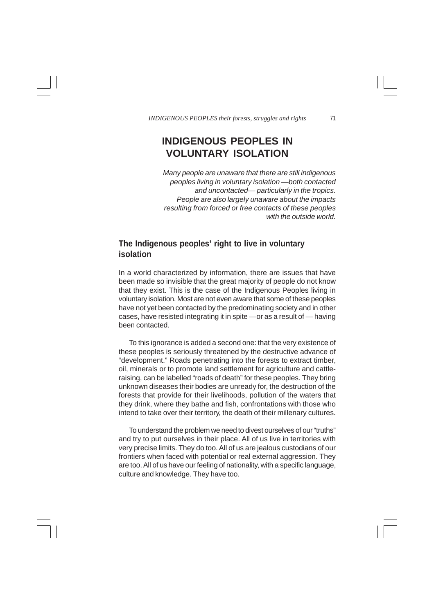# **INDIGENOUS PEOPLES IN VOLUNTARY ISOLATION**

*Many people are unaware that there are still indigenous peoples living in voluntary isolation —both contacted and uncontacted— particularly in the tropics. People are also largely unaware about the impacts resulting from forced or free contacts of these peoples with the outside world.*

### **The Indigenous peoples' right to live in voluntary isolation**

In a world characterized by information, there are issues that have been made so invisible that the great majority of people do not know that they exist. This is the case of the Indigenous Peoples living in voluntary isolation. Most are not even aware that some of these peoples have not yet been contacted by the predominating society and in other cases, have resisted integrating it in spite —or as a result of — having been contacted.

To this ignorance is added a second one: that the very existence of these peoples is seriously threatened by the destructive advance of "development." Roads penetrating into the forests to extract timber, oil, minerals or to promote land settlement for agriculture and cattleraising, can be labelled "roads of death" for these peoples. They bring unknown diseases their bodies are unready for, the destruction of the forests that provide for their livelihoods, pollution of the waters that they drink, where they bathe and fish, confrontations with those who intend to take over their territory, the death of their millenary cultures.

To understand the problem we need to divest ourselves of our "truths" and try to put ourselves in their place. All of us live in territories with very precise limits. They do too. All of us are jealous custodians of our frontiers when faced with potential or real external aggression. They are too. All of us have our feeling of nationality, with a specific language, culture and knowledge. They have too.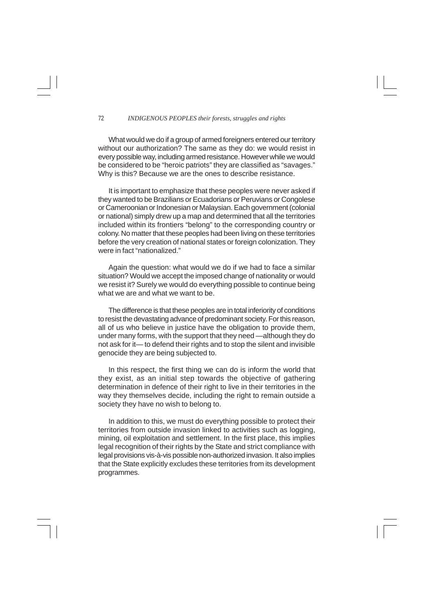What would we do if a group of armed foreigners entered our territory without our authorization? The same as they do: we would resist in every possible way, including armed resistance. However while we would be considered to be "heroic patriots" they are classified as "savages." Why is this? Because we are the ones to describe resistance.

It is important to emphasize that these peoples were never asked if they wanted to be Brazilians or Ecuadorians or Peruvians or Congolese or Cameroonian or Indonesian or Malaysian. Each government (colonial or national) simply drew up a map and determined that all the territories included within its frontiers "belong" to the corresponding country or colony. No matter that these peoples had been living on these territories before the very creation of national states or foreign colonization. They were in fact "nationalized."

Again the question: what would we do if we had to face a similar situation? Would we accept the imposed change of nationality or would we resist it? Surely we would do everything possible to continue being what we are and what we want to be.

The difference is that these peoples are in total inferiority of conditions to resist the devastating advance of predominant society. For this reason, all of us who believe in justice have the obligation to provide them, under many forms, with the support that they need —although they do not ask for it— to defend their rights and to stop the silent and invisible genocide they are being subjected to.

In this respect, the first thing we can do is inform the world that they exist, as an initial step towards the objective of gathering determination in defence of their right to live in their territories in the way they themselves decide, including the right to remain outside a society they have no wish to belong to.

In addition to this, we must do everything possible to protect their territories from outside invasion linked to activities such as logging, mining, oil exploitation and settlement. In the first place, this implies legal recognition of their rights by the State and strict compliance with legal provisions vis-à-vis possible non-authorized invasion. It also implies that the State explicitly excludes these territories from its development programmes.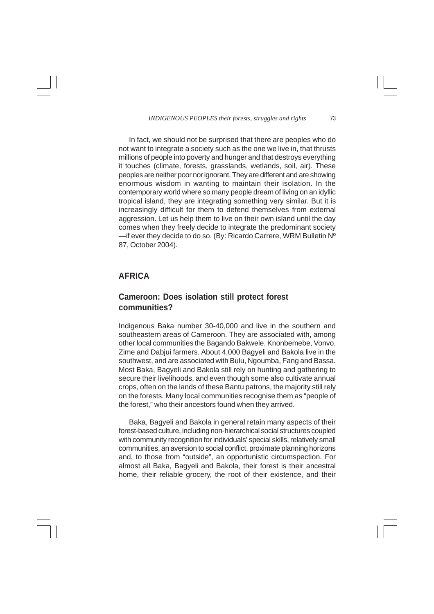In fact, we should not be surprised that there are peoples who do not want to integrate a society such as the one we live in, that thrusts millions of people into poverty and hunger and that destroys everything it touches (climate, forests, grasslands, wetlands, soil, air). These peoples are neither poor nor ignorant. They are different and are showing enormous wisdom in wanting to maintain their isolation. In the contemporary world where so many people dream of living on an idyllic tropical island, they are integrating something very similar. But it is increasingly difficult for them to defend themselves from external aggression. Let us help them to live on their own island until the day comes when they freely decide to integrate the predominant society —if ever they decide to do so. (By: Ricardo Carrere, WRM Bulletin N<sup>o</sup> 87, October 2004).

## **AFRICA**

## **Cameroon: Does isolation still protect forest communities?**

Indigenous Baka number 30-40,000 and live in the southern and southeastern areas of Cameroon. They are associated with, among other local communities the Bagando Bakwele, Knonbemebe, Vonvo, Zime and Dabjui farmers. About 4,000 Bagyeli and Bakola live in the southwest, and are associated with Bulu, Ngoumba, Fang and Bassa. Most Baka, Bagyeli and Bakola still rely on hunting and gathering to secure their livelihoods, and even though some also cultivate annual crops, often on the lands of these Bantu patrons, the majority still rely on the forests. Many local communities recognise them as "people of the forest," who their ancestors found when they arrived.

Baka, Bagyeli and Bakola in general retain many aspects of their forest-based culture, including non-hierarchical social structures coupled with community recognition for individuals' special skills, relatively small communities, an aversion to social conflict, proximate planning horizons and, to those from "outside", an opportunistic circumspection. For almost all Baka, Bagyeli and Bakola, their forest is their ancestral home, their reliable grocery, the root of their existence, and their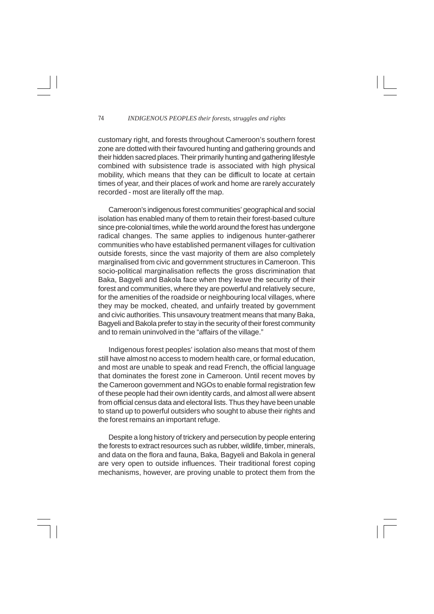customary right, and forests throughout Cameroon's southern forest zone are dotted with their favoured hunting and gathering grounds and their hidden sacred places. Their primarily hunting and gathering lifestyle combined with subsistence trade is associated with high physical mobility, which means that they can be difficult to locate at certain times of year, and their places of work and home are rarely accurately recorded - most are literally off the map.

Cameroon's indigenous forest communities' geographical and social isolation has enabled many of them to retain their forest-based culture since pre-colonial times, while the world around the forest has undergone radical changes. The same applies to indigenous hunter-gatherer communities who have established permanent villages for cultivation outside forests, since the vast majority of them are also completely marginalised from civic and government structures in Cameroon. This socio-political marginalisation reflects the gross discrimination that Baka, Bagyeli and Bakola face when they leave the security of their forest and communities, where they are powerful and relatively secure, for the amenities of the roadside or neighbouring local villages, where they may be mocked, cheated, and unfairly treated by government and civic authorities. This unsavoury treatment means that many Baka, Bagyeli and Bakola prefer to stay in the security of their forest community and to remain uninvolved in the "affairs of the village."

Indigenous forest peoples' isolation also means that most of them still have almost no access to modern health care, or formal education, and most are unable to speak and read French, the official language that dominates the forest zone in Cameroon. Until recent moves by the Cameroon government and NGOs to enable formal registration few of these people had their own identity cards, and almost all were absent from official census data and electoral lists. Thus they have been unable to stand up to powerful outsiders who sought to abuse their rights and the forest remains an important refuge.

Despite a long history of trickery and persecution by people entering the forests to extract resources such as rubber, wildlife, timber, minerals, and data on the flora and fauna, Baka, Bagyeli and Bakola in general are very open to outside influences. Their traditional forest coping mechanisms, however, are proving unable to protect them from the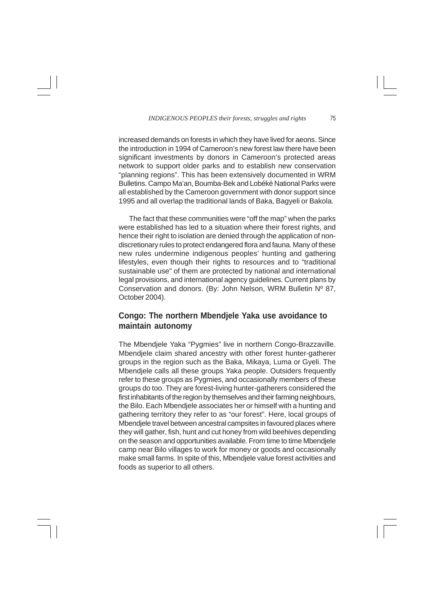increased demands on forests in which they have lived for aeons. Since the introduction in 1994 of Cameroon's new forest law there have been significant investments by donors in Cameroon's protected areas network to support older parks and to establish new conservation "planning regions". This has been extensively documented in WRM Bulletins. Campo Ma'an, Boumba-Bek and Lobéké National Parks were all established by the Cameroon government with donor support since 1995 and all overlap the traditional lands of Baka, Bagyeli or Bakola.

The fact that these communities were "off the map" when the parks were established has led to a situation where their forest rights, and hence their right to isolation are denied through the application of nondiscretionary rules to protect endangered flora and fauna. Many of these new rules undermine indigenous peoples' hunting and gathering lifestyles, even though their rights to resources and to "traditional sustainable use" of them are protected by national and international legal provisions, and international agency guidelines. Current plans by Conservation and donors. (By: John Nelson, WRM Bulletin Nº 87, October 2004).

# **Congo: The northern Mbendjele Yaka use avoidance to maintain autonomy**

The Mbendjele Yaka "Pygmies" live in northern Congo-Brazzaville. Mbendjele claim shared ancestry with other forest hunter-gatherer groups in the region such as the Baka, Mikaya, Luma or Gyeli. The Mbendjele calls all these groups Yaka people. Outsiders frequently refer to these groups as Pygmies, and occasionally members of these groups do too. They are forest-living hunter-gatherers considered the first inhabitants of the region by themselves and their farming neighbours, the Bilo. Each Mbendjele associates her or himself with a hunting and gathering territory they refer to as "our forest". Here, local groups of Mbendjele travel between ancestral campsites in favoured places where they will gather, fish, hunt and cut honey from wild beehives depending on the season and opportunities available. From time to time Mbendjele camp near Bilo villages to work for money or goods and occasionally make small farms. In spite of this, Mbendjele value forest activities and foods as superior to all others.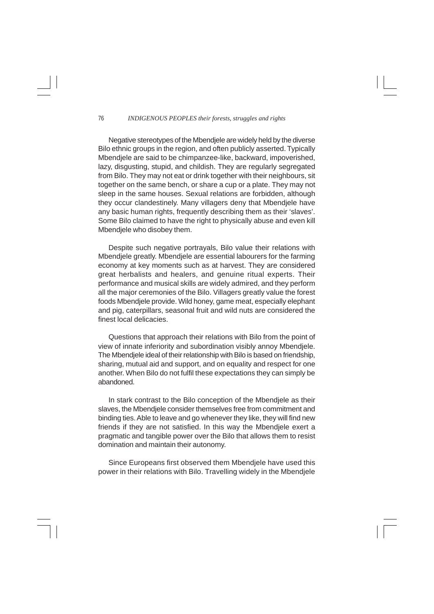Negative stereotypes of the Mbendjele are widely held by the diverse Bilo ethnic groups in the region, and often publicly asserted. Typically Mbendjele are said to be chimpanzee-like, backward, impoverished, lazy, disgusting, stupid, and childish. They are regularly segregated from Bilo. They may not eat or drink together with their neighbours, sit together on the same bench, or share a cup or a plate. They may not sleep in the same houses. Sexual relations are forbidden, although they occur clandestinely. Many villagers deny that Mbendjele have any basic human rights, frequently describing them as their 'slaves'. Some Bilo claimed to have the right to physically abuse and even kill Mbendjele who disobey them.

Despite such negative portrayals, Bilo value their relations with Mbendjele greatly. Mbendjele are essential labourers for the farming economy at key moments such as at harvest. They are considered great herbalists and healers, and genuine ritual experts. Their performance and musical skills are widely admired, and they perform all the major ceremonies of the Bilo. Villagers greatly value the forest foods Mbendjele provide. Wild honey, game meat, especially elephant and pig, caterpillars, seasonal fruit and wild nuts are considered the finest local delicacies.

Questions that approach their relations with Bilo from the point of view of innate inferiority and subordination visibly annoy Mbendjele. The Mbendjele ideal of their relationship with Bilo is based on friendship, sharing, mutual aid and support, and on equality and respect for one another. When Bilo do not fulfil these expectations they can simply be abandoned.

In stark contrast to the Bilo conception of the Mbendjele as their slaves, the Mbendjele consider themselves free from commitment and binding ties. Able to leave and go whenever they like, they will find new friends if they are not satisfied. In this way the Mbendjele exert a pragmatic and tangible power over the Bilo that allows them to resist domination and maintain their autonomy.

Since Europeans first observed them Mbendjele have used this power in their relations with Bilo. Travelling widely in the Mbendjele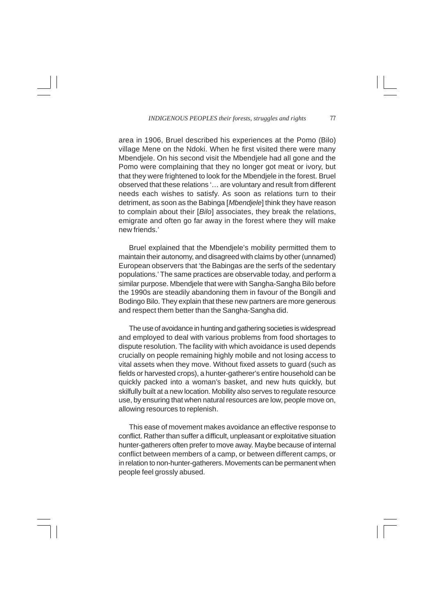area in 1906, Bruel described his experiences at the Pomo (Bilo) village Mene on the Ndoki. When he first visited there were many Mbendjele. On his second visit the Mbendjele had all gone and the Pomo were complaining that they no longer got meat or ivory, but that they were frightened to look for the Mbendjele in the forest. Bruel observed that these relations '… are voluntary and result from different needs each wishes to satisfy. As soon as relations turn to their detriment, as soon as the Babinga [*Mbendjele*] think they have reason to complain about their [*Bilo*] associates, they break the relations, emigrate and often go far away in the forest where they will make new friends.'

Bruel explained that the Mbendjele's mobility permitted them to maintain their autonomy, and disagreed with claims by other (unnamed) European observers that 'the Babingas are the serfs of the sedentary populations.' The same practices are observable today, and perform a similar purpose. Mbendjele that were with Sangha-Sangha Bilo before the 1990s are steadily abandoning them in favour of the Bongili and Bodingo Bilo. They explain that these new partners are more generous and respect them better than the Sangha-Sangha did.

The use of avoidance in hunting and gathering societies is widespread and employed to deal with various problems from food shortages to dispute resolution. The facility with which avoidance is used depends crucially on people remaining highly mobile and not losing access to vital assets when they move. Without fixed assets to guard (such as fields or harvested crops), a hunter-gatherer's entire household can be quickly packed into a woman's basket, and new huts quickly, but skilfully built at a new location. Mobility also serves to regulate resource use, by ensuring that when natural resources are low, people move on, allowing resources to replenish.

This ease of movement makes avoidance an effective response to conflict. Rather than suffer a difficult, unpleasant or exploitative situation hunter-gatherers often prefer to move away. Maybe because of internal conflict between members of a camp, or between different camps, or in relation to non-hunter-gatherers. Movements can be permanent when people feel grossly abused.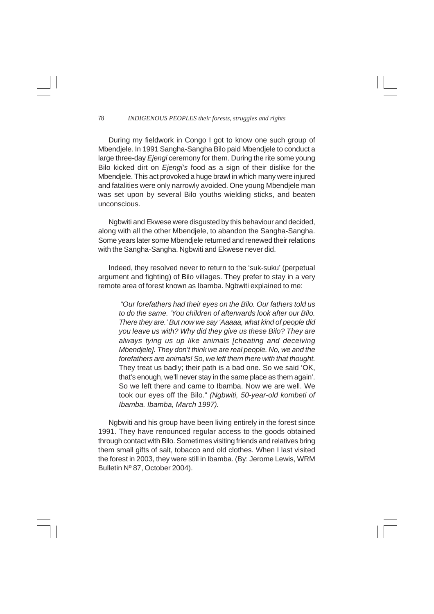During my fieldwork in Congo I got to know one such group of Mbendjele. In 1991 Sangha-Sangha Bilo paid Mbendjele to conduct a large three-day *Ejengi* ceremony for them. During the rite some young Bilo kicked dirt on *Ejengi's* food as a sign of their dislike for the Mbendjele. This act provoked a huge brawl in which many were injured and fatalities were only narrowly avoided. One young Mbendjele man was set upon by several Bilo youths wielding sticks, and beaten unconscious.

Ngbwiti and Ekwese were disgusted by this behaviour and decided, along with all the other Mbendjele, to abandon the Sangha-Sangha. Some years later some Mbendjele returned and renewed their relations with the Sangha-Sangha. Ngbwiti and Ekwese never did.

Indeed, they resolved never to return to the 'suk-suku' (perpetual argument and fighting) of Bilo villages. They prefer to stay in a very remote area of forest known as Ibamba. Ngbwiti explained to me:

 *"Our forefathers had their eyes on the Bilo. Our fathers told us to do the same. 'You children of afterwards look after our Bilo. There they are.' But now we say 'Aaaaa, what kind of people did you leave us with? Why did they give us these Bilo? They are always tying us up like animals [cheating and deceiving Mbendjele]. They don't think we are real people. No, we and the forefathers are animals! So, we left them there with that thought.* They treat us badly; their path is a bad one. So we said 'OK, that's enough, we'll never stay in the same place as them again'. So we left there and came to Ibamba. Now we are well. We took our eyes off the Bilo." *(Ngbwiti, 50-year-old kombeti of Ibamba. Ibamba, March 1997).*

Ngbwiti and his group have been living entirely in the forest since 1991. They have renounced regular access to the goods obtained through contact with Bilo. Sometimes visiting friends and relatives bring them small gifts of salt, tobacco and old clothes. When I last visited the forest in 2003, they were still in Ibamba. (By: Jerome Lewis, WRM Bulletin Nº 87, October 2004).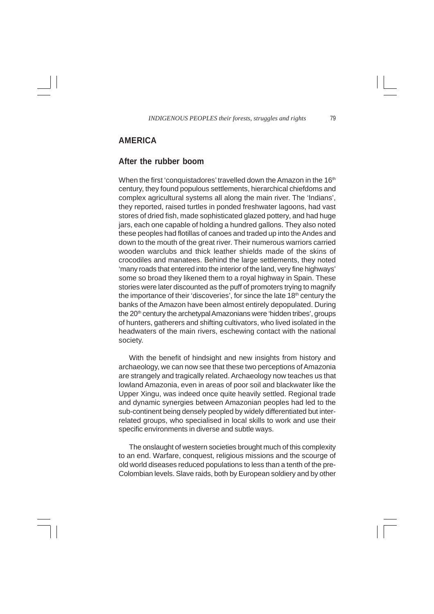## **AMERICA**

### **After the rubber boom**

When the first 'conquistadores' travelled down the Amazon in the 16<sup>th</sup> century, they found populous settlements, hierarchical chiefdoms and complex agricultural systems all along the main river. The 'Indians', they reported, raised turtles in ponded freshwater lagoons, had vast stores of dried fish, made sophisticated glazed pottery, and had huge jars, each one capable of holding a hundred gallons. They also noted these peoples had flotillas of canoes and traded up into the Andes and down to the mouth of the great river. Their numerous warriors carried wooden warclubs and thick leather shields made of the skins of crocodiles and manatees. Behind the large settlements, they noted 'many roads that entered into the interior of the land, very fine highways' some so broad they likened them to a royal highway in Spain. These stories were later discounted as the puff of promoters trying to magnify the importance of their 'discoveries', for since the late 18<sup>th</sup> century the banks of the Amazon have been almost entirely depopulated. During the 20<sup>th</sup> century the archetypal Amazonians were 'hidden tribes', groups of hunters, gatherers and shifting cultivators, who lived isolated in the headwaters of the main rivers, eschewing contact with the national society.

With the benefit of hindsight and new insights from history and archaeology, we can now see that these two perceptions of Amazonia are strangely and tragically related. Archaeology now teaches us that lowland Amazonia, even in areas of poor soil and blackwater like the Upper Xingu, was indeed once quite heavily settled. Regional trade and dynamic synergies between Amazonian peoples had led to the sub-continent being densely peopled by widely differentiated but interrelated groups, who specialised in local skills to work and use their specific environments in diverse and subtle ways.

The onslaught of western societies brought much of this complexity to an end. Warfare, conquest, religious missions and the scourge of old world diseases reduced populations to less than a tenth of the pre-Colombian levels. Slave raids, both by European soldiery and by other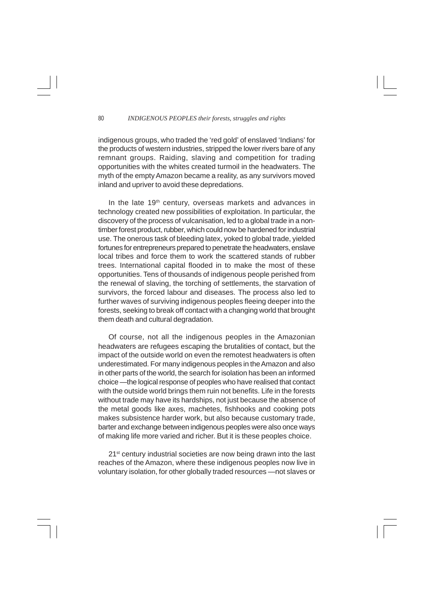indigenous groups, who traded the 'red gold' of enslaved 'Indians' for the products of western industries, stripped the lower rivers bare of any remnant groups. Raiding, slaving and competition for trading opportunities with the whites created turmoil in the headwaters. The myth of the empty Amazon became a reality, as any survivors moved inland and upriver to avoid these depredations.

In the late 19<sup>th</sup> century, overseas markets and advances in technology created new possibilities of exploitation. In particular, the discovery of the process of vulcanisation, led to a global trade in a nontimber forest product, rubber, which could now be hardened for industrial use. The onerous task of bleeding latex, yoked to global trade, yielded fortunes for entrepreneurs prepared to penetrate the headwaters, enslave local tribes and force them to work the scattered stands of rubber trees. International capital flooded in to make the most of these opportunities. Tens of thousands of indigenous people perished from the renewal of slaving, the torching of settlements, the starvation of survivors, the forced labour and diseases. The process also led to further waves of surviving indigenous peoples fleeing deeper into the forests, seeking to break off contact with a changing world that brought them death and cultural degradation.

Of course, not all the indigenous peoples in the Amazonian headwaters are refugees escaping the brutalities of contact, but the impact of the outside world on even the remotest headwaters is often underestimated. For many indigenous peoples in the Amazon and also in other parts of the world, the search for isolation has been an informed choice —the logical response of peoples who have realised that contact with the outside world brings them ruin not benefits. Life in the forests without trade may have its hardships, not just because the absence of the metal goods like axes, machetes, fishhooks and cooking pots makes subsistence harder work, but also because customary trade, barter and exchange between indigenous peoples were also once ways of making life more varied and richer. But it is these peoples choice.

21<sup>st</sup> century industrial societies are now being drawn into the last reaches of the Amazon, where these indigenous peoples now live in voluntary isolation, for other globally traded resources —not slaves or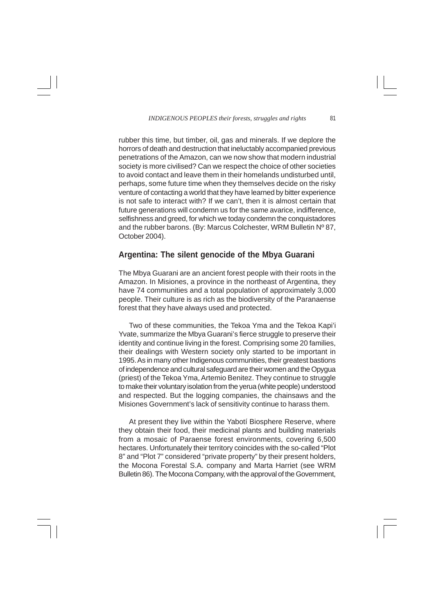rubber this time, but timber, oil, gas and minerals. If we deplore the horrors of death and destruction that ineluctably accompanied previous penetrations of the Amazon, can we now show that modern industrial society is more civilised? Can we respect the choice of other societies to avoid contact and leave them in their homelands undisturbed until, perhaps, some future time when they themselves decide on the risky venture of contacting a world that they have learned by bitter experience is not safe to interact with? If we can't, then it is almost certain that future generations will condemn us for the same avarice, indifference, selfishness and greed, for which we today condemn the conquistadores and the rubber barons. (By: Marcus Colchester, WRM Bulletin Nº 87, October 2004).

### **Argentina: The silent genocide of the Mbya Guarani**

The Mbya Guarani are an ancient forest people with their roots in the Amazon. In Misiones, a province in the northeast of Argentina, they have 74 communities and a total population of approximately 3,000 people. Their culture is as rich as the biodiversity of the Paranaense forest that they have always used and protected.

Two of these communities, the Tekoa Yma and the Tekoa Kapi'i Yvate, summarize the Mbya Guarani's fierce struggle to preserve their identity and continue living in the forest. Comprising some 20 families, their dealings with Western society only started to be important in 1995. As in many other Indigenous communities, their greatest bastions of independence and cultural safeguard are their women and the Opygua (priest) of the Tekoa Yma, Artemio Benitez. They continue to struggle to make their voluntary isolation from the yerua (white people) understood and respected. But the logging companies, the chainsaws and the Misiones Government's lack of sensitivity continue to harass them.

At present they live within the Yabotí Biosphere Reserve, where they obtain their food, their medicinal plants and building materials from a mosaic of Paraense forest environments, covering 6,500 hectares. Unfortunately their territory coincides with the so-called "Plot 8" and "Plot 7" considered "private property" by their present holders, the Mocona Forestal S.A. company and Marta Harriet (see WRM Bulletin 86). The Mocona Company, with the approval of the Government,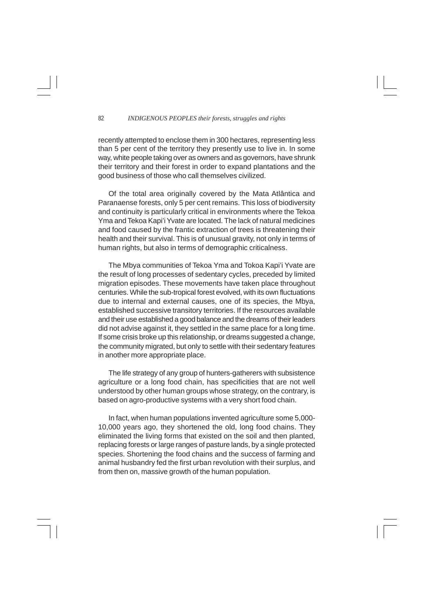recently attempted to enclose them in 300 hectares, representing less than 5 per cent of the territory they presently use to live in. In some way, white people taking over as owners and as governors, have shrunk their territory and their forest in order to expand plantations and the good business of those who call themselves civilized.

Of the total area originally covered by the Mata Atlântica and Paranaense forests, only 5 per cent remains. This loss of biodiversity and continuity is particularly critical in environments where the Tekoa Yma and Tekoa Kapi'i Yvate are located. The lack of natural medicines and food caused by the frantic extraction of trees is threatening their health and their survival. This is of unusual gravity, not only in terms of human rights, but also in terms of demographic criticalness.

The Mbya communities of Tekoa Yma and Tokoa Kapi'i Yvate are the result of long processes of sedentary cycles, preceded by limited migration episodes. These movements have taken place throughout centuries. While the sub-tropical forest evolved, with its own fluctuations due to internal and external causes, one of its species, the Mbya, established successive transitory territories. If the resources available and their use established a good balance and the dreams of their leaders did not advise against it, they settled in the same place for a long time. If some crisis broke up this relationship, or dreams suggested a change, the community migrated, but only to settle with their sedentary features in another more appropriate place.

The life strategy of any group of hunters-gatherers with subsistence agriculture or a long food chain, has specificities that are not well understood by other human groups whose strategy, on the contrary, is based on agro-productive systems with a very short food chain.

In fact, when human populations invented agriculture some 5,000- 10,000 years ago, they shortened the old, long food chains. They eliminated the living forms that existed on the soil and then planted, replacing forests or large ranges of pasture lands, by a single protected species. Shortening the food chains and the success of farming and animal husbandry fed the first urban revolution with their surplus, and from then on, massive growth of the human population.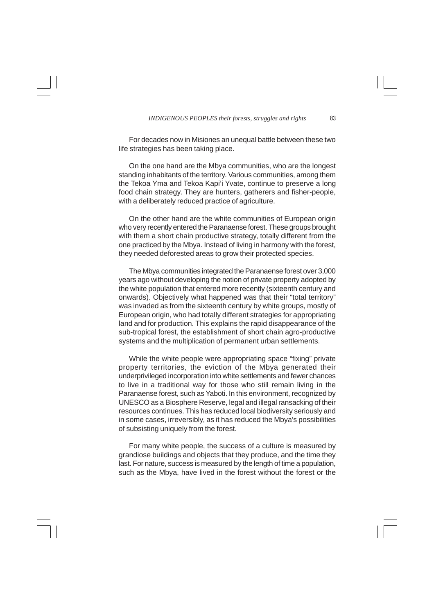For decades now in Misiones an unequal battle between these two life strategies has been taking place.

On the one hand are the Mbya communities, who are the longest standing inhabitants of the territory. Various communities, among them the Tekoa Yma and Tekoa Kapi'i Yvate, continue to preserve a long food chain strategy. They are hunters, gatherers and fisher-people, with a deliberately reduced practice of agriculture.

On the other hand are the white communities of European origin who very recently entered the Paranaense forest. These groups brought with them a short chain productive strategy, totally different from the one practiced by the Mbya. Instead of living in harmony with the forest, they needed deforested areas to grow their protected species.

The Mbya communities integrated the Paranaense forest over 3,000 years ago without developing the notion of private property adopted by the white population that entered more recently (sixteenth century and onwards). Objectively what happened was that their "total territory" was invaded as from the sixteenth century by white groups, mostly of European origin, who had totally different strategies for appropriating land and for production. This explains the rapid disappearance of the sub-tropical forest, the establishment of short chain agro-productive systems and the multiplication of permanent urban settlements.

While the white people were appropriating space "fixing" private property territories, the eviction of the Mbya generated their underprivileged incorporation into white settlements and fewer chances to live in a traditional way for those who still remain living in the Paranaense forest, such as Yaboti. In this environment, recognized by UNESCO as a Biosphere Reserve, legal and illegal ransacking of their resources continues. This has reduced local biodiversity seriously and in some cases, irreversibly, as it has reduced the Mbya's possibilities of subsisting uniquely from the forest.

For many white people, the success of a culture is measured by grandiose buildings and objects that they produce, and the time they last. For nature, success is measured by the length of time a population, such as the Mbya, have lived in the forest without the forest or the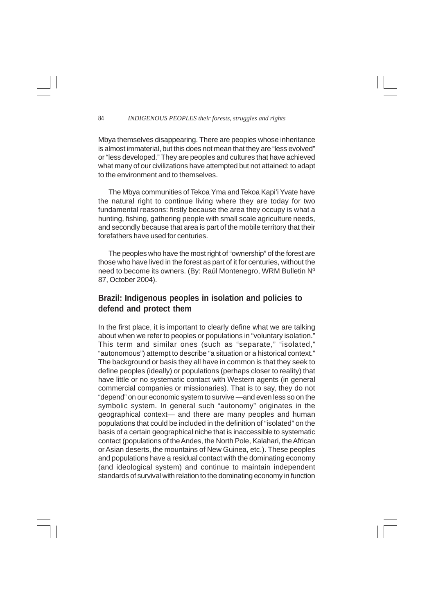Mbya themselves disappearing. There are peoples whose inheritance is almost immaterial, but this does not mean that they are "less evolved" or "less developed." They are peoples and cultures that have achieved what many of our civilizations have attempted but not attained: to adapt to the environment and to themselves.

The Mbya communities of Tekoa Yma and Tekoa Kapi'i Yvate have the natural right to continue living where they are today for two fundamental reasons: firstly because the area they occupy is what a hunting, fishing, gathering people with small scale agriculture needs, and secondly because that area is part of the mobile territory that their forefathers have used for centuries.

The peoples who have the most right of "ownership" of the forest are those who have lived in the forest as part of it for centuries, without the need to become its owners. (By: Raúl Montenegro, WRM Bulletin Nº 87, October 2004).

## **Brazil: Indigenous peoples in isolation and policies to defend and protect them**

In the first place, it is important to clearly define what we are talking about when we refer to peoples or populations in "voluntary isolation." This term and similar ones (such as "separate," "isolated," "autonomous") attempt to describe "a situation or a historical context." The background or basis they all have in common is that they seek to define peoples (ideally) or populations (perhaps closer to reality) that have little or no systematic contact with Western agents (in general commercial companies or missionaries). That is to say, they do not "depend" on our economic system to survive —and even less so on the symbolic system. In general such "autonomy" originates in the geographical context— and there are many peoples and human populations that could be included in the definition of "isolated" on the basis of a certain geographical niche that is inaccessible to systematic contact (populations of the Andes, the North Pole, Kalahari, the African or Asian deserts, the mountains of New Guinea, etc.). These peoples and populations have a residual contact with the dominating economy (and ideological system) and continue to maintain independent standards of survival with relation to the dominating economy in function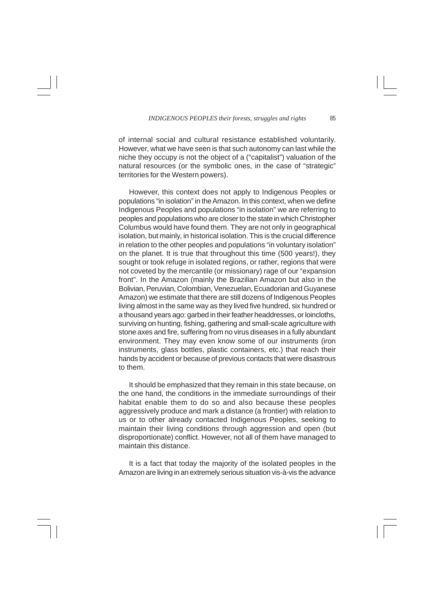of internal social and cultural resistance established voluntarily. However, what we have seen is that such autonomy can last while the niche they occupy is not the object of a ("capitalist") valuation of the natural resources (or the symbolic ones, in the case of "strategic" territories for the Western powers).

However, this context does not apply to Indigenous Peoples or populations "in isolation" in the Amazon. In this context, when we define Indigenous Peoples and populations "in isolation" we are referring to peoples and populations who are closer to the state in which Christopher Columbus would have found them. They are not only in geographical isolation, but mainly, in historical isolation. This is the crucial difference in relation to the other peoples and populations "in voluntary isolation" on the planet. It is true that throughout this time (500 years!), they sought or took refuge in isolated regions, or rather, regions that were not coveted by the mercantile (or missionary) rage of our "expansion front". In the Amazon (mainly the Brazilian Amazon but also in the Bolivian, Peruvian, Colombian, Venezuelan, Ecuadorian and Guyanese Amazon) we estimate that there are still dozens of Indigenous Peoples living almost in the same way as they lived five hundred, six hundred or a thousand years ago: garbed in their feather headdresses, or loincloths, surviving on hunting, fishing, gathering and small-scale agriculture with stone axes and fire, suffering from no virus diseases in a fully abundant environment. They may even know some of our instruments (iron instruments, glass bottles, plastic containers, etc.) that reach their hands by accident or because of previous contacts that were disastrous to them.

It should be emphasized that they remain in this state because, on the one hand, the conditions in the immediate surroundings of their habitat enable them to do so and also because these peoples aggressively produce and mark a distance (a frontier) with relation to us or to other already contacted Indigenous Peoples, seeking to maintain their living conditions through aggression and open (but disproportionate) conflict. However, not all of them have managed to maintain this distance.

It is a fact that today the majority of the isolated peoples in the Amazon are living in an extremely serious situation vis-à-vis the advance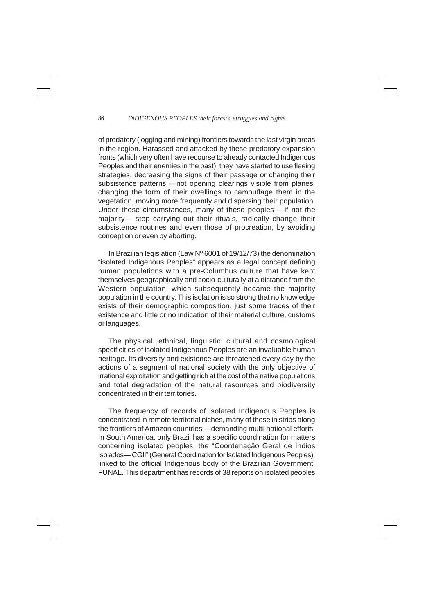of predatory (logging and mining) frontiers towards the last virgin areas in the region. Harassed and attacked by these predatory expansion fronts (which very often have recourse to already contacted Indigenous Peoples and their enemies in the past), they have started to use fleeing strategies, decreasing the signs of their passage or changing their subsistence patterns —not opening clearings visible from planes, changing the form of their dwellings to camouflage them in the vegetation, moving more frequently and dispersing their population. Under these circumstances, many of these peoples —if not the majority— stop carrying out their rituals, radically change their subsistence routines and even those of procreation, by avoiding conception or even by aborting.

In Brazilian legislation (Law Nº 6001 of 19/12/73) the denomination "isolated Indigenous Peoples" appears as a legal concept defining human populations with a pre-Columbus culture that have kept themselves geographically and socio-culturally at a distance from the Western population, which subsequently became the majority population in the country. This isolation is so strong that no knowledge exists of their demographic composition, just some traces of their existence and little or no indication of their material culture, customs or languages.

The physical, ethnical, linguistic, cultural and cosmological specificities of isolated Indigenous Peoples are an invaluable human heritage. Its diversity and existence are threatened every day by the actions of a segment of national society with the only objective of irrational exploitation and getting rich at the cost of the native populations and total degradation of the natural resources and biodiversity concentrated in their territories.

The frequency of records of isolated Indigenous Peoples is concentrated in remote territorial niches, many of these in strips along the frontiers of Amazon countries —demanding multi-national efforts. In South America, only Brazil has a specific coordination for matters concerning isolated peoples, the "Coordenação Geral de Índios Isolados— CGII" (General Coordination for Isolated Indigenous Peoples), linked to the official Indigenous body of the Brazilian Government, FUNAL. This department has records of 38 reports on isolated peoples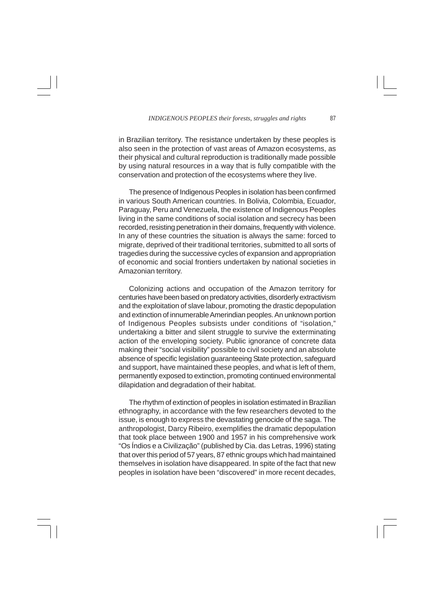in Brazilian territory. The resistance undertaken by these peoples is also seen in the protection of vast areas of Amazon ecosystems, as their physical and cultural reproduction is traditionally made possible by using natural resources in a way that is fully compatible with the conservation and protection of the ecosystems where they live.

The presence of Indigenous Peoples in isolation has been confirmed in various South American countries. In Bolivia, Colombia, Ecuador, Paraguay, Peru and Venezuela, the existence of Indigenous Peoples living in the same conditions of social isolation and secrecy has been recorded, resisting penetration in their domains, frequently with violence. In any of these countries the situation is always the same: forced to migrate, deprived of their traditional territories, submitted to all sorts of tragedies during the successive cycles of expansion and appropriation of economic and social frontiers undertaken by national societies in Amazonian territory.

Colonizing actions and occupation of the Amazon territory for centuries have been based on predatory activities, disorderly extractivism and the exploitation of slave labour, promoting the drastic depopulation and extinction of innumerable Amerindian peoples. An unknown portion of Indigenous Peoples subsists under conditions of "isolation," undertaking a bitter and silent struggle to survive the exterminating action of the enveloping society. Public ignorance of concrete data making their "social visibility" possible to civil society and an absolute absence of specific legislation guaranteeing State protection, safeguard and support, have maintained these peoples, and what is left of them, permanently exposed to extinction, promoting continued environmental dilapidation and degradation of their habitat.

The rhythm of extinction of peoples in isolation estimated in Brazilian ethnography, in accordance with the few researchers devoted to the issue, is enough to express the devastating genocide of the saga. The anthropologist, Darcy Ribeiro, exemplifies the dramatic depopulation that took place between 1900 and 1957 in his comprehensive work "Os Índios e a Civilização" (published by Cia. das Letras, 1996) stating that over this period of 57 years, 87 ethnic groups which had maintained themselves in isolation have disappeared. In spite of the fact that new peoples in isolation have been "discovered" in more recent decades,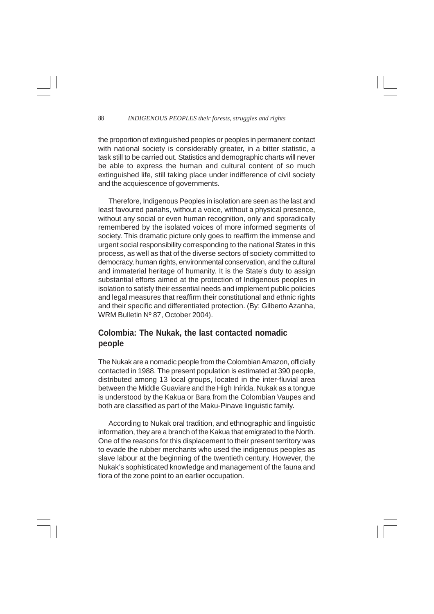the proportion of extinguished peoples or peoples in permanent contact with national society is considerably greater, in a bitter statistic, a task still to be carried out. Statistics and demographic charts will never be able to express the human and cultural content of so much extinguished life, still taking place under indifference of civil society and the acquiescence of governments.

Therefore, Indigenous Peoples in isolation are seen as the last and least favoured pariahs, without a voice, without a physical presence, without any social or even human recognition, only and sporadically remembered by the isolated voices of more informed segments of society. This dramatic picture only goes to reaffirm the immense and urgent social responsibility corresponding to the national States in this process, as well as that of the diverse sectors of society committed to democracy, human rights, environmental conservation, and the cultural and immaterial heritage of humanity. It is the State's duty to assign substantial efforts aimed at the protection of Indigenous peoples in isolation to satisfy their essential needs and implement public policies and legal measures that reaffirm their constitutional and ethnic rights and their specific and differentiated protection. (By: Gilberto Azanha, WRM Bulletin Nº 87, October 2004).

## **Colombia: The Nukak, the last contacted nomadic people**

The Nukak are a nomadic people from the Colombian Amazon, officially contacted in 1988. The present population is estimated at 390 people, distributed among 13 local groups, located in the inter-fluvial area between the Middle Guaviare and the High Inírida. Nukak as a tongue is understood by the Kakua or Bara from the Colombian Vaupes and both are classified as part of the Maku-Pinave linguistic family.

According to Nukak oral tradition, and ethnographic and linguistic information, they are a branch of the Kakua that emigrated to the North. One of the reasons for this displacement to their present territory was to evade the rubber merchants who used the indigenous peoples as slave labour at the beginning of the twentieth century. However, the Nukak's sophisticated knowledge and management of the fauna and flora of the zone point to an earlier occupation.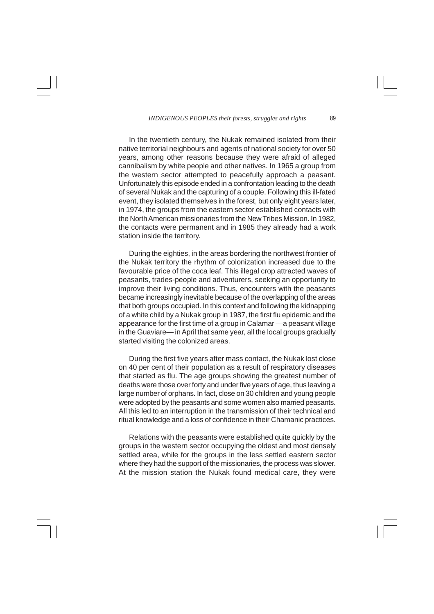In the twentieth century, the Nukak remained isolated from their native territorial neighbours and agents of national society for over 50 years, among other reasons because they were afraid of alleged cannibalism by white people and other natives. In 1965 a group from the western sector attempted to peacefully approach a peasant. Unfortunately this episode ended in a confrontation leading to the death of several Nukak and the capturing of a couple. Following this ill-fated event, they isolated themselves in the forest, but only eight years later, in 1974, the groups from the eastern sector established contacts with the North American missionaries from the New Tribes Mission. In 1982, the contacts were permanent and in 1985 they already had a work station inside the territory.

During the eighties, in the areas bordering the northwest frontier of the Nukak territory the rhythm of colonization increased due to the favourable price of the coca leaf. This illegal crop attracted waves of peasants, trades-people and adventurers, seeking an opportunity to improve their living conditions. Thus, encounters with the peasants became increasingly inevitable because of the overlapping of the areas that both groups occupied. In this context and following the kidnapping of a white child by a Nukak group in 1987, the first flu epidemic and the appearance for the first time of a group in Calamar —a peasant village in the Guaviare— in April that same year, all the local groups gradually started visiting the colonized areas.

During the first five years after mass contact, the Nukak lost close on 40 per cent of their population as a result of respiratory diseases that started as flu. The age groups showing the greatest number of deaths were those over forty and under five years of age, thus leaving a large number of orphans. In fact, close on 30 children and young people were adopted by the peasants and some women also married peasants. All this led to an interruption in the transmission of their technical and ritual knowledge and a loss of confidence in their Chamanic practices.

Relations with the peasants were established quite quickly by the groups in the western sector occupying the oldest and most densely settled area, while for the groups in the less settled eastern sector where they had the support of the missionaries, the process was slower. At the mission station the Nukak found medical care, they were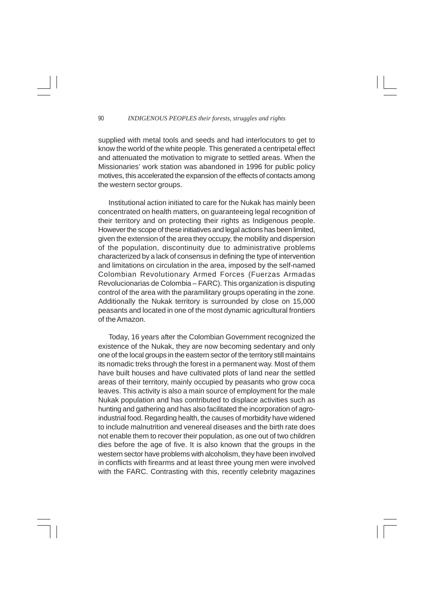supplied with metal tools and seeds and had interlocutors to get to know the world of the white people. This generated a centripetal effect and attenuated the motivation to migrate to settled areas. When the Missionaries' work station was abandoned in 1996 for public policy motives, this accelerated the expansion of the effects of contacts among the western sector groups.

Institutional action initiated to care for the Nukak has mainly been concentrated on health matters, on guaranteeing legal recognition of their territory and on protecting their rights as Indigenous people. However the scope of these initiatives and legal actions has been limited, given the extension of the area they occupy, the mobility and dispersion of the population, discontinuity due to administrative problems characterized by a lack of consensus in defining the type of intervention and limitations on circulation in the area, imposed by the self-named Colombian Revolutionary Armed Forces (Fuerzas Armadas Revolucionarias de Colombia – FARC). This organization is disputing control of the area with the paramilitary groups operating in the zone. Additionally the Nukak territory is surrounded by close on 15,000 peasants and located in one of the most dynamic agricultural frontiers of the Amazon.

Today, 16 years after the Colombian Government recognized the existence of the Nukak, they are now becoming sedentary and only one of the local groups in the eastern sector of the territory still maintains its nomadic treks through the forest in a permanent way. Most of them have built houses and have cultivated plots of land near the settled areas of their territory, mainly occupied by peasants who grow coca leaves. This activity is also a main source of employment for the male Nukak population and has contributed to displace activities such as hunting and gathering and has also facilitated the incorporation of agroindustrial food. Regarding health, the causes of morbidity have widened to include malnutrition and venereal diseases and the birth rate does not enable them to recover their population, as one out of two children dies before the age of five. It is also known that the groups in the western sector have problems with alcoholism, they have been involved in conflicts with firearms and at least three young men were involved with the FARC. Contrasting with this, recently celebrity magazines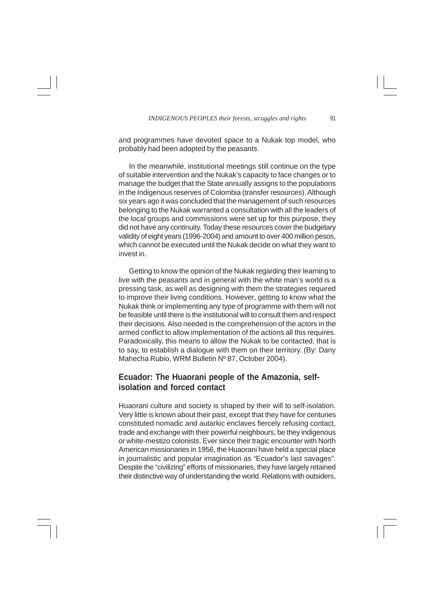and programmes have devoted space to a Nukak top model, who probably had been adopted by the peasants.

In the meanwhile, institutional meetings still continue on the type of suitable intervention and the Nukak's capacity to face changes or to manage the budget that the State annually assigns to the populations in the Indigenous reserves of Colombia (transfer resources). Although six years ago it was concluded that the management of such resources belonging to the Nukak warranted a consultation with all the leaders of the local groups and commissions were set up for this purpose, they did not have any continuity. Today these resources cover the budgetary validity of eight years (1996-2004) and amount to over 400 million pesos, which cannot be executed until the Nukak decide on what they want to invest in.

Getting to know the opinion of the Nukak regarding their learning to live with the peasants and in general with the white man's world is a pressing task, as well as designing with them the strategies required to improve their living conditions. However, getting to know what the Nukak think or implementing any type of programme with them will not be feasible until there is the institutional will to consult them and respect their decisions. Also needed is the comprehension of the actors in the armed conflict to allow implementation of the actions all this requires. Paradoxically, this means to allow the Nukak to be contacted, that is to say, to establish a dialogue with them on their territory. (By: Dany Mahecha Rubio, WRM Bulletin Nº 87, October 2004).

### **Ecuador: The Huaorani people of the Amazonia, selfisolation and forced contact**

Huaorani culture and society is shaped by their will to self-isolation. Very little is known about their past, except that they have for centuries constituted nomadic and autarkic enclaves fiercely refusing contact, trade and exchange with their powerful neighbours, be they indigenous or white-mestizo colonists. Ever since their tragic encounter with North American missionaries in 1956, the Huaorani have held a special place in journalistic and popular imagination as "Ecuador's last savages". Despite the "civilizing" efforts of missionaries, they have largely retained their distinctive way of understanding the world. Relations with outsiders,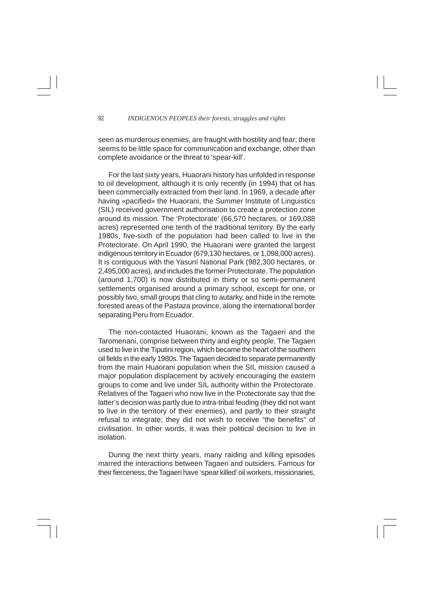seen as murderous enemies, are fraught with hostility and fear; there seems to be little space for communication and exchange, other than complete avoidance or the threat to 'spear-kill'.

For the last sixty years, Huaorani history has unfolded in response to oil development, although it is only recently (in 1994) that oil has been commercially extracted from their land. In 1969, a decade after having «pacified» the Huaorani, the Summer Institute of Linguistics (SIL) received government authorisation to create a protection zone around its mission. The 'Protectorate' (66,570 hectares, or 169,088 acres) represented one tenth of the traditional territory. By the early 1980s, five-sixth of the population had been called to live in the Protectorate. On April 1990, the Huaorani were granted the largest indigenous territory in Ecuador (679,130 hectares, or 1,098,000 acres). It is contiguous with the Yasuní National Park (982,300 hectares, or 2,495,000 acres), and includes the former Protectorate. The population (around 1,700) is now distributed in thirty or so semi-permanent settlements organised around a primary school, except for one, or possibly two, small groups that cling to autarky, and hide in the remote forested areas of the Pastaza province, along the international border separating Peru from Ecuador.

The non-contacted Huaorani, known as the Tagaeri and the Taromenani, comprise between thirty and eighty people. The Tagaeri used to live in the Tiputini region, which became the heart of the southern oil fields in the early 1980s. The Tagaeri decided to separate permanently from the main Huaorani population when the SIL mission caused a major population displacement by actively encouraging the eastern groups to come and live under SIL authority within the Protectorate. Relatives of the Tagaeri who now live in the Protectorate say that the latter's decision was partly due to intra-tribal feuding (they did not want to live in the territory of their enemies), and partly to their straight refusal to integrate; they did not wish to receive "the benefits" of civilisation. In other words, it was their political decision to live in isolation.

During the next thirty years, many raiding and killing episodes marred the interactions between Tagaeri and outsiders. Famous for their fierceness, the Tagaeri have 'spear killed' oil workers, missionaries,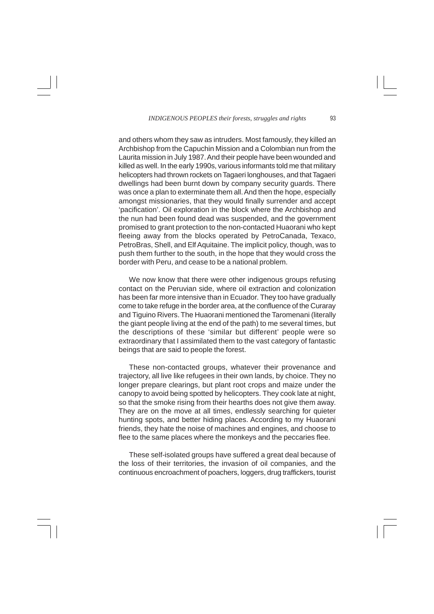and others whom they saw as intruders. Most famously, they killed an Archbishop from the Capuchin Mission and a Colombian nun from the Laurita mission in July 1987. And their people have been wounded and killed as well. In the early 1990s, various informants told me that military helicopters had thrown rockets on Tagaeri longhouses, and that Tagaeri dwellings had been burnt down by company security guards. There was once a plan to exterminate them all. And then the hope, especially amongst missionaries, that they would finally surrender and accept 'pacification'. Oil exploration in the block where the Archbishop and the nun had been found dead was suspended, and the government promised to grant protection to the non-contacted Huaorani who kept fleeing away from the blocks operated by PetroCanada, Texaco, PetroBras, Shell, and Elf Aquitaine. The implicit policy, though, was to push them further to the south, in the hope that they would cross the border with Peru, and cease to be a national problem.

We now know that there were other indigenous groups refusing contact on the Peruvian side, where oil extraction and colonization has been far more intensive than in Ecuador. They too have gradually come to take refuge in the border area, at the confluence of the Curaray and Tiguino Rivers. The Huaorani mentioned the Taromenani (literally the giant people living at the end of the path) to me several times, but the descriptions of these 'similar but different' people were so extraordinary that I assimilated them to the vast category of fantastic beings that are said to people the forest.

These non-contacted groups, whatever their provenance and trajectory, all live like refugees in their own lands, by choice. They no longer prepare clearings, but plant root crops and maize under the canopy to avoid being spotted by helicopters. They cook late at night, so that the smoke rising from their hearths does not give them away. They are on the move at all times, endlessly searching for quieter hunting spots, and better hiding places. According to my Huaorani friends, they hate the noise of machines and engines, and choose to flee to the same places where the monkeys and the peccaries flee.

These self-isolated groups have suffered a great deal because of the loss of their territories, the invasion of oil companies, and the continuous encroachment of poachers, loggers, drug traffickers, tourist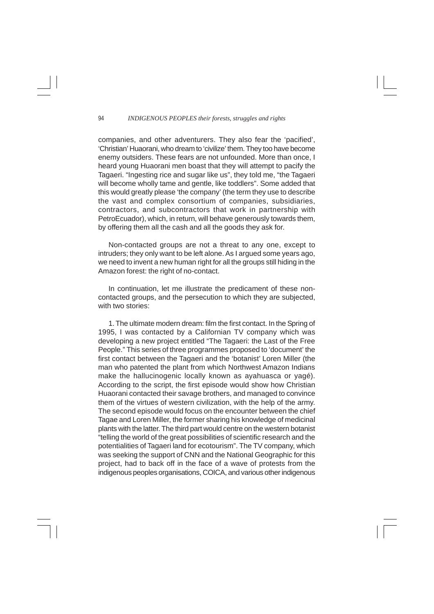companies, and other adventurers. They also fear the 'pacified', 'Christian' Huaorani, who dream to 'civilize' them. They too have become enemy outsiders. These fears are not unfounded. More than once, I heard young Huaorani men boast that they will attempt to pacify the Tagaeri. "Ingesting rice and sugar like us", they told me, "the Tagaeri will become wholly tame and gentle, like toddlers". Some added that this would greatly please 'the company' (the term they use to describe the vast and complex consortium of companies, subsidiaries, contractors, and subcontractors that work in partnership with PetroEcuador), which, in return, will behave generously towards them, by offering them all the cash and all the goods they ask for.

Non-contacted groups are not a threat to any one, except to intruders; they only want to be left alone. As I argued some years ago, we need to invent a new human right for all the groups still hiding in the Amazon forest: the right of no-contact.

In continuation, let me illustrate the predicament of these noncontacted groups, and the persecution to which they are subjected, with two stories:

1. The ultimate modern dream: film the first contact. In the Spring of 1995, I was contacted by a Californian TV company which was developing a new project entitled "The Tagaeri: the Last of the Free People." This series of three programmes proposed to 'document' the first contact between the Tagaeri and the 'botanist' Loren Miller (the man who patented the plant from which Northwest Amazon Indians make the hallucinogenic locally known as ayahuasca or yagé). According to the script, the first episode would show how Christian Huaorani contacted their savage brothers, and managed to convince them of the virtues of western civilization, with the help of the army. The second episode would focus on the encounter between the chief Tagae and Loren Miller, the former sharing his knowledge of medicinal plants with the latter. The third part would centre on the western botanist "telling the world of the great possibilities of scientific research and the potentialities of Tagaeri land for ecotourism". The TV company, which was seeking the support of CNN and the National Geographic for this project, had to back off in the face of a wave of protests from the indigenous peoples organisations, COICA, and various other indigenous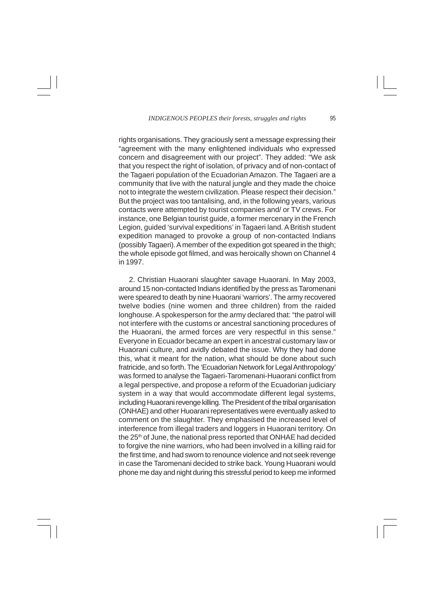rights organisations. They graciously sent a message expressing their "agreement with the many enlightened individuals who expressed concern and disagreement with our project". They added: "We ask that you respect the right of isolation, of privacy and of non-contact of the Tagaeri population of the Ecuadorian Amazon. The Tagaeri are a community that live with the natural jungle and they made the choice not to integrate the western civilization. Please respect their decision." But the project was too tantalising, and, in the following years, various contacts were attempted by tourist companies and/ or TV crews. For instance, one Belgian tourist guide, a former mercenary in the French Legion, guided 'survival expeditions' in Tagaeri land. A British student expedition managed to provoke a group of non-contacted Indians (possibly Tagaeri). A member of the expedition got speared in the thigh; the whole episode got filmed, and was heroically shown on Channel 4 in 1997.

2. Christian Huaorani slaughter savage Huaorani. In May 2003, around 15 non-contacted Indians identified by the press as Taromenani were speared to death by nine Huaorani 'warriors'. The army recovered twelve bodies (nine women and three children) from the raided longhouse. A spokesperson for the army declared that: "the patrol will not interfere with the customs or ancestral sanctioning procedures of the Huaorani, the armed forces are very respectful in this sense." Everyone in Ecuador became an expert in ancestral customary law or Huaorani culture, and avidly debated the issue. Why they had done this, what it meant for the nation, what should be done about such fratricide, and so forth. The 'Ecuadorian Network for Legal Anthropology' was formed to analyse the Tagaeri-Taromenani-Huaorani conflict from a legal perspective, and propose a reform of the Ecuadorian judiciary system in a way that would accommodate different legal systems, including Huaorani revenge killing. The President of the tribal organisation (ONHAE) and other Huoarani representatives were eventually asked to comment on the slaughter. They emphasised the increased level of interference from illegal traders and loggers in Huaorani territory. On the 25<sup>th</sup> of June, the national press reported that ONHAE had decided to forgive the nine warriors, who had been involved in a killing raid for the first time, and had sworn to renounce violence and not seek revenge in case the Taromenani decided to strike back. Young Huaorani would phone me day and night during this stressful period to keep me informed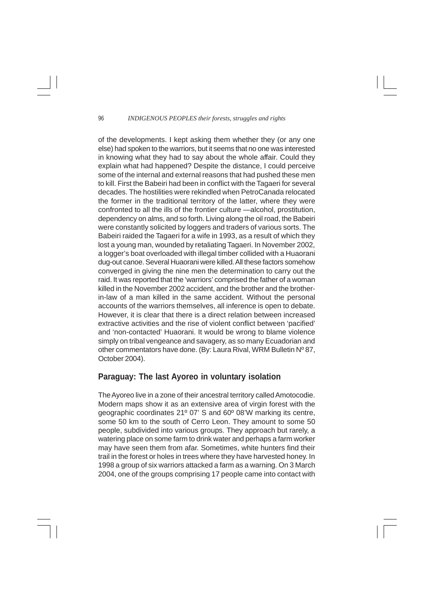of the developments. I kept asking them whether they (or any one else) had spoken to the warriors, but it seems that no one was interested in knowing what they had to say about the whole affair. Could they explain what had happened? Despite the distance, I could perceive some of the internal and external reasons that had pushed these men to kill. First the Babeiri had been in conflict with the Tagaeri for several decades. The hostilities were rekindled when PetroCanada relocated the former in the traditional territory of the latter, where they were confronted to all the ills of the frontier culture —alcohol, prostitution, dependency on alms, and so forth. Living along the oil road, the Babeiri were constantly solicited by loggers and traders of various sorts. The Babeiri raided the Tagaeri for a wife in 1993, as a result of which they lost a young man, wounded by retaliating Tagaeri. In November 2002, a logger's boat overloaded with illegal timber collided with a Huaorani dug-out canoe. Several Huaorani were killed. All these factors somehow converged in giving the nine men the determination to carry out the raid. It was reported that the 'warriors' comprised the father of a woman killed in the November 2002 accident, and the brother and the brotherin-law of a man killed in the same accident. Without the personal accounts of the warriors themselves, all inference is open to debate. However, it is clear that there is a direct relation between increased extractive activities and the rise of violent conflict between 'pacified' and 'non-contacted' Huaorani. It would be wrong to blame violence simply on tribal vengeance and savagery, as so many Ecuadorian and other commentators have done. (By: Laura Rival, WRM Bulletin Nº 87, October 2004).

### **Paraguay: The last Ayoreo in voluntary isolation**

The Ayoreo live in a zone of their ancestral territory called Amotocodie. Modern maps show it as an extensive area of virgin forest with the geographic coordinates 21º 07' S and 60º 08'W marking its centre, some 50 km to the south of Cerro Leon. They amount to some 50 people, subdivided into various groups. They approach but rarely, a watering place on some farm to drink water and perhaps a farm worker may have seen them from afar. Sometimes, white hunters find their trail in the forest or holes in trees where they have harvested honey. In 1998 a group of six warriors attacked a farm as a warning. On 3 March 2004, one of the groups comprising 17 people came into contact with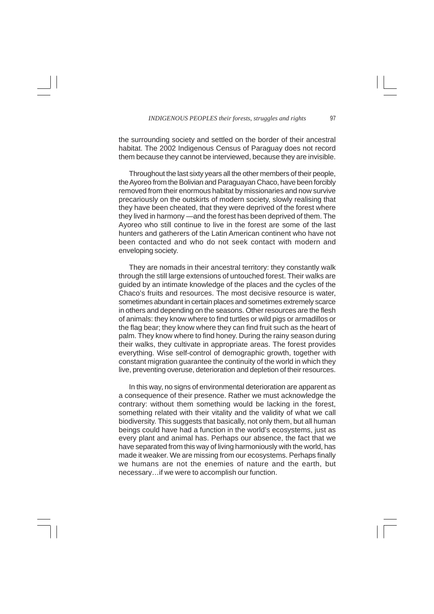the surrounding society and settled on the border of their ancestral habitat. The 2002 Indigenous Census of Paraguay does not record them because they cannot be interviewed, because they are invisible.

Throughout the last sixty years all the other members of their people, the Ayoreo from the Bolivian and Paraguayan Chaco, have been forcibly removed from their enormous habitat by missionaries and now survive precariously on the outskirts of modern society, slowly realising that they have been cheated, that they were deprived of the forest where they lived in harmony —and the forest has been deprived of them. The Ayoreo who still continue to live in the forest are some of the last hunters and gatherers of the Latin American continent who have not been contacted and who do not seek contact with modern and enveloping society.

They are nomads in their ancestral territory: they constantly walk through the still large extensions of untouched forest. Their walks are guided by an intimate knowledge of the places and the cycles of the Chaco's fruits and resources. The most decisive resource is water, sometimes abundant in certain places and sometimes extremely scarce in others and depending on the seasons. Other resources are the flesh of animals: they know where to find turtles or wild pigs or armadillos or the flag bear; they know where they can find fruit such as the heart of palm. They know where to find honey. During the rainy season during their walks, they cultivate in appropriate areas. The forest provides everything. Wise self-control of demographic growth, together with constant migration guarantee the continuity of the world in which they live, preventing overuse, deterioration and depletion of their resources.

In this way, no signs of environmental deterioration are apparent as a consequence of their presence. Rather we must acknowledge the contrary: without them something would be lacking in the forest, something related with their vitality and the validity of what we call biodiversity. This suggests that basically, not only them, but all human beings could have had a function in the world's ecosystems, just as every plant and animal has. Perhaps our absence, the fact that we have separated from this way of living harmoniously with the world, has made it weaker. We are missing from our ecosystems. Perhaps finally we humans are not the enemies of nature and the earth, but necessary…if we were to accomplish our function.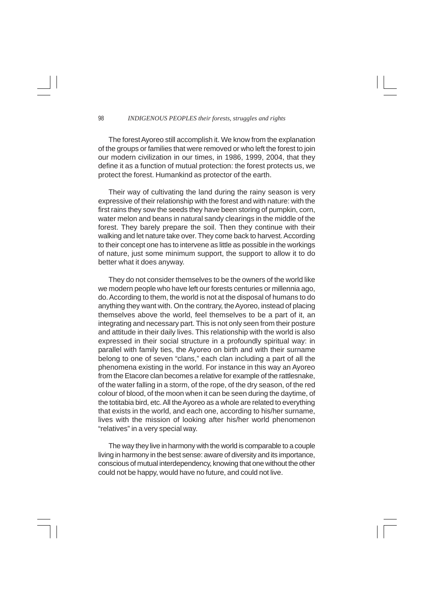The forest Ayoreo still accomplish it. We know from the explanation of the groups or families that were removed or who left the forest to join our modern civilization in our times, in 1986, 1999, 2004, that they define it as a function of mutual protection: the forest protects us, we protect the forest. Humankind as protector of the earth.

Their way of cultivating the land during the rainy season is very expressive of their relationship with the forest and with nature: with the first rains they sow the seeds they have been storing of pumpkin, corn, water melon and beans in natural sandy clearings in the middle of the forest. They barely prepare the soil. Then they continue with their walking and let nature take over. They come back to harvest. According to their concept one has to intervene as little as possible in the workings of nature, just some minimum support, the support to allow it to do better what it does anyway.

They do not consider themselves to be the owners of the world like we modern people who have left our forests centuries or millennia ago, do. According to them, the world is not at the disposal of humans to do anything they want with. On the contrary, the Ayoreo, instead of placing themselves above the world, feel themselves to be a part of it, an integrating and necessary part. This is not only seen from their posture and attitude in their daily lives. This relationship with the world is also expressed in their social structure in a profoundly spiritual way: in parallel with family ties, the Ayoreo on birth and with their surname belong to one of seven "clans," each clan including a part of all the phenomena existing in the world. For instance in this way an Ayoreo from the Etacore clan becomes a relative for example of the rattlesnake, of the water falling in a storm, of the rope, of the dry season, of the red colour of blood, of the moon when it can be seen during the daytime, of the totitabia bird, etc. All the Ayoreo as a whole are related to everything that exists in the world, and each one, according to his/her surname, lives with the mission of looking after his/her world phenomenon "relatives" in a very special way.

The way they live in harmony with the world is comparable to a couple living in harmony in the best sense: aware of diversity and its importance, conscious of mutual interdependency, knowing that one without the other could not be happy, would have no future, and could not live.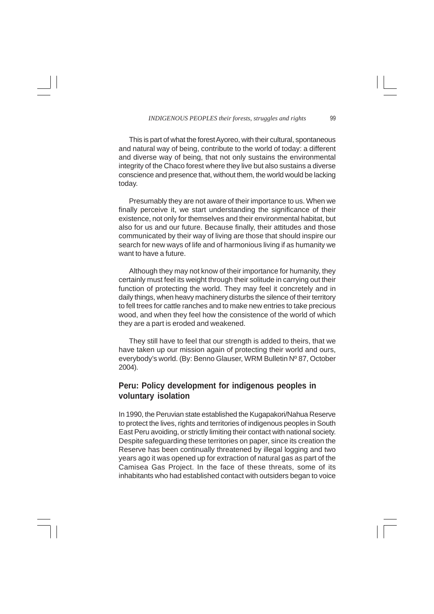This is part of what the forest Ayoreo, with their cultural, spontaneous and natural way of being, contribute to the world of today: a different and diverse way of being, that not only sustains the environmental integrity of the Chaco forest where they live but also sustains a diverse conscience and presence that, without them, the world would be lacking today.

Presumably they are not aware of their importance to us. When we finally perceive it, we start understanding the significance of their existence, not only for themselves and their environmental habitat, but also for us and our future. Because finally, their attitudes and those communicated by their way of living are those that should inspire our search for new ways of life and of harmonious living if as humanity we want to have a future.

Although they may not know of their importance for humanity, they certainly must feel its weight through their solitude in carrying out their function of protecting the world. They may feel it concretely and in daily things, when heavy machinery disturbs the silence of their territory to fell trees for cattle ranches and to make new entries to take precious wood, and when they feel how the consistence of the world of which they are a part is eroded and weakened.

They still have to feel that our strength is added to theirs, that we have taken up our mission again of protecting their world and ours, everybody's world. (By: Benno Glauser, WRM Bulletin Nº 87, October 2004).

### **Peru: Policy development for indigenous peoples in voluntary isolation**

In 1990, the Peruvian state established the Kugapakori/Nahua Reserve to protect the lives, rights and territories of indigenous peoples in South East Peru avoiding, or strictly limiting their contact with national society. Despite safeguarding these territories on paper, since its creation the Reserve has been continually threatened by illegal logging and two years ago it was opened up for extraction of natural gas as part of the Camisea Gas Project. In the face of these threats, some of its inhabitants who had established contact with outsiders began to voice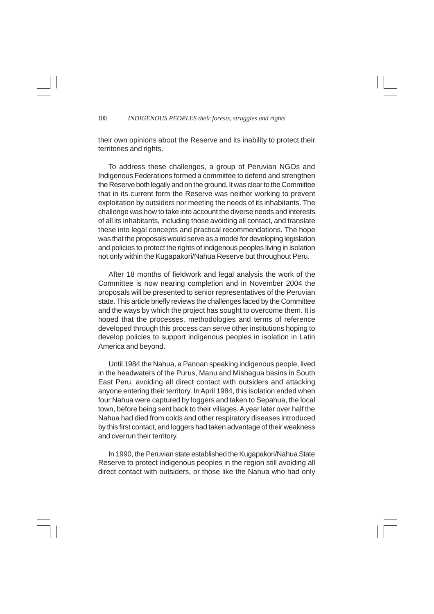their own opinions about the Reserve and its inability to protect their territories and rights.

To address these challenges, a group of Peruvian NGOs and Indigenous Federations formed a committee to defend and strengthen the Reserve both legally and on the ground. It was clear to the Committee that in its current form the Reserve was neither working to prevent exploitation by outsiders nor meeting the needs of its inhabitants. The challenge was how to take into account the diverse needs and interests of all its inhabitants, including those avoiding all contact, and translate these into legal concepts and practical recommendations. The hope was that the proposals would serve as a model for developing legislation and policies to protect the rights of indigenous peoples living in isolation not only within the Kugapakori/Nahua Reserve but throughout Peru.

After 18 months of fieldwork and legal analysis the work of the Committee is now nearing completion and in November 2004 the proposals will be presented to senior representatives of the Peruvian state. This article briefly reviews the challenges faced by the Committee and the ways by which the project has sought to overcome them. It is hoped that the processes, methodologies and terms of reference developed through this process can serve other institutions hoping to develop policies to support indigenous peoples in isolation in Latin America and beyond.

Until 1984 the Nahua, a Panoan speaking indigenous people, lived in the headwaters of the Purus, Manu and Mishagua basins in South East Peru, avoiding all direct contact with outsiders and attacking anyone entering their territory. In April 1984, this isolation ended when four Nahua were captured by loggers and taken to Sepahua, the local town, before being sent back to their villages. A year later over half the Nahua had died from colds and other respiratory diseases introduced by this first contact, and loggers had taken advantage of their weakness and overrun their territory.

In 1990, the Peruvian state established the Kugapakori/Nahua State Reserve to protect indigenous peoples in the region still avoiding all direct contact with outsiders, or those like the Nahua who had only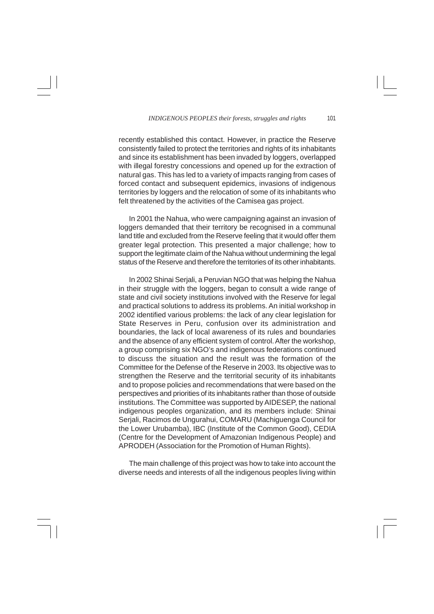recently established this contact. However, in practice the Reserve consistently failed to protect the territories and rights of its inhabitants and since its establishment has been invaded by loggers, overlapped with illegal forestry concessions and opened up for the extraction of natural gas. This has led to a variety of impacts ranging from cases of forced contact and subsequent epidemics, invasions of indigenous territories by loggers and the relocation of some of its inhabitants who felt threatened by the activities of the Camisea gas project.

In 2001 the Nahua, who were campaigning against an invasion of loggers demanded that their territory be recognised in a communal land title and excluded from the Reserve feeling that it would offer them greater legal protection. This presented a major challenge; how to support the legitimate claim of the Nahua without undermining the legal status of the Reserve and therefore the territories of its other inhabitants.

In 2002 Shinai Serjali, a Peruvian NGO that was helping the Nahua in their struggle with the loggers, began to consult a wide range of state and civil society institutions involved with the Reserve for legal and practical solutions to address its problems. An initial workshop in 2002 identified various problems: the lack of any clear legislation for State Reserves in Peru, confusion over its administration and boundaries, the lack of local awareness of its rules and boundaries and the absence of any efficient system of control. After the workshop, a group comprising six NGO's and indigenous federations continued to discuss the situation and the result was the formation of the Committee for the Defense of the Reserve in 2003. Its objective was to strengthen the Reserve and the territorial security of its inhabitants and to propose policies and recommendations that were based on the perspectives and priorities of its inhabitants rather than those of outside institutions. The Committee was supported by AIDESEP, the national indigenous peoples organization, and its members include: Shinai Serjali, Racimos de Ungurahui, COMARU (Machiguenga Council for the Lower Urubamba), IBC (Institute of the Common Good), CEDIA (Centre for the Development of Amazonian Indigenous People) and APRODEH (Association for the Promotion of Human Rights).

The main challenge of this project was how to take into account the diverse needs and interests of all the indigenous peoples living within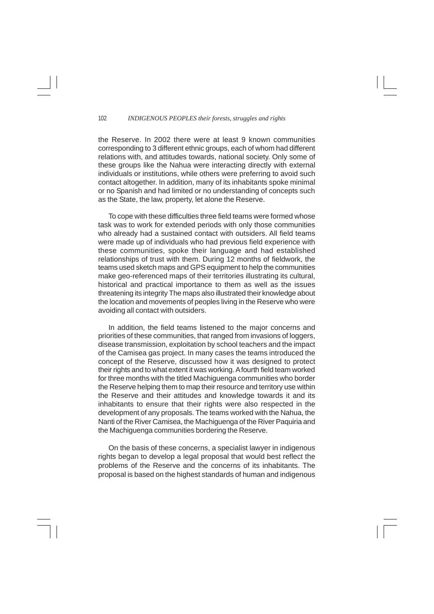the Reserve. In 2002 there were at least 9 known communities corresponding to 3 different ethnic groups, each of whom had different relations with, and attitudes towards, national society. Only some of these groups like the Nahua were interacting directly with external individuals or institutions, while others were preferring to avoid such contact altogether. In addition, many of its inhabitants spoke minimal or no Spanish and had limited or no understanding of concepts such as the State, the law, property, let alone the Reserve.

To cope with these difficulties three field teams were formed whose task was to work for extended periods with only those communities who already had a sustained contact with outsiders. All field teams were made up of individuals who had previous field experience with these communities, spoke their language and had established relationships of trust with them. During 12 months of fieldwork, the teams used sketch maps and GPS equipment to help the communities make geo-referenced maps of their territories illustrating its cultural, historical and practical importance to them as well as the issues threatening its integrity The maps also illustrated their knowledge about the location and movements of peoples living in the Reserve who were avoiding all contact with outsiders.

In addition, the field teams listened to the major concerns and priorities of these communities, that ranged from invasions of loggers, disease transmission, exploitation by school teachers and the impact of the Camisea gas project. In many cases the teams introduced the concept of the Reserve, discussed how it was designed to protect their rights and to what extent it was working. A fourth field team worked for three months with the titled Machiguenga communities who border the Reserve helping them to map their resource and territory use within the Reserve and their attitudes and knowledge towards it and its inhabitants to ensure that their rights were also respected in the development of any proposals. The teams worked with the Nahua, the Nanti of the River Camisea, the Machiguenga of the River Paquiria and the Machiguenga communities bordering the Reserve.

On the basis of these concerns, a specialist lawyer in indigenous rights began to develop a legal proposal that would best reflect the problems of the Reserve and the concerns of its inhabitants. The proposal is based on the highest standards of human and indigenous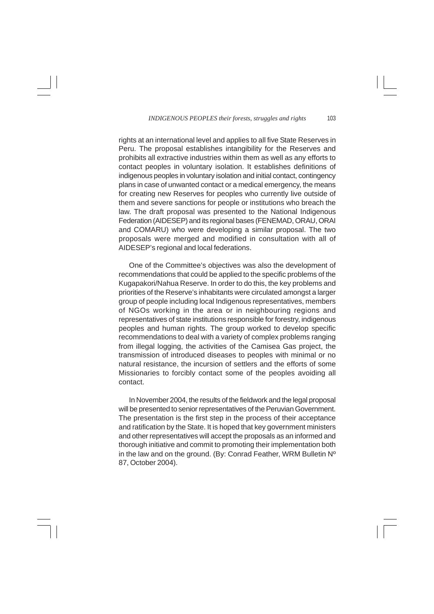rights at an international level and applies to all five State Reserves in Peru. The proposal establishes intangibility for the Reserves and prohibits all extractive industries within them as well as any efforts to contact peoples in voluntary isolation. It establishes definitions of indigenous peoples in voluntary isolation and initial contact, contingency plans in case of unwanted contact or a medical emergency, the means for creating new Reserves for peoples who currently live outside of them and severe sanctions for people or institutions who breach the law. The draft proposal was presented to the National Indigenous Federation (AIDESEP) and its regional bases (FENEMAD, ORAU, ORAI and COMARU) who were developing a similar proposal. The two proposals were merged and modified in consultation with all of AIDESEP's regional and local federations.

One of the Committee's objectives was also the development of recommendations that could be applied to the specific problems of the Kugapakori/Nahua Reserve. In order to do this, the key problems and priorities of the Reserve's inhabitants were circulated amongst a larger group of people including local Indigenous representatives, members of NGOs working in the area or in neighbouring regions and representatives of state institutions responsible for forestry, indigenous peoples and human rights. The group worked to develop specific recommendations to deal with a variety of complex problems ranging from illegal logging, the activities of the Camisea Gas project, the transmission of introduced diseases to peoples with minimal or no natural resistance, the incursion of settlers and the efforts of some Missionaries to forcibly contact some of the peoples avoiding all contact.

In November 2004, the results of the fieldwork and the legal proposal will be presented to senior representatives of the Peruvian Government. The presentation is the first step in the process of their acceptance and ratification by the State. It is hoped that key government ministers and other representatives will accept the proposals as an informed and thorough initiative and commit to promoting their implementation both in the law and on the ground. (By: Conrad Feather, WRM Bulletin Nº 87, October 2004).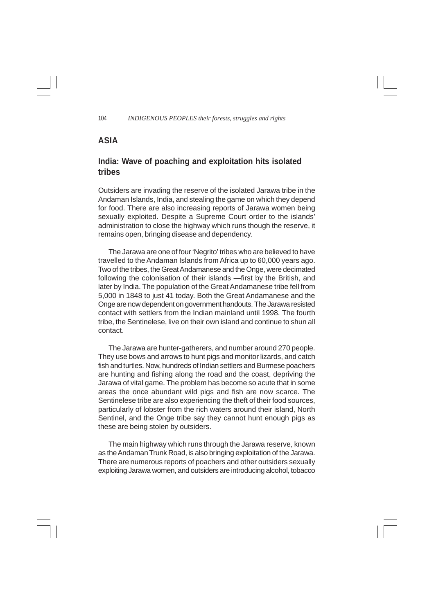## **ASIA**

### **India: Wave of poaching and exploitation hits isolated tribes**

Outsiders are invading the reserve of the isolated Jarawa tribe in the Andaman Islands, India, and stealing the game on which they depend for food. There are also increasing reports of Jarawa women being sexually exploited. Despite a Supreme Court order to the islands' administration to close the highway which runs though the reserve, it remains open, bringing disease and dependency.

The Jarawa are one of four 'Negrito' tribes who are believed to have travelled to the Andaman Islands from Africa up to 60,000 years ago. Two of the tribes, the Great Andamanese and the Onge, were decimated following the colonisation of their islands —first by the British, and later by India. The population of the Great Andamanese tribe fell from 5,000 in 1848 to just 41 today. Both the Great Andamanese and the Onge are now dependent on government handouts. The Jarawa resisted contact with settlers from the Indian mainland until 1998. The fourth tribe, the Sentinelese, live on their own island and continue to shun all contact.

The Jarawa are hunter-gatherers, and number around 270 people. They use bows and arrows to hunt pigs and monitor lizards, and catch fish and turtles. Now, hundreds of Indian settlers and Burmese poachers are hunting and fishing along the road and the coast, depriving the Jarawa of vital game. The problem has become so acute that in some areas the once abundant wild pigs and fish are now scarce. The Sentinelese tribe are also experiencing the theft of their food sources, particularly of lobster from the rich waters around their island, North Sentinel, and the Onge tribe say they cannot hunt enough pigs as these are being stolen by outsiders.

The main highway which runs through the Jarawa reserve, known as the Andaman Trunk Road, is also bringing exploitation of the Jarawa. There are numerous reports of poachers and other outsiders sexually exploiting Jarawa women, and outsiders are introducing alcohol, tobacco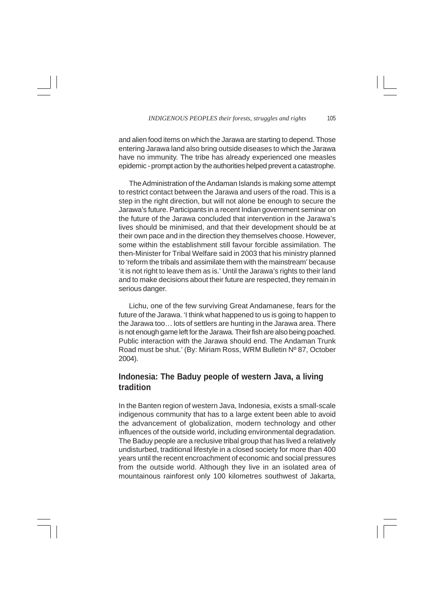and alien food items on which the Jarawa are starting to depend. Those entering Jarawa land also bring outside diseases to which the Jarawa have no immunity. The tribe has already experienced one measles epidemic - prompt action by the authorities helped prevent a catastrophe.

The Administration of the Andaman Islands is making some attempt to restrict contact between the Jarawa and users of the road. This is a step in the right direction, but will not alone be enough to secure the Jarawa's future. Participants in a recent Indian government seminar on the future of the Jarawa concluded that intervention in the Jarawa's lives should be minimised, and that their development should be at their own pace and in the direction they themselves choose. However, some within the establishment still favour forcible assimilation. The then-Minister for Tribal Welfare said in 2003 that his ministry planned to 'reform the tribals and assimilate them with the mainstream' because 'it is not right to leave them as is.' Until the Jarawa's rights to their land and to make decisions about their future are respected, they remain in serious danger.

Lichu, one of the few surviving Great Andamanese, fears for the future of the Jarawa. 'I think what happened to us is going to happen to the Jarawa too… lots of settlers are hunting in the Jarawa area. There is not enough game left for the Jarawa. Their fish are also being poached. Public interaction with the Jarawa should end. The Andaman Trunk Road must be shut.' (By: Miriam Ross, WRM Bulletin Nº 87, October 2004).

### **Indonesia: The Baduy people of western Java, a living tradition**

In the Banten region of western Java, Indonesia, exists a small-scale indigenous community that has to a large extent been able to avoid the advancement of globalization, modern technology and other influences of the outside world, including environmental degradation. The Baduy people are a reclusive tribal group that has lived a relatively undisturbed, traditional lifestyle in a closed society for more than 400 years until the recent encroachment of economic and social pressures from the outside world. Although they live in an isolated area of mountainous rainforest only 100 kilometres southwest of Jakarta,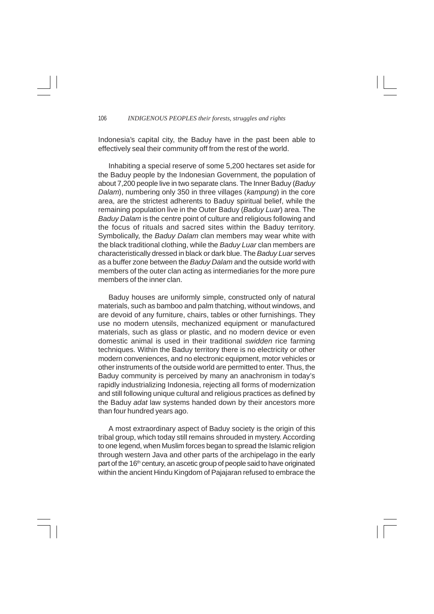Indonesia's capital city, the Baduy have in the past been able to effectively seal their community off from the rest of the world.

Inhabiting a special reserve of some 5,200 hectares set aside for the Baduy people by the Indonesian Government, the population of about 7,200 people live in two separate clans. The Inner Baduy (*Baduy Dalam*), numbering only 350 in three villages (*kampung*) in the core area, are the strictest adherents to Baduy spiritual belief, while the remaining population live in the Outer Baduy (*Baduy Luar*) area. The *Baduy Dalam* is the centre point of culture and religious following and the focus of rituals and sacred sites within the Baduy territory. Symbolically, the *Baduy Dalam* clan members may wear white with the black traditional clothing, while the *Baduy Luar* clan members are characteristically dressed in black or dark blue. The *Baduy Luar* serves as a buffer zone between the *Baduy Dalam* and the outside world with members of the outer clan acting as intermediaries for the more pure members of the inner clan.

Baduy houses are uniformly simple, constructed only of natural materials, such as bamboo and palm thatching, without windows, and are devoid of any furniture, chairs, tables or other furnishings. They use no modern utensils, mechanized equipment or manufactured materials, such as glass or plastic, and no modern device or even domestic animal is used in their traditional *swidden* rice farming techniques. Within the Baduy territory there is no electricity or other modern conveniences, and no electronic equipment, motor vehicles or other instruments of the outside world are permitted to enter. Thus, the Baduy community is perceived by many an anachronism in today's rapidly industrializing Indonesia, rejecting all forms of modernization and still following unique cultural and religious practices as defined by the Baduy *adat* law systems handed down by their ancestors more than four hundred years ago.

A most extraordinary aspect of Baduy society is the origin of this tribal group, which today still remains shrouded in mystery. According to one legend, when Muslim forces began to spread the Islamic religion through western Java and other parts of the archipelago in the early part of the 16<sup>th</sup> century, an ascetic group of people said to have originated within the ancient Hindu Kingdom of Pajajaran refused to embrace the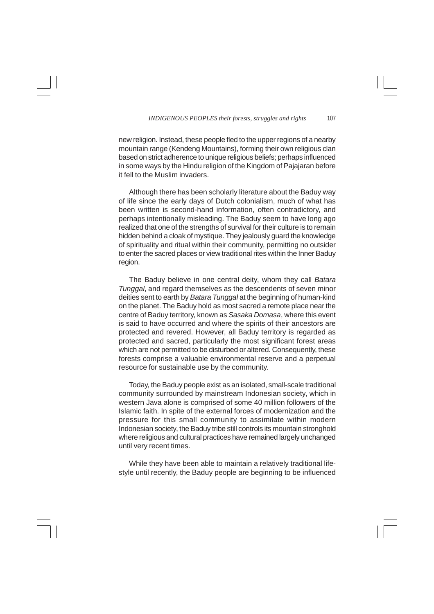new religion. Instead, these people fled to the upper regions of a nearby mountain range (Kendeng Mountains), forming their own religious clan based on strict adherence to unique religious beliefs; perhaps influenced in some ways by the Hindu religion of the Kingdom of Pajajaran before it fell to the Muslim invaders.

Although there has been scholarly literature about the Baduy way of life since the early days of Dutch colonialism, much of what has been written is second-hand information, often contradictory, and perhaps intentionally misleading. The Baduy seem to have long ago realized that one of the strengths of survival for their culture is to remain hidden behind a cloak of mystique. They jealously quard the knowledge of spirituality and ritual within their community, permitting no outsider to enter the sacred places or view traditional rites within the Inner Baduy region.

The Baduy believe in one central deity, whom they call *Batara Tunggal*, and regard themselves as the descendents of seven minor deities sent to earth by *Batara Tunggal* at the beginning of human-kind on the planet. The Baduy hold as most sacred a remote place near the centre of Baduy territory, known as *Sasaka Domasa*, where this event is said to have occurred and where the spirits of their ancestors are protected and revered. However, all Baduy territory is regarded as protected and sacred, particularly the most significant forest areas which are not permitted to be disturbed or altered. Consequently, these forests comprise a valuable environmental reserve and a perpetual resource for sustainable use by the community.

Today, the Baduy people exist as an isolated, small-scale traditional community surrounded by mainstream Indonesian society, which in western Java alone is comprised of some 40 million followers of the Islamic faith. In spite of the external forces of modernization and the pressure for this small community to assimilate within modern Indonesian society, the Baduy tribe still controls its mountain stronghold where religious and cultural practices have remained largely unchanged until very recent times.

While they have been able to maintain a relatively traditional lifestyle until recently, the Baduy people are beginning to be influenced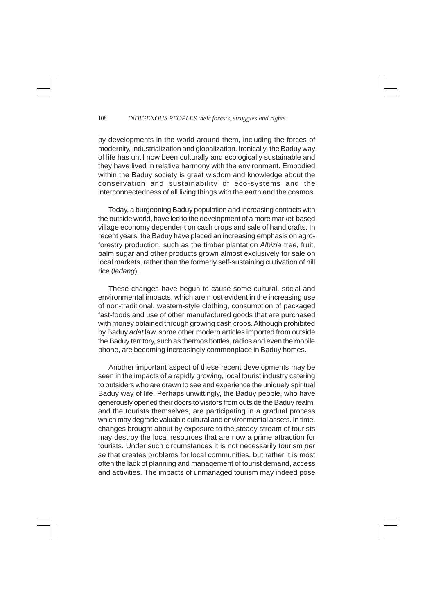by developments in the world around them, including the forces of modernity, industrialization and globalization. Ironically, the Baduy way of life has until now been culturally and ecologically sustainable and they have lived in relative harmony with the environment. Embodied within the Baduy society is great wisdom and knowledge about the conservation and sustainability of eco-systems and the interconnectedness of all living things with the earth and the cosmos.

Today, a burgeoning Baduy population and increasing contacts with the outside world, have led to the development of a more market-based village economy dependent on cash crops and sale of handicrafts. In recent years, the Baduy have placed an increasing emphasis on agroforestry production, such as the timber plantation *Albizia* tree, fruit, palm sugar and other products grown almost exclusively for sale on local markets, rather than the formerly self-sustaining cultivation of hill rice (*ladang*).

These changes have begun to cause some cultural, social and environmental impacts, which are most evident in the increasing use of non-traditional, western-style clothing, consumption of packaged fast-foods and use of other manufactured goods that are purchased with money obtained through growing cash crops. Although prohibited by Baduy *adat* law, some other modern articles imported from outside the Baduy territory, such as thermos bottles, radios and even the mobile phone, are becoming increasingly commonplace in Baduy homes.

Another important aspect of these recent developments may be seen in the impacts of a rapidly growing, local tourist industry catering to outsiders who are drawn to see and experience the uniquely spiritual Baduy way of life. Perhaps unwittingly, the Baduy people, who have generously opened their doors to visitors from outside the Baduy realm, and the tourists themselves, are participating in a gradual process which may degrade valuable cultural and environmental assets. In time, changes brought about by exposure to the steady stream of tourists may destroy the local resources that are now a prime attraction for tourists. Under such circumstances it is not necessarily tourism *per se* that creates problems for local communities, but rather it is most often the lack of planning and management of tourist demand, access and activities. The impacts of unmanaged tourism may indeed pose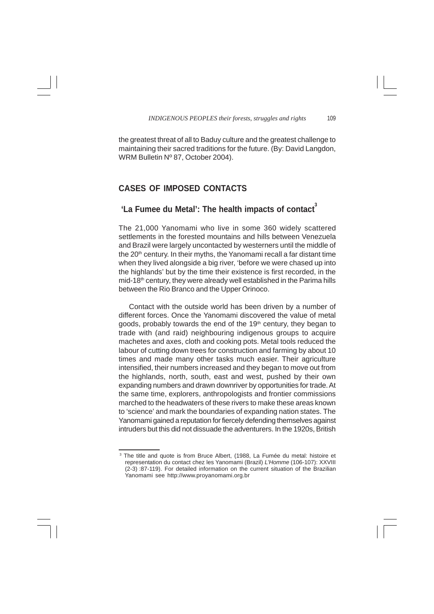the greatest threat of all to Baduy culture and the greatest challenge to maintaining their sacred traditions for the future. (By: David Langdon, WRM Bulletin Nº 87, October 2004).

## **CASES OF IMPOSED CONTACTS**

# 'La Fumee du Metal': The health impacts of contact<sup>3</sup>

The 21,000 Yanomami who live in some 360 widely scattered settlements in the forested mountains and hills between Venezuela and Brazil were largely uncontacted by westerners until the middle of the 20<sup>th</sup> century. In their myths, the Yanomami recall a far distant time when they lived alongside a big river, 'before we were chased up into the highlands' but by the time their existence is first recorded, in the mid-18<sup>th</sup> century, they were already well established in the Parima hills between the Rio Branco and the Upper Orinoco.

Contact with the outside world has been driven by a number of different forces. Once the Yanomami discovered the value of metal goods, probably towards the end of the 19<sup>th</sup> century, they began to trade with (and raid) neighbouring indigenous groups to acquire machetes and axes, cloth and cooking pots. Metal tools reduced the labour of cutting down trees for construction and farming by about 10 times and made many other tasks much easier. Their agriculture intensified, their numbers increased and they began to move out from the highlands, north, south, east and west, pushed by their own expanding numbers and drawn downriver by opportunities for trade. At the same time, explorers, anthropologists and frontier commissions marched to the headwaters of these rivers to make these areas known to 'science' and mark the boundaries of expanding nation states. The Yanomami gained a reputation for fiercely defending themselves against intruders but this did not dissuade the adventurers. In the 1920s, British

<sup>&</sup>lt;sup>3</sup> The title and quote is from Bruce Albert, (1988, La Fumée du metal: histoire et representation du contact chez les Yanomami (Brazil) *L'Homme* (106-107): XXVIII (2-3) :87-119). For detailed information on the current situation of the Brazilian Yanomami see http://www.proyanomami.org.br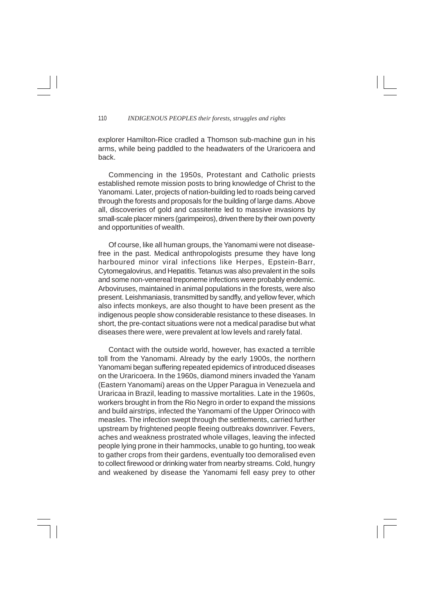explorer Hamilton-Rice cradled a Thomson sub-machine gun in his arms, while being paddled to the headwaters of the Uraricoera and back.

Commencing in the 1950s, Protestant and Catholic priests established remote mission posts to bring knowledge of Christ to the Yanomami. Later, projects of nation-building led to roads being carved through the forests and proposals for the building of large dams. Above all, discoveries of gold and cassiterite led to massive invasions by small-scale placer miners (garimpeiros), driven there by their own poverty and opportunities of wealth.

Of course, like all human groups, the Yanomami were not diseasefree in the past. Medical anthropologists presume they have long harboured minor viral infections like Herpes, Epstein-Barr, Cytomegalovirus, and Hepatitis. Tetanus was also prevalent in the soils and some non-venereal treponeme infections were probably endemic. Arboviruses, maintained in animal populations in the forests, were also present. Leishmaniasis, transmitted by sandfly, and yellow fever, which also infects monkeys, are also thought to have been present as the indigenous people show considerable resistance to these diseases. In short, the pre-contact situations were not a medical paradise but what diseases there were, were prevalent at low levels and rarely fatal.

Contact with the outside world, however, has exacted a terrible toll from the Yanomami. Already by the early 1900s, the northern Yanomami began suffering repeated epidemics of introduced diseases on the Uraricoera. In the 1960s, diamond miners invaded the Yanam (Eastern Yanomami) areas on the Upper Paragua in Venezuela and Uraricaa in Brazil, leading to massive mortalities. Late in the 1960s, workers brought in from the Rio Negro in order to expand the missions and build airstrips, infected the Yanomami of the Upper Orinoco with measles. The infection swept through the settlements, carried further upstream by frightened people fleeing outbreaks downriver. Fevers, aches and weakness prostrated whole villages, leaving the infected people lying prone in their hammocks, unable to go hunting, too weak to gather crops from their gardens, eventually too demoralised even to collect firewood or drinking water from nearby streams. Cold, hungry and weakened by disease the Yanomami fell easy prey to other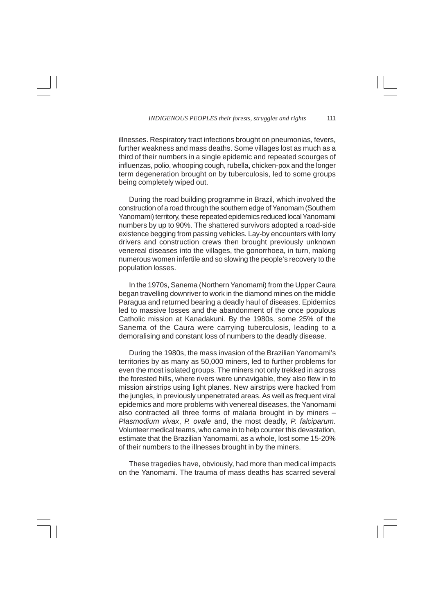illnesses. Respiratory tract infections brought on pneumonias, fevers, further weakness and mass deaths. Some villages lost as much as a third of their numbers in a single epidemic and repeated scourges of influenzas, polio, whooping cough, rubella, chicken-pox and the longer term degeneration brought on by tuberculosis, led to some groups being completely wiped out.

During the road building programme in Brazil, which involved the construction of a road through the southern edge of Yanomam (Southern Yanomami) territory, these repeated epidemics reduced local Yanomami numbers by up to 90%. The shattered survivors adopted a road-side existence begging from passing vehicles. Lay-by encounters with lorry drivers and construction crews then brought previously unknown venereal diseases into the villages, the gonorrhoea, in turn, making numerous women infertile and so slowing the people's recovery to the population losses.

In the 1970s, Sanema (Northern Yanomami) from the Upper Caura began travelling downriver to work in the diamond mines on the middle Paragua and returned bearing a deadly haul of diseases. Epidemics led to massive losses and the abandonment of the once populous Catholic mission at Kanadakuni. By the 1980s, some 25% of the Sanema of the Caura were carrying tuberculosis, leading to a demoralising and constant loss of numbers to the deadly disease.

During the 1980s, the mass invasion of the Brazilian Yanomami's territories by as many as 50,000 miners, led to further problems for even the most isolated groups. The miners not only trekked in across the forested hills, where rivers were unnavigable, they also flew in to mission airstrips using light planes. New airstrips were hacked from the jungles, in previously unpenetrated areas. As well as frequent viral epidemics and more problems with venereal diseases, the Yanomami also contracted all three forms of malaria brought in by miners – *Plasmodium vivax*, *P. ovale* and, the most deadly, *P. falciparum.* Volunteer medical teams, who came in to help counter this devastation, estimate that the Brazilian Yanomami, as a whole, lost some 15-20% of their numbers to the illnesses brought in by the miners.

These tragedies have, obviously, had more than medical impacts on the Yanomami. The trauma of mass deaths has scarred several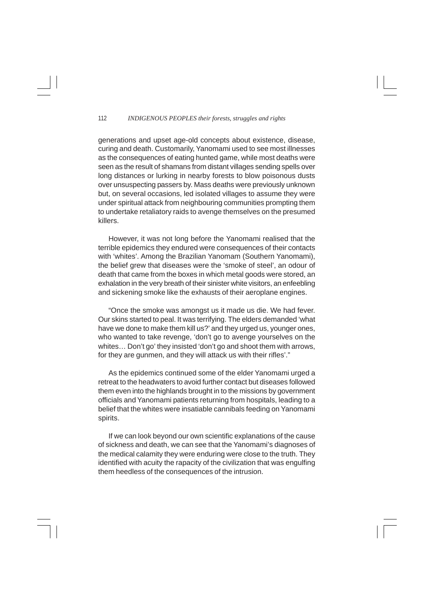generations and upset age-old concepts about existence, disease, curing and death. Customarily, Yanomami used to see most illnesses as the consequences of eating hunted game, while most deaths were seen as the result of shamans from distant villages sending spells over long distances or lurking in nearby forests to blow poisonous dusts over unsuspecting passers by. Mass deaths were previously unknown but, on several occasions, led isolated villages to assume they were under spiritual attack from neighbouring communities prompting them to undertake retaliatory raids to avenge themselves on the presumed killers.

However, it was not long before the Yanomami realised that the terrible epidemics they endured were consequences of their contacts with 'whites'. Among the Brazilian Yanomam (Southern Yanomami), the belief grew that diseases were the 'smoke of steel', an odour of death that came from the boxes in which metal goods were stored, an exhalation in the very breath of their sinister white visitors, an enfeebling and sickening smoke like the exhausts of their aeroplane engines.

"Once the smoke was amongst us it made us die. We had fever. Our skins started to peal. It was terrifying. The elders demanded 'what have we done to make them kill us?' and they urged us, younger ones, who wanted to take revenge, 'don't go to avenge yourselves on the whites… Don't go' they insisted 'don't go and shoot them with arrows, for they are gunmen, and they will attack us with their rifles'."

As the epidemics continued some of the elder Yanomami urged a retreat to the headwaters to avoid further contact but diseases followed them even into the highlands brought in to the missions by government officials and Yanomami patients returning from hospitals, leading to a belief that the whites were insatiable cannibals feeding on Yanomami spirits.

If we can look beyond our own scientific explanations of the cause of sickness and death, we can see that the Yanomami's diagnoses of the medical calamity they were enduring were close to the truth. They identified with acuity the rapacity of the civilization that was engulfing them heedless of the consequences of the intrusion.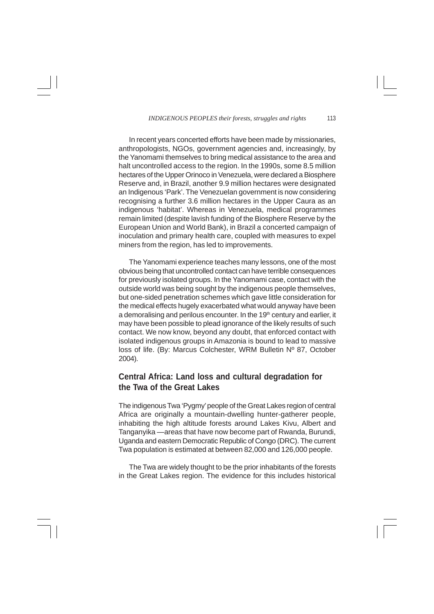In recent years concerted efforts have been made by missionaries, anthropologists, NGOs, government agencies and, increasingly, by the Yanomami themselves to bring medical assistance to the area and halt uncontrolled access to the region. In the 1990s, some 8.5 million hectares of the Upper Orinoco in Venezuela, were declared a Biosphere Reserve and, in Brazil, another 9.9 million hectares were designated an Indigenous 'Park'. The Venezuelan government is now considering recognising a further 3.6 million hectares in the Upper Caura as an indigenous 'habitat'. Whereas in Venezuela, medical programmes remain limited (despite lavish funding of the Biosphere Reserve by the European Union and World Bank), in Brazil a concerted campaign of inoculation and primary health care, coupled with measures to expel miners from the region, has led to improvements.

The Yanomami experience teaches many lessons, one of the most obvious being that uncontrolled contact can have terrible consequences for previously isolated groups. In the Yanomami case, contact with the outside world was being sought by the indigenous people themselves, but one-sided penetration schemes which gave little consideration for the medical effects hugely exacerbated what would anyway have been a demoralising and perilous encounter. In the 19<sup>th</sup> century and earlier, it may have been possible to plead ignorance of the likely results of such contact. We now know, beyond any doubt, that enforced contact with isolated indigenous groups in Amazonia is bound to lead to massive loss of life. (By: Marcus Colchester, WRM Bulletin Nº 87, October 2004).

## **Central Africa: Land loss and cultural degradation for the Twa of the Great Lakes**

The indigenous Twa 'Pygmy' people of the Great Lakes region of central Africa are originally a mountain-dwelling hunter-gatherer people, inhabiting the high altitude forests around Lakes Kivu, Albert and Tanganyika —areas that have now become part of Rwanda, Burundi, Uganda and eastern Democratic Republic of Congo (DRC). The current Twa population is estimated at between 82,000 and 126,000 people.

The Twa are widely thought to be the prior inhabitants of the forests in the Great Lakes region. The evidence for this includes historical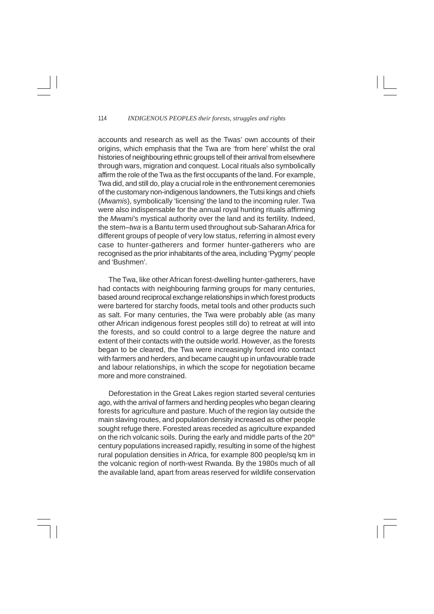accounts and research as well as the Twas' own accounts of their origins, which emphasis that the Twa are 'from here' whilst the oral histories of neighbouring ethnic groups tell of their arrival from elsewhere through wars, migration and conquest. Local rituals also symbolically affirm the role of the Twa as the first occupants of the land. For example, Twa did, and still do, play a crucial role in the enthronement ceremonies of the customary non-indigenous landowners, the Tutsi kings and chiefs (*Mwamis*), symbolically 'licensing' the land to the incoming ruler. Twa were also indispensable for the annual royal hunting rituals affirming the *Mwami*'s mystical authority over the land and its fertility. Indeed, the stem*–twa* is a Bantu term used throughout sub-Saharan Africa for different groups of people of very low status, referring in almost every case to hunter-gatherers and former hunter-gatherers who are recognised as the prior inhabitants of the area, including 'Pygmy' people and 'Bushmen'.

The Twa, like other African forest-dwelling hunter-gatherers, have had contacts with neighbouring farming groups for many centuries. based around reciprocal exchange relationships in which forest products were bartered for starchy foods, metal tools and other products such as salt. For many centuries, the Twa were probably able (as many other African indigenous forest peoples still do) to retreat at will into the forests, and so could control to a large degree the nature and extent of their contacts with the outside world. However, as the forests began to be cleared, the Twa were increasingly forced into contact with farmers and herders, and became caught up in unfavourable trade and labour relationships, in which the scope for negotiation became more and more constrained.

Deforestation in the Great Lakes region started several centuries ago, with the arrival of farmers and herding peoples who began clearing forests for agriculture and pasture. Much of the region lay outside the main slaving routes, and population density increased as other people sought refuge there. Forested areas receded as agriculture expanded on the rich volcanic soils. During the early and middle parts of the 20<sup>th</sup> century populations increased rapidly, resulting in some of the highest rural population densities in Africa, for example 800 people/sq km in the volcanic region of north-west Rwanda. By the 1980s much of all the available land, apart from areas reserved for wildlife conservation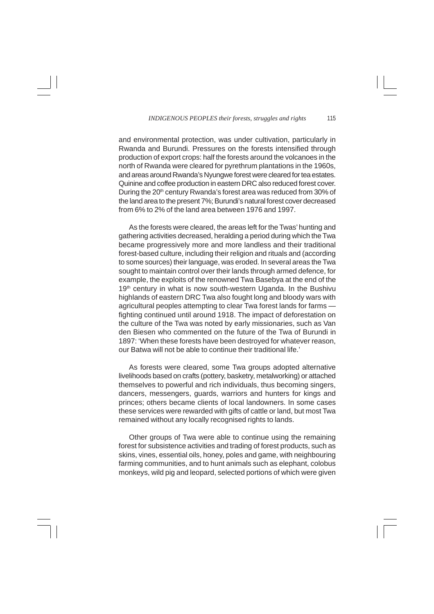and environmental protection, was under cultivation, particularly in Rwanda and Burundi. Pressures on the forests intensified through production of export crops: half the forests around the volcanoes in the north of Rwanda were cleared for pyrethrum plantations in the 1960s, and areas around Rwanda's Nyungwe forest were cleared for tea estates. Quinine and coffee production in eastern DRC also reduced forest cover. During the 20<sup>th</sup> century Rwanda's forest area was reduced from 30% of the land area to the present 7%; Burundi's natural forest cover decreased from 6% to 2% of the land area between 1976 and 1997.

As the forests were cleared, the areas left for the Twas' hunting and gathering activities decreased, heralding a period during which the Twa became progressively more and more landless and their traditional forest-based culture, including their religion and rituals and (according to some sources) their language, was eroded. In several areas the Twa sought to maintain control over their lands through armed defence, for example, the exploits of the renowned Twa Basebya at the end of the 19<sup>th</sup> century in what is now south-western Uganda. In the Bushivu highlands of eastern DRC Twa also fought long and bloody wars with agricultural peoples attempting to clear Twa forest lands for farms fighting continued until around 1918. The impact of deforestation on the culture of the Twa was noted by early missionaries, such as Van den Biesen who commented on the future of the Twa of Burundi in 1897: 'When these forests have been destroyed for whatever reason, our Batwa will not be able to continue their traditional life.'

As forests were cleared, some Twa groups adopted alternative livelihoods based on crafts (pottery, basketry, metalworking) or attached themselves to powerful and rich individuals, thus becoming singers, dancers, messengers, guards, warriors and hunters for kings and princes; others became clients of local landowners. In some cases these services were rewarded with gifts of cattle or land, but most Twa remained without any locally recognised rights to lands.

Other groups of Twa were able to continue using the remaining forest for subsistence activities and trading of forest products, such as skins, vines, essential oils, honey, poles and game, with neighbouring farming communities, and to hunt animals such as elephant, colobus monkeys, wild pig and leopard, selected portions of which were given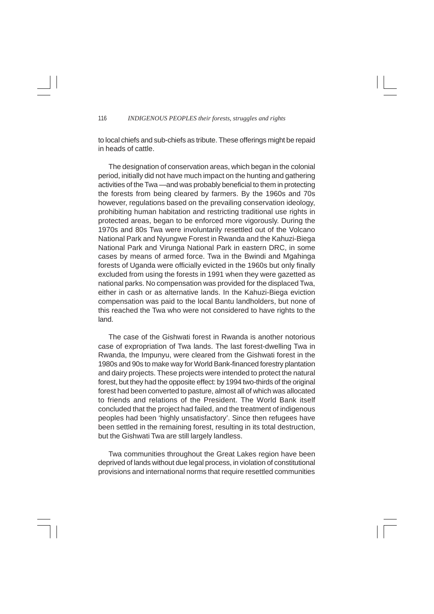to local chiefs and sub-chiefs as tribute. These offerings might be repaid in heads of cattle.

The designation of conservation areas, which began in the colonial period, initially did not have much impact on the hunting and gathering activities of the Twa —and was probably beneficial to them in protecting the forests from being cleared by farmers. By the 1960s and 70s however, regulations based on the prevailing conservation ideology, prohibiting human habitation and restricting traditional use rights in protected areas, began to be enforced more vigorously. During the 1970s and 80s Twa were involuntarily resettled out of the Volcano National Park and Nyungwe Forest in Rwanda and the Kahuzi-Biega National Park and Virunga National Park in eastern DRC, in some cases by means of armed force. Twa in the Bwindi and Mgahinga forests of Uganda were officially evicted in the 1960s but only finally excluded from using the forests in 1991 when they were gazetted as national parks. No compensation was provided for the displaced Twa, either in cash or as alternative lands. In the Kahuzi-Biega eviction compensation was paid to the local Bantu landholders, but none of this reached the Twa who were not considered to have rights to the land.

The case of the Gishwati forest in Rwanda is another notorious case of expropriation of Twa lands. The last forest-dwelling Twa in Rwanda, the Impunyu, were cleared from the Gishwati forest in the 1980s and 90s to make way for World Bank-financed forestry plantation and dairy projects. These projects were intended to protect the natural forest, but they had the opposite effect: by 1994 two-thirds of the original forest had been converted to pasture, almost all of which was allocated to friends and relations of the President. The World Bank itself concluded that the project had failed, and the treatment of indigenous peoples had been 'highly unsatisfactory'. Since then refugees have been settled in the remaining forest, resulting in its total destruction, but the Gishwati Twa are still largely landless.

Twa communities throughout the Great Lakes region have been deprived of lands without due legal process, in violation of constitutional provisions and international norms that require resettled communities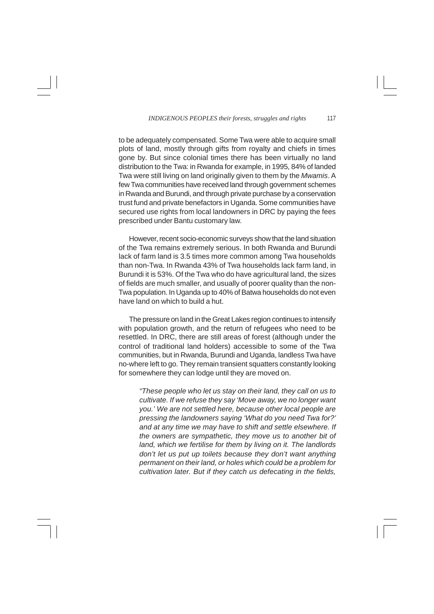to be adequately compensated. Some Twa were able to acquire small plots of land, mostly through gifts from royalty and chiefs in times gone by. But since colonial times there has been virtually no land distribution to the Twa: in Rwanda for example, in 1995, 84% of landed Twa were still living on land originally given to them by the *Mwamis*. A few Twa communities have received land through government schemes in Rwanda and Burundi, and through private purchase by a conservation trust fund and private benefactors in Uganda. Some communities have secured use rights from local landowners in DRC by paying the fees prescribed under Bantu customary law.

However, recent socio-economic surveys show that the land situation of the Twa remains extremely serious. In both Rwanda and Burundi lack of farm land is 3.5 times more common among Twa households than non-Twa. In Rwanda 43% of Twa households lack farm land, in Burundi it is 53%. Of the Twa who do have agricultural land, the sizes of fields are much smaller, and usually of poorer quality than the non-Twa population. In Uganda up to 40% of Batwa households do not even have land on which to build a hut.

The pressure on land in the Great Lakes region continues to intensify with population growth, and the return of refugees who need to be resettled. In DRC, there are still areas of forest (although under the control of traditional land holders) accessible to some of the Twa communities, but in Rwanda, Burundi and Uganda, landless Twa have no-where left to go. They remain transient squatters constantly looking for somewhere they can lodge until they are moved on.

*"These people who let us stay on their land, they call on us to cultivate. If we refuse they say 'Move away, we no longer want you.' We are not settled here, because other local people are pressing the landowners saying 'What do you need Twa for?' and at any time we may have to shift and settle elsewhere. If the owners are sympathetic, they move us to another bit of land, which we fertilise for them by living on it. The landlords don't let us put up toilets because they don't want anything permanent on their land, or holes which could be a problem for cultivation later. But if they catch us defecating in the fields,*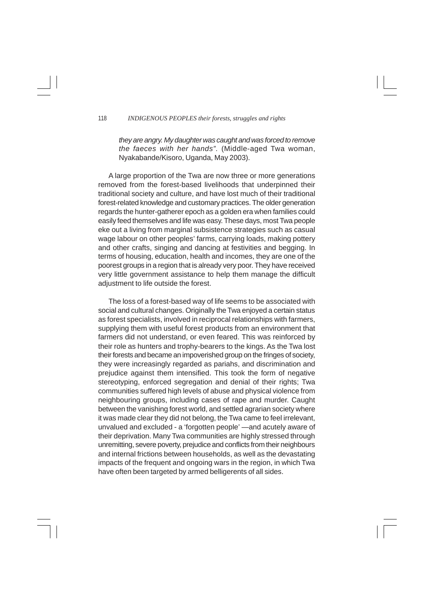*they are angry. My daughter was caught and was forced to remove the faeces with her hands".* (Middle-aged Twa woman, Nyakabande/Kisoro, Uganda, May 2003).

A large proportion of the Twa are now three or more generations removed from the forest-based livelihoods that underpinned their traditional society and culture, and have lost much of their traditional forest-related knowledge and customary practices. The older generation regards the hunter-gatherer epoch as a golden era when families could easily feed themselves and life was easy. These days, most Twa people eke out a living from marginal subsistence strategies such as casual wage labour on other peoples' farms, carrying loads, making pottery and other crafts, singing and dancing at festivities and begging. In terms of housing, education, health and incomes, they are one of the poorest groups in a region that is already very poor. They have received very little government assistance to help them manage the difficult adjustment to life outside the forest.

The loss of a forest-based way of life seems to be associated with social and cultural changes. Originally the Twa enjoyed a certain status as forest specialists, involved in reciprocal relationships with farmers, supplying them with useful forest products from an environment that farmers did not understand, or even feared. This was reinforced by their role as hunters and trophy-bearers to the kings. As the Twa lost their forests and became an impoverished group on the fringes of society, they were increasingly regarded as pariahs, and discrimination and prejudice against them intensified. This took the form of negative stereotyping, enforced segregation and denial of their rights; Twa communities suffered high levels of abuse and physical violence from neighbouring groups, including cases of rape and murder. Caught between the vanishing forest world, and settled agrarian society where it was made clear they did not belong, the Twa came to feel irrelevant, unvalued and excluded - a 'forgotten people' —and acutely aware of their deprivation. Many Twa communities are highly stressed through unremitting, severe poverty, prejudice and conflicts from their neighbours and internal frictions between households, as well as the devastating impacts of the frequent and ongoing wars in the region, in which Twa have often been targeted by armed belligerents of all sides.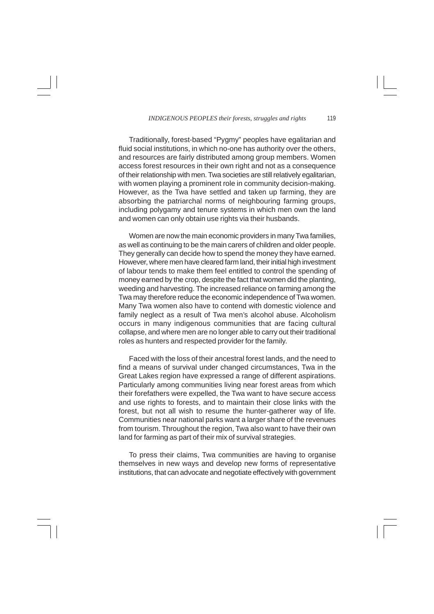Traditionally, forest-based "Pygmy" peoples have egalitarian and fluid social institutions, in which no-one has authority over the others, and resources are fairly distributed among group members. Women access forest resources in their own right and not as a consequence of their relationship with men. Twa societies are still relatively egalitarian, with women playing a prominent role in community decision-making. However, as the Twa have settled and taken up farming, they are absorbing the patriarchal norms of neighbouring farming groups, including polygamy and tenure systems in which men own the land and women can only obtain use rights via their husbands.

Women are now the main economic providers in many Twa families, as well as continuing to be the main carers of children and older people. They generally can decide how to spend the money they have earned. However, where men have cleared farm land, their initial high investment of labour tends to make them feel entitled to control the spending of money earned by the crop, despite the fact that women did the planting, weeding and harvesting. The increased reliance on farming among the Twa may therefore reduce the economic independence of Twa women. Many Twa women also have to contend with domestic violence and family neglect as a result of Twa men's alcohol abuse. Alcoholism occurs in many indigenous communities that are facing cultural collapse, and where men are no longer able to carry out their traditional roles as hunters and respected provider for the family.

Faced with the loss of their ancestral forest lands, and the need to find a means of survival under changed circumstances, Twa in the Great Lakes region have expressed a range of different aspirations. Particularly among communities living near forest areas from which their forefathers were expelled, the Twa want to have secure access and use rights to forests, and to maintain their close links with the forest, but not all wish to resume the hunter-gatherer way of life. Communities near national parks want a larger share of the revenues from tourism. Throughout the region, Twa also want to have their own land for farming as part of their mix of survival strategies.

To press their claims, Twa communities are having to organise themselves in new ways and develop new forms of representative institutions, that can advocate and negotiate effectively with government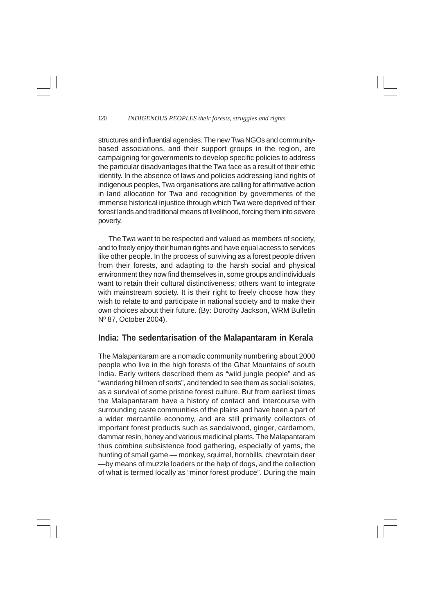structures and influential agencies. The new Twa NGOs and communitybased associations, and their support groups in the region, are campaigning for governments to develop specific policies to address the particular disadvantages that the Twa face as a result of their ethic identity. In the absence of laws and policies addressing land rights of indigenous peoples, Twa organisations are calling for affirmative action in land allocation for Twa and recognition by governments of the immense historical injustice through which Twa were deprived of their forest lands and traditional means of livelihood, forcing them into severe poverty.

The Twa want to be respected and valued as members of society, and to freely enjoy their human rights and have equal access to services like other people. In the process of surviving as a forest people driven from their forests, and adapting to the harsh social and physical environment they now find themselves in, some groups and individuals want to retain their cultural distinctiveness; others want to integrate with mainstream society. It is their right to freely choose how they wish to relate to and participate in national society and to make their own choices about their future. (By: Dorothy Jackson, WRM Bulletin Nº 87, October 2004).

### **India: The sedentarisation of the Malapantaram in Kerala**

The Malapantaram are a nomadic community numbering about 2000 people who live in the high forests of the Ghat Mountains of south India. Early writers described them as "wild jungle people" and as "wandering hillmen of sorts", and tended to see them as social isolates, as a survival of some pristine forest culture. But from earliest times the Malapantaram have a history of contact and intercourse with surrounding caste communities of the plains and have been a part of a wider mercantile economy, and are still primarily collectors of important forest products such as sandalwood, ginger, cardamom, dammar resin, honey and various medicinal plants. The Malapantaram thus combine subsistence food gathering, especially of yams, the hunting of small game — monkey, squirrel, hornbills, chevrotain deer —by means of muzzle loaders or the help of dogs, and the collection of what is termed locally as "minor forest produce". During the main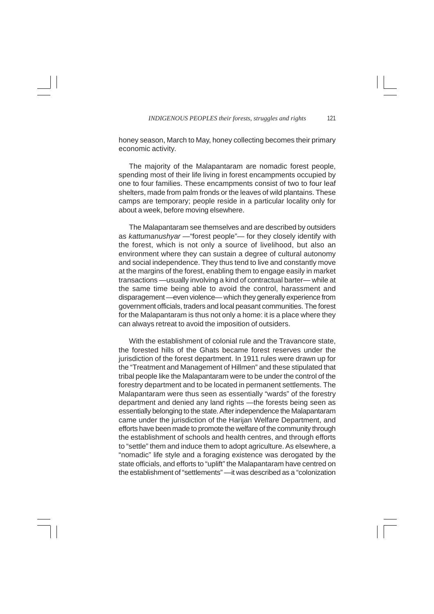honey season, March to May, honey collecting becomes their primary economic activity.

The majority of the Malapantaram are nomadic forest people, spending most of their life living in forest encampments occupied by one to four families. These encampments consist of two to four leaf shelters, made from palm fronds or the leaves of wild plantains. These camps are temporary; people reside in a particular locality only for about a week, before moving elsewhere.

The Malapantaram see themselves and are described by outsiders as *kattumanushyar* —"forest people"— for they closely identify with the forest, which is not only a source of livelihood, but also an environment where they can sustain a degree of cultural autonomy and social independence. They thus tend to live and constantly move at the margins of the forest, enabling them to engage easily in market transactions —usually involving a kind of contractual barter— while at the same time being able to avoid the control, harassment and disparagement —even violence— which they generally experience from government officials, traders and local peasant communities. The forest for the Malapantaram is thus not only a home: it is a place where they can always retreat to avoid the imposition of outsiders.

With the establishment of colonial rule and the Travancore state, the forested hills of the Ghats became forest reserves under the jurisdiction of the forest department. In 1911 rules were drawn up for the "Treatment and Management of Hillmen" and these stipulated that tribal people like the Malapantaram were to be under the control of the forestry department and to be located in permanent settlements. The Malapantaram were thus seen as essentially "wards" of the forestry department and denied any land rights —the forests being seen as essentially belonging to the state. After independence the Malapantaram came under the jurisdiction of the Harijan Welfare Department, and efforts have been made to promote the welfare of the community through the establishment of schools and health centres, and through efforts to "settle" them and induce them to adopt agriculture. As elsewhere, a "nomadic" life style and a foraging existence was derogated by the state officials, and efforts to "uplift" the Malapantaram have centred on the establishment of "settlements" —it was described as a "colonization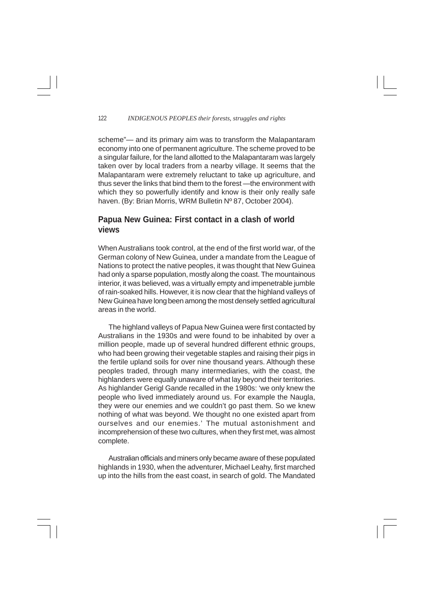scheme"— and its primary aim was to transform the Malapantaram economy into one of permanent agriculture. The scheme proved to be a singular failure, for the land allotted to the Malapantaram was largely taken over by local traders from a nearby village. It seems that the Malapantaram were extremely reluctant to take up agriculture, and thus sever the links that bind them to the forest —the environment with which they so powerfully identify and know is their only really safe haven. (By: Brian Morris, WRM Bulletin Nº 87, October 2004).

## **Papua New Guinea: First contact in a clash of world views**

When Australians took control, at the end of the first world war, of the German colony of New Guinea, under a mandate from the League of Nations to protect the native peoples, it was thought that New Guinea had only a sparse population, mostly along the coast. The mountainous interior, it was believed, was a virtually empty and impenetrable jumble of rain-soaked hills. However, it is now clear that the highland valleys of New Guinea have long been among the most densely settled agricultural areas in the world.

The highland valleys of Papua New Guinea were first contacted by Australians in the 1930s and were found to be inhabited by over a million people, made up of several hundred different ethnic groups, who had been growing their vegetable staples and raising their pigs in the fertile upland soils for over nine thousand years. Although these peoples traded, through many intermediaries, with the coast, the highlanders were equally unaware of what lay beyond their territories. As highlander Gerigl Gande recalled in the 1980s: 'we only knew the people who lived immediately around us. For example the Naugla, they were our enemies and we couldn't go past them. So we knew nothing of what was beyond. We thought no one existed apart from ourselves and our enemies.' The mutual astonishment and incomprehension of these two cultures, when they first met, was almost complete.

Australian officials and miners only became aware of these populated highlands in 1930, when the adventurer, Michael Leahy, first marched up into the hills from the east coast, in search of gold. The Mandated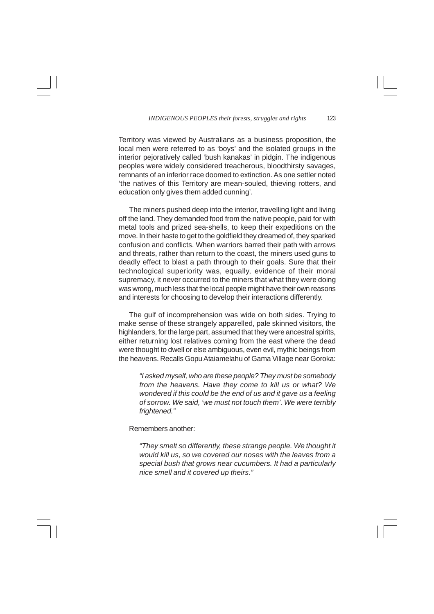Territory was viewed by Australians as a business proposition, the local men were referred to as 'boys' and the isolated groups in the interior pejoratively called 'bush kanakas' in pidgin. The indigenous peoples were widely considered treacherous, bloodthirsty savages, remnants of an inferior race doomed to extinction. As one settler noted 'the natives of this Territory are mean-souled, thieving rotters, and education only gives them added cunning'.

The miners pushed deep into the interior, travelling light and living off the land. They demanded food from the native people, paid for with metal tools and prized sea-shells, to keep their expeditions on the move. In their haste to get to the goldfield they dreamed of, they sparked confusion and conflicts. When warriors barred their path with arrows and threats, rather than return to the coast, the miners used guns to deadly effect to blast a path through to their goals. Sure that their technological superiority was, equally, evidence of their moral supremacy, it never occurred to the miners that what they were doing was wrong, much less that the local people might have their own reasons and interests for choosing to develop their interactions differently.

The gulf of incomprehension was wide on both sides. Trying to make sense of these strangely apparelled, pale skinned visitors, the highlanders, for the large part, assumed that they were ancestral spirits, either returning lost relatives coming from the east where the dead were thought to dwell or else ambiguous, even evil, mythic beings from the heavens. Recalls Gopu Ataiamelahu of Gama Village near Goroka:

*"I asked myself, who are these people? They must be somebody from the heavens. Have they come to kill us or what? We wondered if this could be the end of us and it gave us a feeling of sorrow. We said, 'we must not touch them'. We were terribly frightened."*

Remembers another:

*"They smelt so differently, these strange people. We thought it would kill us, so we covered our noses with the leaves from a special bush that grows near cucumbers. It had a particularly nice smell and it covered up theirs."*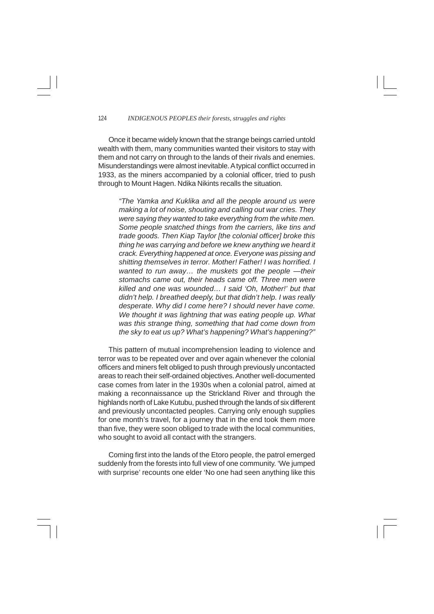Once it became widely known that the strange beings carried untold wealth with them, many communities wanted their visitors to stay with them and not carry on through to the lands of their rivals and enemies. Misunderstandings were almost inevitable. A typical conflict occurred in 1933, as the miners accompanied by a colonial officer, tried to push through to Mount Hagen. Ndika Nikints recalls the situation.

*"The Yamka and Kuklika and all the people around us were making a lot of noise, shouting and calling out war cries. They were saying they wanted to take everything from the white men. Some people snatched things from the carriers, like tins and trade goods. Then Kiap Taylor [the colonial officer] broke this thing he was carrying and before we knew anything we heard it crack. Everything happened at once. Everyone was pissing and shitting themselves in terror. Mother! Father! I was horrified. I wanted to run away… the muskets got the people —their stomachs came out, their heads came off. Three men were killed and one was wounded… I said 'Oh, Mother!' but that didn't help. I breathed deeply, but that didn't help. I was really desperate. Why did I come here? I should never have come. We thought it was lightning that was eating people up. What was this strange thing, something that had come down from the sky to eat us up? What's happening? What's happening?"*

This pattern of mutual incomprehension leading to violence and terror was to be repeated over and over again whenever the colonial officers and miners felt obliged to push through previously uncontacted areas to reach their self-ordained objectives. Another well-documented case comes from later in the 1930s when a colonial patrol, aimed at making a reconnaissance up the Strickland River and through the highlands north of Lake Kutubu, pushed through the lands of six different and previously uncontacted peoples. Carrying only enough supplies for one month's travel, for a journey that in the end took them more than five, they were soon obliged to trade with the local communities, who sought to avoid all contact with the strangers.

Coming first into the lands of the Etoro people, the patrol emerged suddenly from the forests into full view of one community. 'We jumped with surprise' recounts one elder 'No one had seen anything like this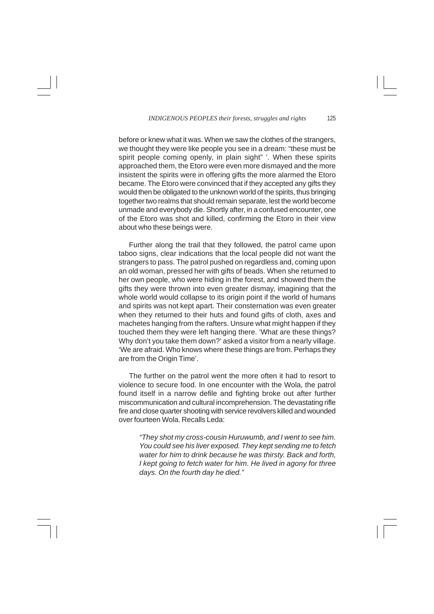before or knew what it was. When we saw the clothes of the strangers, we thought they were like people you see in a dream: "these must be spirit people coming openly, in plain sight" '. When these spirits approached them, the Etoro were even more dismayed and the more insistent the spirits were in offering gifts the more alarmed the Etoro became. The Etoro were convinced that if they accepted any gifts they would then be obligated to the unknown world of the spirits, thus bringing together two realms that should remain separate, lest the world become unmade and everybody die. Shortly after, in a confused encounter, one of the Etoro was shot and killed, confirming the Etoro in their view about who these beings were.

Further along the trail that they followed, the patrol came upon taboo signs, clear indications that the local people did not want the strangers to pass. The patrol pushed on regardless and, coming upon an old woman, pressed her with gifts of beads. When she returned to her own people, who were hiding in the forest, and showed them the gifts they were thrown into even greater dismay, imagining that the whole world would collapse to its origin point if the world of humans and spirits was not kept apart. Their consternation was even greater when they returned to their huts and found gifts of cloth, axes and machetes hanging from the rafters. Unsure what might happen if they touched them they were left hanging there. 'What are these things? Why don't you take them down?' asked a visitor from a nearly village. 'We are afraid. Who knows where these things are from. Perhaps they are from the Origin Time'.

The further on the patrol went the more often it had to resort to violence to secure food. In one encounter with the Wola, the patrol found itself in a narrow defile and fighting broke out after further miscommunication and cultural incomprehension. The devastating rifle fire and close quarter shooting with service revolvers killed and wounded over fourteen Wola. Recalls Leda:

*"They shot my cross-cousin Huruwumb, and I went to see him. You could see his liver exposed. They kept sending me to fetch water for him to drink because he was thirsty. Back and forth, I kept going to fetch water for him. He lived in agony for three days. On the fourth day he died."*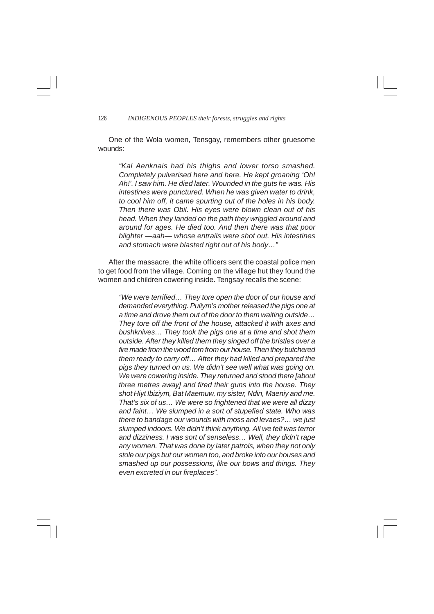One of the Wola women, Tensgay, remembers other gruesome wounds:

*"Kal Aenknais had his thighs and lower torso smashed. Completely pulverised here and here. He kept groaning 'Oh! Ah!'. I saw him. He died later. Wounded in the guts he was. His intestines were punctured. When he was given water to drink, to cool him off, it came spurting out of the holes in his body. Then there was Obil. His eyes were blown clean out of his head. When they landed on the path they wriggled around and around for ages. He died too. And then there was that poor blighter —aah— whose entrails were shot out. His intestines and stomach were blasted right out of his body…"*

After the massacre, the white officers sent the coastal police men to get food from the village. Coming on the village hut they found the women and children cowering inside. Tengsay recalls the scene:

*"We were terrified… They tore open the door of our house and demanded everything. Puliym's mother released the pigs one at a time and drove them out of the door to them waiting outside… They tore off the front of the house, attacked it with axes and bushknives… They took the pigs one at a time and shot them outside. After they killed them they singed off the bristles over a fire made from the wood torn from our house. Then they butchered them ready to carry off… After they had killed and prepared the pigs they turned on us. We didn't see well what was going on. We were cowering inside. They returned and stood there [about three metres away] and fired their guns into the house. They shot Hiyt Ibiziym, Bat Maemuw, my sister, Ndin, Maeniy and me. That's six of us… We were so frightened that we were all dizzy and faint… We slumped in a sort of stupefied state. Who was there to bandage our wounds with moss and levaes?… we just slumped indoors. We didn't think anything. All we felt was terror and dizziness. I was sort of senseless… Well, they didn't rape any women. That was done by later patrols, when they not only stole our pigs but our women too, and broke into our houses and smashed up our possessions, like our bows and things. They even excreted in our fireplaces".*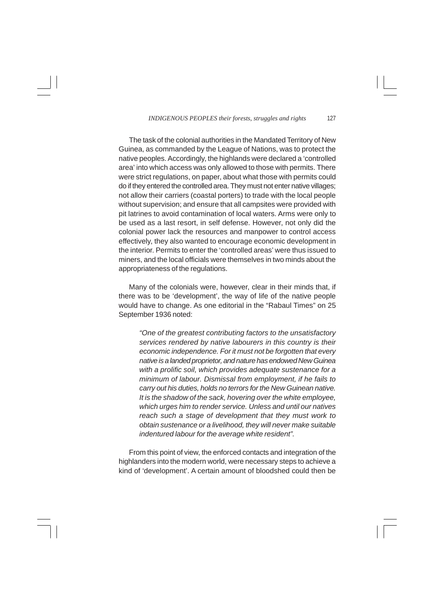The task of the colonial authorities in the Mandated Territory of New Guinea, as commanded by the League of Nations, was to protect the native peoples. Accordingly, the highlands were declared a 'controlled area' into which access was only allowed to those with permits. There were strict regulations, on paper, about what those with permits could do if they entered the controlled area. They must not enter native villages; not allow their carriers (coastal porters) to trade with the local people without supervision; and ensure that all campsites were provided with pit latrines to avoid contamination of local waters. Arms were only to be used as a last resort, in self defense. However, not only did the colonial power lack the resources and manpower to control access effectively, they also wanted to encourage economic development in the interior. Permits to enter the 'controlled areas' were thus issued to miners, and the local officials were themselves in two minds about the appropriateness of the regulations.

Many of the colonials were, however, clear in their minds that, if there was to be 'development', the way of life of the native people would have to change. As one editorial in the "Rabaul Times" on 25 September 1936 noted:

*"One of the greatest contributing factors to the unsatisfactory services rendered by native labourers in this country is their economic independence. For it must not be forgotten that every native is a landed proprietor, and nature has endowed New Guinea with a prolific soil, which provides adequate sustenance for a minimum of labour. Dismissal from employment, if he fails to carry out his duties, holds no terrors for the New Guinean native. It is the shadow of the sack, hovering over the white employee, which urges him to render service. Unless and until our natives reach such a stage of development that they must work to obtain sustenance or a livelihood, they will never make suitable indentured labour for the average white resident".*

From this point of view, the enforced contacts and integration of the highlanders into the modern world, were necessary steps to achieve a kind of 'development'. A certain amount of bloodshed could then be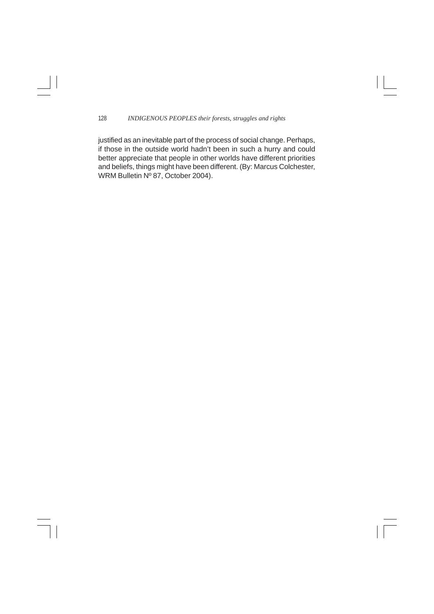$\begin{array}{c|c|c|c|c} \hline \quad \quad & \quad \quad & \quad \quad & \quad \quad \\ \hline \quad \quad & \quad \quad & \quad \quad & \quad \quad \\ \hline \end{array}$ 

justified as an inevitable part of the process of social change. Perhaps, if those in the outside world hadn't been in such a hurry and could better appreciate that people in other worlds have different priorities and beliefs, things might have been different. (By: Marcus Colchester, WRM Bulletin Nº 87, October 2004).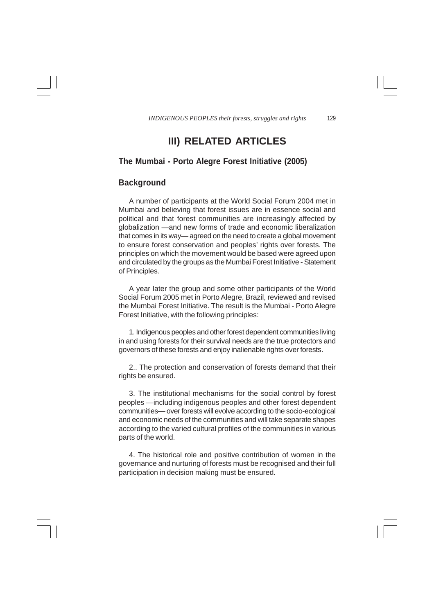# **III) RELATED ARTICLES**

## **The Mumbai - Porto Alegre Forest Initiative (2005)**

## **Background**

A number of participants at the World Social Forum 2004 met in Mumbai and believing that forest issues are in essence social and political and that forest communities are increasingly affected by globalization —and new forms of trade and economic liberalization that comes in its way— agreed on the need to create a global movement to ensure forest conservation and peoples' rights over forests. The principles on which the movement would be based were agreed upon and circulated by the groups as the Mumbai Forest Initiative - Statement of Principles.

A year later the group and some other participants of the World Social Forum 2005 met in Porto Alegre, Brazil, reviewed and revised the Mumbai Forest Initiative. The result is the Mumbai - Porto Alegre Forest Initiative, with the following principles:

1. Indigenous peoples and other forest dependent communities living in and using forests for their survival needs are the true protectors and governors of these forests and enjoy inalienable rights over forests.

2.. The protection and conservation of forests demand that their rights be ensured.

3. The institutional mechanisms for the social control by forest peoples —including indigenous peoples and other forest dependent communities— over forests will evolve according to the socio-ecological and economic needs of the communities and will take separate shapes according to the varied cultural profiles of the communities in various parts of the world.

4. The historical role and positive contribution of women in the governance and nurturing of forests must be recognised and their full participation in decision making must be ensured.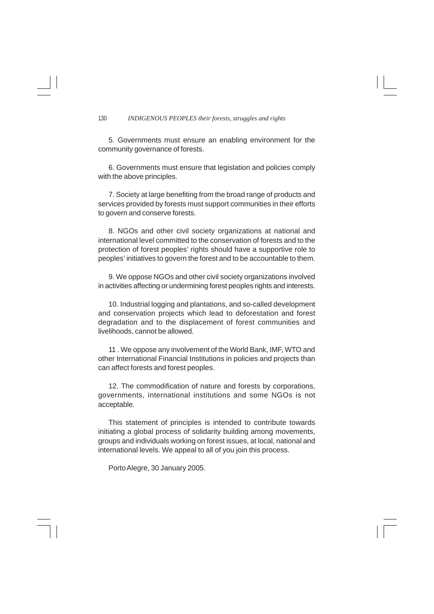5. Governments must ensure an enabling environment for the community governance of forests.

6. Governments must ensure that legislation and policies comply with the above principles.

7. Society at large benefiting from the broad range of products and services provided by forests must support communities in their efforts to govern and conserve forests.

8. NGOs and other civil society organizations at national and international level committed to the conservation of forests and to the protection of forest peoples' rights should have a supportive role to peoples' initiatives to govern the forest and to be accountable to them.

9. We oppose NGOs and other civil society organizations involved in activities affecting or undermining forest peoples rights and interests.

10. Industrial logging and plantations, and so-called development and conservation projects which lead to deforestation and forest degradation and to the displacement of forest communities and livelihoods, cannot be allowed.

11 . We oppose any involvement of the World Bank, IMF, WTO and other International Financial Institutions in policies and projects than can affect forests and forest peoples.

12. The commodification of nature and forests by corporations, governments, international institutions and some NGOs is not acceptable.

This statement of principles is intended to contribute towards initiating a global process of solidarity building among movements, groups and individuals working on forest issues, at local, national and international levels. We appeal to all of you join this process.

Porto Alegre, 30 January 2005.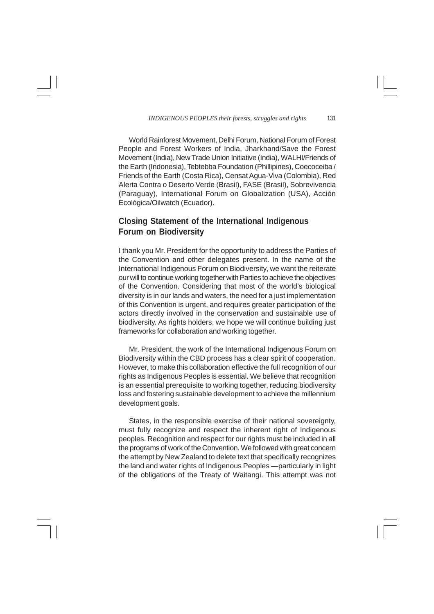World Rainforest Movement, Delhi Forum, National Forum of Forest People and Forest Workers of India, Jharkhand/Save the Forest Movement (India), New Trade Union Initiative (India), WALHI/Friends of the Earth (Indonesia), Tebtebba Foundation (Phillipines), Coecoceiba / Friends of the Earth (Costa Rica), Censat Agua-Viva (Colombia), Red Alerta Contra o Deserto Verde (Brasil), FASE (Brasil), Sobrevivencia (Paraguay), International Forum on Globalization (USA), Acción Ecológica/Oilwatch (Ecuador).

## **Closing Statement of the International Indigenous Forum on Biodiversity**

I thank you Mr. President for the opportunity to address the Parties of the Convention and other delegates present. In the name of the International Indigenous Forum on Biodiversity, we want the reiterate our will to continue working together with Parties to achieve the objectives of the Convention. Considering that most of the world's biological diversity is in our lands and waters, the need for a just implementation of this Convention is urgent, and requires greater participation of the actors directly involved in the conservation and sustainable use of biodiversity. As rights holders, we hope we will continue building just frameworks for collaboration and working together.

Mr. President, the work of the International Indigenous Forum on Biodiversity within the CBD process has a clear spirit of cooperation. However, to make this collaboration effective the full recognition of our rights as Indigenous Peoples is essential. We believe that recognition is an essential prerequisite to working together, reducing biodiversity loss and fostering sustainable development to achieve the millennium development goals.

States, in the responsible exercise of their national sovereignty, must fully recognize and respect the inherent right of Indigenous peoples. Recognition and respect for our rights must be included in all the programs of work of the Convention. We followed with great concern the attempt by New Zealand to delete text that specifically recognizes the land and water rights of Indigenous Peoples —particularly in light of the obligations of the Treaty of Waitangi. This attempt was not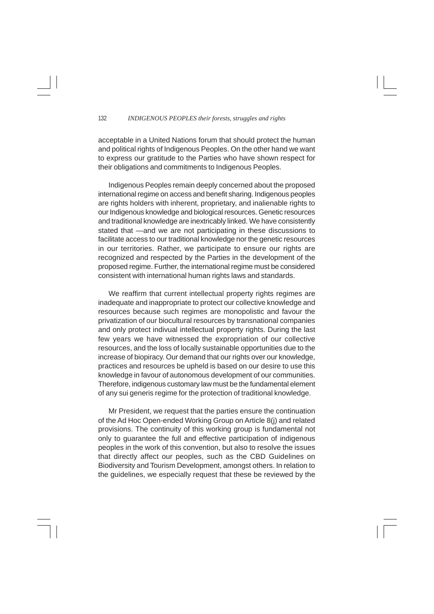acceptable in a United Nations forum that should protect the human and political rights of Indigenous Peoples. On the other hand we want to express our gratitude to the Parties who have shown respect for their obligations and commitments to Indigenous Peoples.

Indigenous Peoples remain deeply concerned about the proposed international regime on access and benefit sharing. Indigenous peoples are rights holders with inherent, proprietary, and inalienable rights to our Indigenous knowledge and biological resources. Genetic resources and traditional knowledge are inextricably linked. We have consistently stated that —and we are not participating in these discussions to facilitate access to our traditional knowledge nor the genetic resources in our territories. Rather, we participate to ensure our rights are recognized and respected by the Parties in the development of the proposed regime. Further, the international regime must be considered consistent with international human rights laws and standards.

We reaffirm that current intellectual property rights regimes are inadequate and inappropriate to protect our collective knowledge and resources because such regimes are monopolistic and favour the privatization of our biocultural resources by transnational companies and only protect indivual intellectual property rights. During the last few years we have witnessed the expropriation of our collective resources, and the loss of locally sustainable opportunities due to the increase of biopiracy. Our demand that our rights over our knowledge, practices and resources be upheld is based on our desire to use this knowledge in favour of autonomous development of our communities. Therefore, indigenous customary law must be the fundamental element of any sui generis regime for the protection of traditional knowledge.

Mr President, we request that the parties ensure the continuation of the Ad Hoc Open-ended Working Group on Article 8(j) and related provisions. The continuity of this working group is fundamental not only to guarantee the full and effective participation of indigenous peoples in the work of this convention, but also to resolve the issues that directly affect our peoples, such as the CBD Guidelines on Biodiversity and Tourism Development, amongst others. In relation to the guidelines, we especially request that these be reviewed by the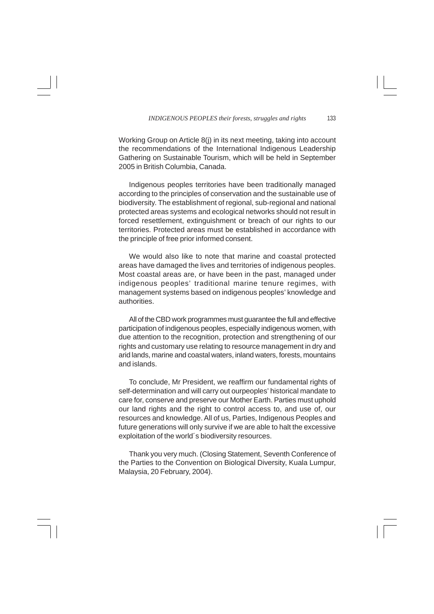Working Group on Article 8(j) in its next meeting, taking into account the recommendations of the International Indigenous Leadership Gathering on Sustainable Tourism, which will be held in September 2005 in British Columbia, Canada.

Indigenous peoples territories have been traditionally managed according to the principles of conservation and the sustainable use of biodiversity. The establishment of regional, sub-regional and national protected areas systems and ecological networks should not result in forced resettlement, extinguishment or breach of our rights to our territories. Protected areas must be established in accordance with the principle of free prior informed consent.

We would also like to note that marine and coastal protected areas have damaged the lives and territories of indigenous peoples. Most coastal areas are, or have been in the past, managed under indigenous peoples' traditional marine tenure regimes, with management systems based on indigenous peoples' knowledge and authorities.

All of the CBD work programmes must guarantee the full and effective participation of indigenous peoples, especially indigenous women, with due attention to the recognition, protection and strengthening of our rights and customary use relating to resource management in dry and arid lands, marine and coastal waters, inland waters, forests, mountains and islands.

To conclude, Mr President, we reaffirm our fundamental rights of self-determination and will carry out ourpeoples' historical mandate to care for, conserve and preserve our Mother Earth. Parties must uphold our land rights and the right to control access to, and use of, our resources and knowledge. All of us, Parties, Indigenous Peoples and future generations will only survive if we are able to halt the excessive exploitation of the world´s biodiversity resources.

Thank you very much. (Closing Statement, Seventh Conference of the Parties to the Convention on Biological Diversity, Kuala Lumpur, Malaysia, 20 February, 2004).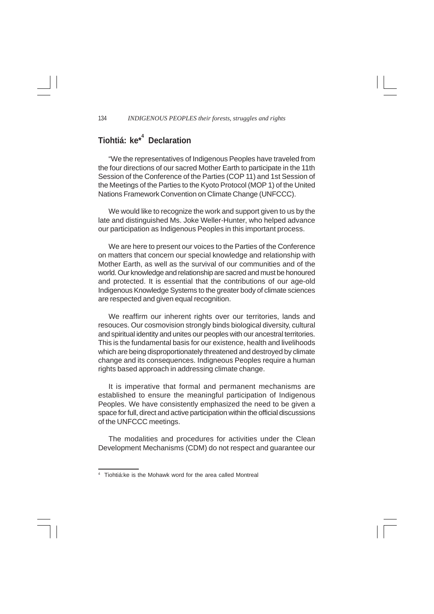# **Tiohtiá: ke\*4 Declaration**

"We the representatives of Indigenous Peoples have traveled from the four directions of our sacred Mother Earth to participate in the 11th Session of the Conference of the Parties (COP 11) and 1st Session of the Meetings of the Parties to the Kyoto Protocol (MOP 1) of the United Nations Framework Convention on Climate Change (UNFCCC).

We would like to recognize the work and support given to us by the late and distinguished Ms. Joke Weller-Hunter, who helped advance our participation as Indigenous Peoples in this important process.

We are here to present our voices to the Parties of the Conference on matters that concern our special knowledge and relationship with Mother Earth, as well as the survival of our communities and of the world. Our knowledge and relationship are sacred and must be honoured and protected. It is essential that the contributions of our age-old Indigenous Knowledge Systems to the greater body of climate sciences are respected and given equal recognition.

We reaffirm our inherent rights over our territories, lands and resouces. Our cosmovision strongly binds biological diversity, cultural and spiritual identity and unites our peoples with our ancestral territories. This is the fundamental basis for our existence, health and livelihoods which are being disproportionately threatened and destroyed by climate change and its consequences. Indigneous Peoples require a human rights based approach in addressing climate change.

It is imperative that formal and permanent mechanisms are established to ensure the meaningful participation of Indigenous Peoples. We have consistently emphasized the need to be given a space for full, direct and active participation within the official discussions of the UNFCCC meetings.

The modalities and procedures for activities under the Clean Development Mechanisms (CDM) do not respect and guarantee our

<sup>4</sup> Tiohtiá:ke is the Mohawk word for the area called Montreal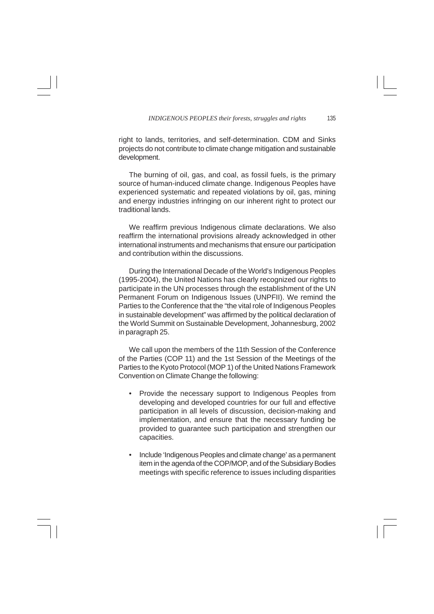right to lands, territories, and self-determination. CDM and Sinks projects do not contribute to climate change mitigation and sustainable development.

The burning of oil, gas, and coal, as fossil fuels, is the primary source of human-induced climate change. Indigenous Peoples have experienced systematic and repeated violations by oil, gas, mining and energy industries infringing on our inherent right to protect our traditional lands.

We reaffirm previous Indigenous climate declarations. We also reaffirm the international provisions already acknowledged in other international instruments and mechanisms that ensure our participation and contribution within the discussions.

During the International Decade of the World's Indigenous Peoples (1995-2004), the United Nations has clearly recognized our rights to participate in the UN processes through the establishment of the UN Permanent Forum on Indigenous Issues (UNPFII). We remind the Parties to the Conference that the "the vital role of Indigenous Peoples in sustainable development" was affirmed by the political declaration of the World Summit on Sustainable Development, Johannesburg, 2002 in paragraph 25.

We call upon the members of the 11th Session of the Conference of the Parties (COP 11) and the 1st Session of the Meetings of the Parties to the Kyoto Protocol (MOP 1) of the United Nations Framework Convention on Climate Change the following:

- Provide the necessary support to Indigenous Peoples from developing and developed countries for our full and effective participation in all levels of discussion, decision-making and implementation, and ensure that the necessary funding be provided to guarantee such participation and strengthen our capacities.
- Include 'Indigenous Peoples and climate change' as a permanent item in the agenda of the COP/MOP, and of the Subsidiary Bodies meetings with specific reference to issues including disparities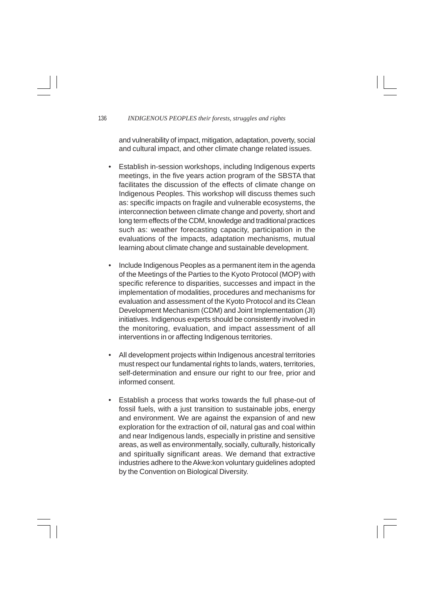and vulnerability of impact, mitigation, adaptation, poverty, social and cultural impact, and other climate change related issues.

- Establish in-session workshops, including Indigenous experts meetings, in the five years action program of the SBSTA that facilitates the discussion of the effects of climate change on Indigenous Peoples. This workshop will discuss themes such as: specific impacts on fragile and vulnerable ecosystems, the interconnection between climate change and poverty, short and long term effects of the CDM, knowledge and traditional practices such as: weather forecasting capacity, participation in the evaluations of the impacts, adaptation mechanisms, mutual learning about climate change and sustainable development.
- Include Indigenous Peoples as a permanent item in the agenda of the Meetings of the Parties to the Kyoto Protocol (MOP) with specific reference to disparities, successes and impact in the implementation of modalities, procedures and mechanisms for evaluation and assessment of the Kyoto Protocol and its Clean Development Mechanism (CDM) and Joint Implementation (JI) initiatives. Indigenous experts should be consistently involved in the monitoring, evaluation, and impact assessment of all interventions in or affecting Indigenous territories.
- All development projects within Indigenous ancestral territories must respect our fundamental rights to lands, waters, territories, self-determination and ensure our right to our free, prior and informed consent.
- Establish a process that works towards the full phase-out of fossil fuels, with a just transition to sustainable jobs, energy and environment. We are against the expansion of and new exploration for the extraction of oil, natural gas and coal within and near Indigenous lands, especially in pristine and sensitive areas, as well as environmentally, socially, culturally, historically and spiritually significant areas. We demand that extractive industries adhere to the Akwe:kon voluntary guidelines adopted by the Convention on Biological Diversity.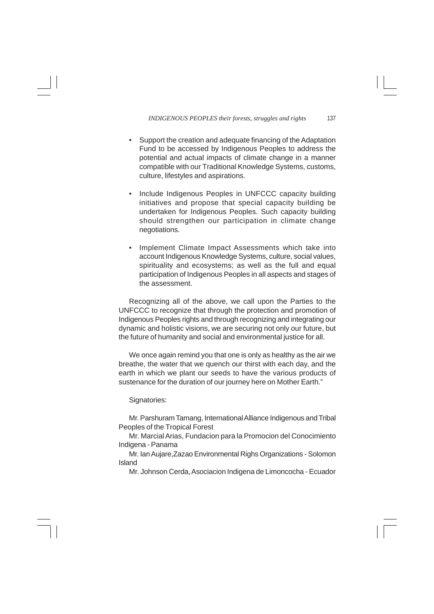- Support the creation and adequate financing of the Adaptation Fund to be accessed by Indigenous Peoples to address the potential and actual impacts of climate change in a manner compatible with our Traditional Knowledge Systems, customs, culture, lifestyles and aspirations.
- Include Indigenous Peoples in UNFCCC capacity building initiatives and propose that special capacity building be undertaken for Indigenous Peoples. Such capacity building should strengthen our participation in climate change negotiations.
- Implement Climate Impact Assessments which take into account Indigenous Knowledge Systems, culture, social values, spirituality and ecosystems; as well as the full and equal participation of Indigenous Peoples in all aspects and stages of the assessment.

Recognizing all of the above, we call upon the Parties to the UNFCCC to recognize that through the protection and promotion of Indigenous Peoples rights and through recognizing and integrating our dynamic and holistic visions, we are securing not only our future, but the future of humanity and social and environmental justice for all.

We once again remind you that one is only as healthy as the air we breathe, the water that we quench our thirst with each day, and the earth in which we plant our seeds to have the various products of sustenance for the duration of our journey here on Mother Earth."

Signatories:

Mr. Parshuram Tamang, International Alliance Indigenous and Tribal Peoples of the Tropical Forest

Mr. Marcial Arias, Fundacion para la Promocion del Conocimiento Indigena - Panama

Mr. Ian Aujare,Zazao Environmental Righs Organizations - Solomon Island

Mr. Johnson Cerda, Asociacion Indigena de Limoncocha - Ecuador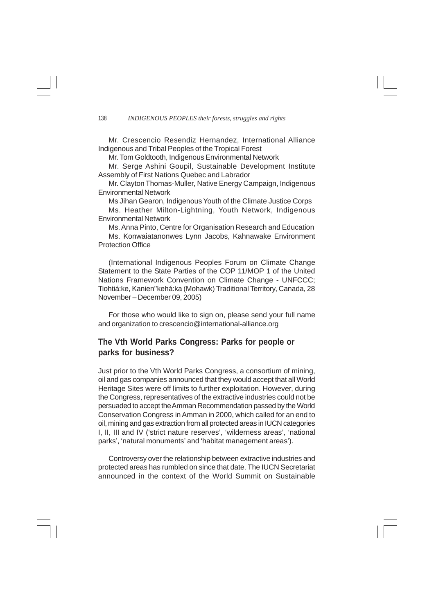Mr. Crescencio Resendiz Hernandez, International Alliance Indigenous and Tribal Peoples of the Tropical Forest

Mr. Tom Goldtooth, Indigenous Environmental Network

Mr. Serge Ashini Goupil, Sustainable Development Institute Assembly of First Nations Quebec and Labrador

Mr. Clayton Thomas-Muller, Native Energy Campaign, Indigenous Environmental Network

Ms Jihan Gearon, Indigenous Youth of the Climate Justice Corps Ms. Heather Milton-Lightning, Youth Network, Indigenous Environmental Network

Ms. Anna Pinto, Centre for Organisation Research and Education Ms. Konwaiatanonwes Lynn Jacobs, Kahnawake Environment Protection Office

(International Indigenous Peoples Forum on Climate Change Statement to the State Parties of the COP 11/MOP 1 of the United Nations Framework Convention on Climate Change - UNFCCC; Tiohtiá:ke, Kanien''kehá:ka (Mohawk) Traditional Territory, Canada, 28 November – December 09, 2005)

For those who would like to sign on, please send your full name and organization to crescencio@international-alliance.org

## **The Vth World Parks Congress: Parks for people or parks for business?**

Just prior to the Vth World Parks Congress, a consortium of mining, oil and gas companies announced that they would accept that all World Heritage Sites were off limits to further exploitation. However, during the Congress, representatives of the extractive industries could not be persuaded to accept the Amman Recommendation passed by the World Conservation Congress in Amman in 2000, which called for an end to oil, mining and gas extraction from all protected areas in IUCN categories I, II, III and IV ('strict nature reserves', 'wilderness areas', 'national parks', 'natural monuments' and 'habitat management areas').

Controversy over the relationship between extractive industries and protected areas has rumbled on since that date. The IUCN Secretariat announced in the context of the World Summit on Sustainable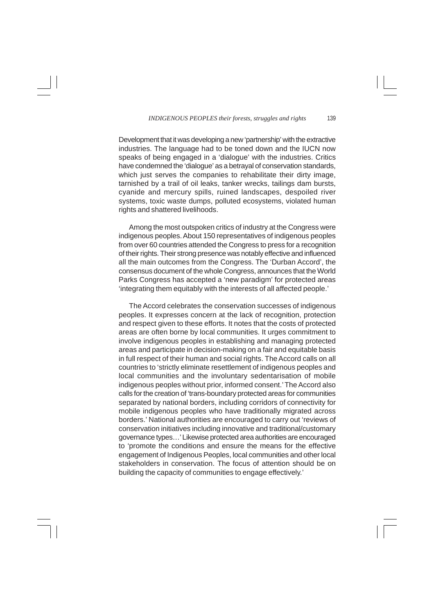Development that it was developing a new 'partnership' with the extractive industries. The language had to be toned down and the IUCN now speaks of being engaged in a 'dialogue' with the industries. Critics have condemned the 'dialogue' as a betrayal of conservation standards, which just serves the companies to rehabilitate their dirty image, tarnished by a trail of oil leaks, tanker wrecks, tailings dam bursts, cyanide and mercury spills, ruined landscapes, despoiled river systems, toxic waste dumps, polluted ecosystems, violated human rights and shattered livelihoods.

Among the most outspoken critics of industry at the Congress were indigenous peoples. About 150 representatives of indigenous peoples from over 60 countries attended the Congress to press for a recognition of their rights. Their strong presence was notably effective and influenced all the main outcomes from the Congress. The 'Durban Accord', the consensus document of the whole Congress, announces that the World Parks Congress has accepted a 'new paradigm' for protected areas 'integrating them equitably with the interests of all affected people.'

The Accord celebrates the conservation successes of indigenous peoples. It expresses concern at the lack of recognition, protection and respect given to these efforts. It notes that the costs of protected areas are often borne by local communities. It urges commitment to involve indigenous peoples in establishing and managing protected areas and participate in decision-making on a fair and equitable basis in full respect of their human and social rights. The Accord calls on all countries to 'strictly eliminate resettlement of indigenous peoples and local communities and the involuntary sedentarisation of mobile indigenous peoples without prior, informed consent.' The Accord also calls for the creation of 'trans-boundary protected areas for communities separated by national borders, including corridors of connectivity for mobile indigenous peoples who have traditionally migrated across borders.' National authorities are encouraged to carry out 'reviews of conservation initiatives including innovative and traditional/customary governance types…' Likewise protected area authorities are encouraged to 'promote the conditions and ensure the means for the effective engagement of Indigenous Peoples, local communities and other local stakeholders in conservation. The focus of attention should be on building the capacity of communities to engage effectively.'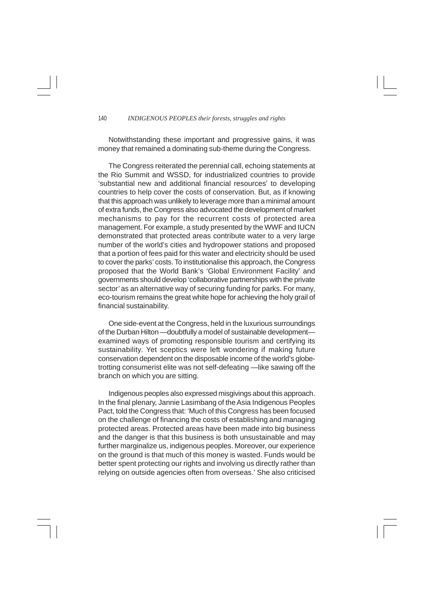Notwithstanding these important and progressive gains, it was money that remained a dominating sub-theme during the Congress.

The Congress reiterated the perennial call, echoing statements at the Rio Summit and WSSD, for industrialized countries to provide 'substantial new and additional financial resources' to developing countries to help cover the costs of conservation. But, as if knowing that this approach was unlikely to leverage more than a minimal amount of extra funds, the Congress also advocated the development of market mechanisms to pay for the recurrent costs of protected area management. For example, a study presented by the WWF and IUCN demonstrated that protected areas contribute water to a very large number of the world's cities and hydropower stations and proposed that a portion of fees paid for this water and electricity should be used to cover the parks' costs. To institutionalise this approach, the Congress proposed that the World Bank's 'Global Environment Facility' and governments should develop 'collaborative partnerships with the private sector' as an alternative way of securing funding for parks. For many, eco-tourism remains the great white hope for achieving the holy grail of financial sustainability.

One side-event at the Congress, held in the luxurious surroundings of the Durban Hilton —doubtfully a model of sustainable development examined ways of promoting responsible tourism and certifying its sustainability. Yet sceptics were left wondering if making future conservation dependent on the disposable income of the world's globetrotting consumerist elite was not self-defeating —like sawing off the branch on which you are sitting.

Indigenous peoples also expressed misgivings about this approach. In the final plenary, Jannie Lasimbang of the Asia Indigenous Peoples Pact, told the Congress that: 'Much of this Congress has been focused on the challenge of financing the costs of establishing and managing protected areas. Protected areas have been made into big business and the danger is that this business is both unsustainable and may further marginalize us, indigenous peoples. Moreover, our experience on the ground is that much of this money is wasted. Funds would be better spent protecting our rights and involving us directly rather than relying on outside agencies often from overseas.' She also criticised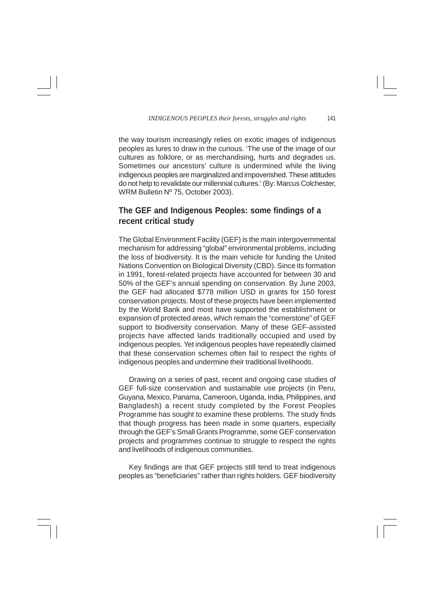the way tourism increasingly relies on exotic images of indigenous peoples as lures to draw in the curious. 'The use of the image of our cultures as folklore, or as merchandising, hurts and degrades us. Sometimes our ancestors' culture is undermined while the living indigenous peoples are marginalized and impoverished. These attitudes do not help to revalidate our millennial cultures.' (By: Marcus Colchester, WRM Bulletin Nº 75, October 2003).

## **The GEF and Indigenous Peoples: some findings of a recent critical study**

The Global Environment Facility (GEF) is the main intergovernmental mechanism for addressing "global" environmental problems, including the loss of biodiversity. It is the main vehicle for funding the United Nations Convention on Biological Diversity (CBD). Since its formation in 1991, forest-related projects have accounted for between 30 and 50% of the GEF's annual spending on conservation. By June 2003, the GEF had allocated \$778 million USD in grants for 150 forest conservation projects. Most of these projects have been implemented by the World Bank and most have supported the establishment or expansion of protected areas, which remain the "cornerstone" of GEF support to biodiversity conservation. Many of these GEF-assisted projects have affected lands traditionally occupied and used by indigenous peoples. Yet indigenous peoples have repeatedly claimed that these conservation schemes often fail to respect the rights of indigenous peoples and undermine their traditional livelihoods.

Drawing on a series of past, recent and ongoing case studies of GEF full-size conservation and sustainable use projects (in Peru, Guyana, Mexico, Panama, Cameroon, Uganda, India, Philippines, and Bangladesh) a recent study completed by the Forest Peoples Programme has sought to examine these problems. The study finds that though progress has been made in some quarters, especially through the GEF's Small Grants Programme, some GEF conservation projects and programmes continue to struggle to respect the rights and livelihoods of indigenous communities.

Key findings are that GEF projects still tend to treat indigenous peoples as "beneficiaries" rather than rights holders. GEF biodiversity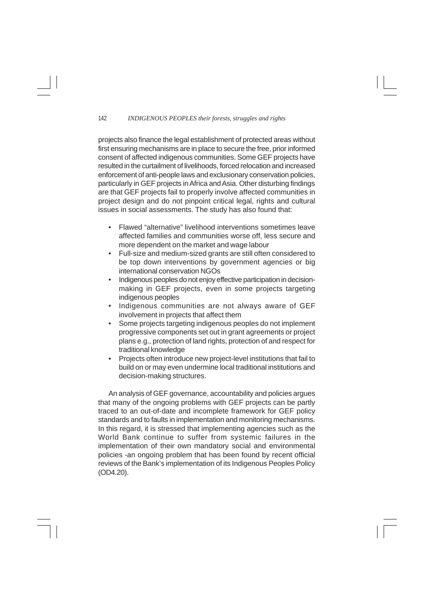projects also finance the legal establishment of protected areas without first ensuring mechanisms are in place to secure the free, prior informed consent of affected indigenous communities. Some GEF projects have resulted in the curtailment of livelihoods, forced relocation and increased enforcement of anti-people laws and exclusionary conservation policies, particularly in GEF projects in Africa and Asia. Other disturbing findings are that GEF projects fail to properly involve affected communities in project design and do not pinpoint critical legal, rights and cultural issues in social assessments. The study has also found that:

- Flawed "alternative" livelihood interventions sometimes leave affected families and communities worse off, less secure and more dependent on the market and wage labour
- Full-size and medium-sized grants are still often considered to be top down interventions by government agencies or big international conservation NGOs
- Indigenous peoples do not enjoy effective participation in decisionmaking in GEF projects, even in some projects targeting indigenous peoples
- Indigenous communities are not always aware of GEF involvement in projects that affect them
- Some projects targeting indigenous peoples do not implement progressive components set out in grant agreements or project plans e.g., protection of land rights, protection of and respect for traditional knowledge
- Projects often introduce new project-level institutions that fail to build on or may even undermine local traditional institutions and decision-making structures.

An analysis of GEF governance, accountability and policies argues that many of the ongoing problems with GEF projects can be partly traced to an out-of-date and incomplete framework for GEF policy standards and to faults in implementation and monitoring mechanisms. In this regard, it is stressed that implementing agencies such as the World Bank continue to suffer from systemic failures in the implementation of their own mandatory social and environmental policies -an ongoing problem that has been found by recent official reviews of the Bank's implementation of its Indigenous Peoples Policy (OD4.20).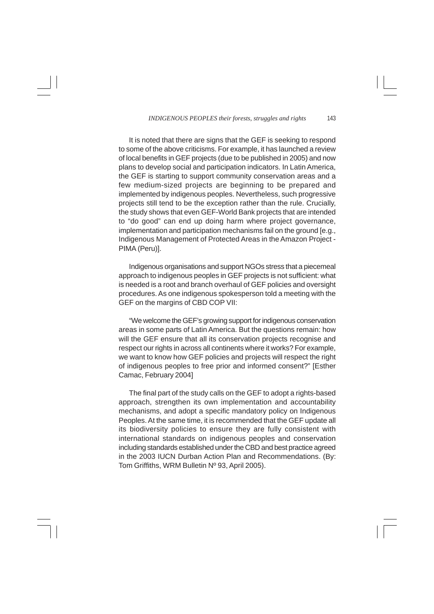It is noted that there are signs that the GEF is seeking to respond to some of the above criticisms. For example, it has launched a review of local benefits in GEF projects (due to be published in 2005) and now plans to develop social and participation indicators. In Latin America, the GEF is starting to support community conservation areas and a few medium-sized projects are beginning to be prepared and implemented by indigenous peoples. Nevertheless, such progressive projects still tend to be the exception rather than the rule. Crucially, the study shows that even GEF-World Bank projects that are intended to "do good" can end up doing harm where project governance, implementation and participation mechanisms fail on the ground [e.g., Indigenous Management of Protected Areas in the Amazon Project - PIMA (Peru)].

Indigenous organisations and support NGOs stress that a piecemeal approach to indigenous peoples in GEF projects is not sufficient: what is needed is a root and branch overhaul of GEF policies and oversight procedures. As one indigenous spokesperson told a meeting with the GEF on the margins of CBD COP VII:

"We welcome the GEF's growing support for indigenous conservation areas in some parts of Latin America. But the questions remain: how will the GEF ensure that all its conservation projects recognise and respect our rights in across all continents where it works? For example, we want to know how GEF policies and projects will respect the right of indigenous peoples to free prior and informed consent?" [Esther Camac, February 2004]

The final part of the study calls on the GEF to adopt a rights-based approach, strengthen its own implementation and accountability mechanisms, and adopt a specific mandatory policy on Indigenous Peoples. At the same time, it is recommended that the GEF update all its biodiversity policies to ensure they are fully consistent with international standards on indigenous peoples and conservation including standards established under the CBD and best practice agreed in the 2003 IUCN Durban Action Plan and Recommendations. (By: Tom Griffiths, WRM Bulletin Nº 93, April 2005).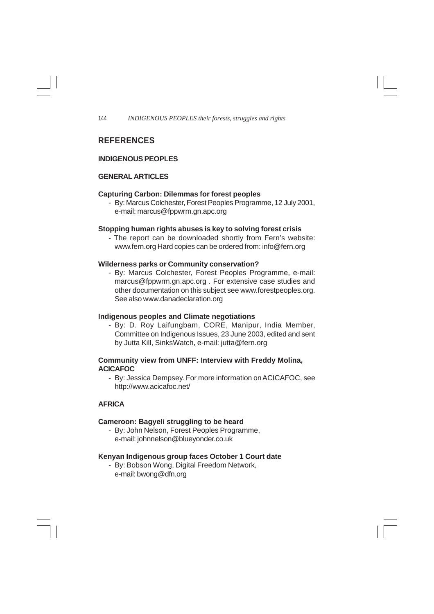# **REFERENCES**

## **INDIGENOUS PEOPLES**

## **GENERAL ARTICLES**

#### **Capturing Carbon: Dilemmas for forest peoples**

- By: Marcus Colchester, Forest Peoples Programme, 12 July 2001, e-mail: marcus@fppwrm.gn.apc.org

#### **Stopping human rights abuses is key to solving forest crisis**

- The report can be downloaded shortly from Fern's website: www.fern.org Hard copies can be ordered from: info@fern.org

#### **Wilderness parks or Community conservation?**

- By: Marcus Colchester, Forest Peoples Programme, e-mail: marcus@fppwrm.gn.apc.org . For extensive case studies and other documentation on this subject see www.forestpeoples.org. See also www.danadeclaration.org

### **Indigenous peoples and Climate negotiations**

- By: D. Roy Laifungbam, CORE, Manipur, India Member, Committee on Indigenous Issues, 23 June 2003, edited and sent by Jutta Kill, SinksWatch, e-mail: jutta@fern.org

## **Community view from UNFF: Interview with Freddy Molina, ACICAFOC**

- By: Jessica Dempsey. For more information on ACICAFOC, see http://www.acicafoc.net/

## **AFRICA**

### **Cameroon: Bagyeli struggling to be heard**

- By: John Nelson, Forest Peoples Programme, e-mail: johnnelson@blueyonder.co.uk

#### **Kenyan Indigenous group faces October 1 Court date**

- By: Bobson Wong, Digital Freedom Network, e-mail: bwong@dfn.org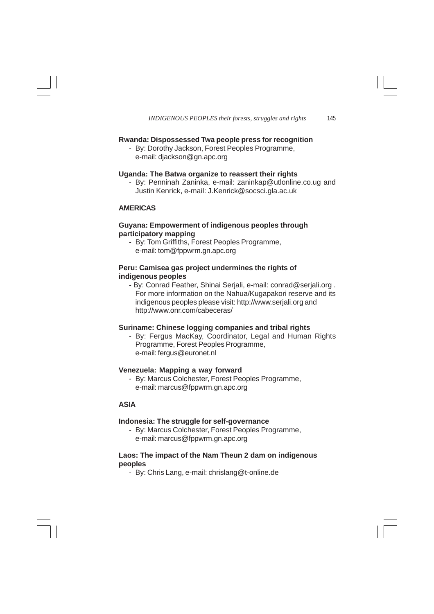# **Rwanda: Dispossessed Twa people press for recognition**

- By: Dorothy Jackson, Forest Peoples Programme, e-mail: djackson@gn.apc.org

#### **Uganda: The Batwa organize to reassert their rights**

- By: Penninah Zaninka, e-mail: zaninkap@utlonline.co.ug and Justin Kenrick, e-mail: J.Kenrick@socsci.gla.ac.uk

#### **AMERICAS**

# **Guyana: Empowerment of indigenous peoples through participatory mapping**

- By: Tom Griffiths, Forest Peoples Programme, e-mail: tom@fppwrm.gn.apc.org

## **Peru: Camisea gas project undermines the rights of indigenous peoples**

- By: Conrad Feather, Shinai Serjali, e-mail: conrad@serjali.org . For more information on the Nahua/Kugapakori reserve and its indigenous peoples please visit: http://www.serjali.org and http://www.onr.com/cabeceras/

#### **Suriname: Chinese logging companies and tribal rights**

- By: Fergus MacKay, Coordinator, Legal and Human Rights Programme, Forest Peoples Programme, e-mail: fergus@euronet.nl

#### **Venezuela: Mapping a way forward**

- By: Marcus Colchester, Forest Peoples Programme,
	- e-mail: marcus@fppwrm.gn.apc.org

# **ASIA**

#### **Indonesia: The struggle for self-governance**

- By: Marcus Colchester, Forest Peoples Programme, e-mail: marcus@fppwrm.gn.apc.org

#### **Laos: The impact of the Nam Theun 2 dam on indigenous peoples**

- By: Chris Lang, e-mail: chrislang@t-online.de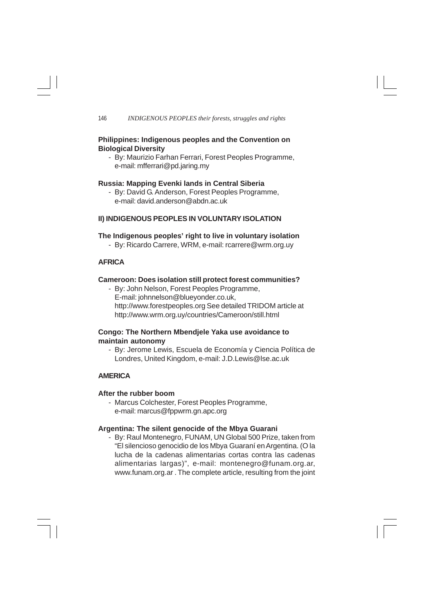#### 146 *INDIGENOUS PEOPLES their forests, struggles and rights*

# **Philippines: Indigenous peoples and the Convention on Biological Diversity**

- By: Maurizio Farhan Ferrari, Forest Peoples Programme, e-mail: mfferrari@pd.jaring.my

#### **Russia: Mapping Evenki lands in Central Siberia**

- By: David G. Anderson, Forest Peoples Programme, e-mail: david.anderson@abdn.ac.uk

## **II) INDIGENOUS PEOPLES IN VOLUNTARY ISOLATION**

## **The Indigenous peoples' right to live in voluntary isolation**

- By: Ricardo Carrere, WRM, e-mail: rcarrere@wrm.org.uy

#### **AFRICA**

#### **Cameroon: Does isolation still protect forest communities?**

- By: John Nelson, Forest Peoples Programme, E-mail: johnnelson@blueyonder.co.uk, http://www.forestpeoples.org See detailed TRIDOM article at http://www.wrm.org.uy/countries/Cameroon/still.html

## **Congo: The Northern Mbendjele Yaka use avoidance to maintain autonomy**

- By: Jerome Lewis, Escuela de Economía y Ciencia Política de Londres, United Kingdom, e-mail: J.D.Lewis@lse.ac.uk

# **AMERICA**

#### **After the rubber boom**

- Marcus Colchester, Forest Peoples Programme, e-mail: marcus@fppwrm.gn.apc.org

## **Argentina: The silent genocide of the Mbya Guarani**

- By: Raul Montenegro, FUNAM, UN Global 500 Prize, taken from "El silencioso genocidio de los Mbya Guaraní en Argentina. (O la lucha de la cadenas alimentarias cortas contra las cadenas alimentarias largas)", e-mail: montenegro@funam.org.ar, www.funam.org.ar . The complete article, resulting from the joint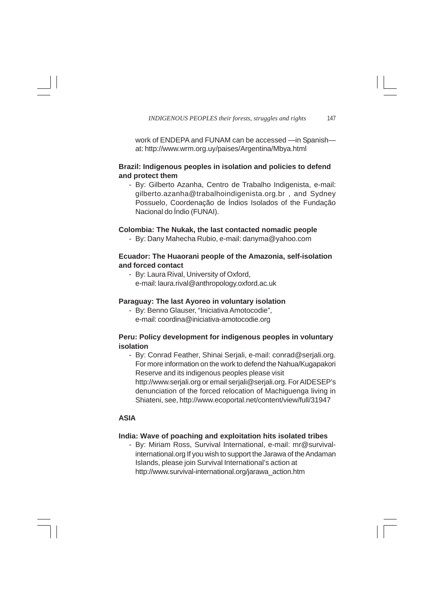work of ENDEPA and FUNAM can be accessed —in Spanish at: http://www.wrm.org.uy/paises/Argentina/Mbya.html

## **Brazil: Indigenous peoples in isolation and policies to defend and protect them**

- By: Gilberto Azanha, Centro de Trabalho Indigenista, e-mail: gilberto.azanha@trabalhoindigenista.org.br , and Sydney Possuelo, Coordenação de Índios Isolados of the Fundação Nacional do Índio (FUNAI).

## **Colombia: The Nukak, the last contacted nomadic people**

- By: Dany Mahecha Rubio, e-mail: danyma@yahoo.com

## **Ecuador: The Huaorani people of the Amazonia, self-isolation and forced contact**

- By: Laura Rival, University of Oxford, e-mail: laura.rival@anthropology.oxford.ac.uk

#### **Paraguay: The last Ayoreo in voluntary isolation**

- By: Benno Glauser, "Iniciativa Amotocodie", e-mail: coordina@iniciativa-amotocodie.org

## **Peru: Policy development for indigenous peoples in voluntary isolation**

- By: Conrad Feather, Shinai Serjali, e-mail: conrad@serjali.org. For more information on the work to defend the Nahua/Kugapakori Reserve and its indigenous peoples please visit http://www.serjali.org or email serjali@serjali.org. For AIDESEP's denunciation of the forced relocation of Machiguenga living in Shiateni, see, http://www.ecoportal.net/content/view/full/31947

#### **ASIA**

## **India: Wave of poaching and exploitation hits isolated tribes**

- By: Miriam Ross, Survival International, e-mail: mr@survivalinternational.org If you wish to support the Jarawa of the Andaman Islands, please join Survival International's action at http://www.survival-international.org/jarawa\_action.htm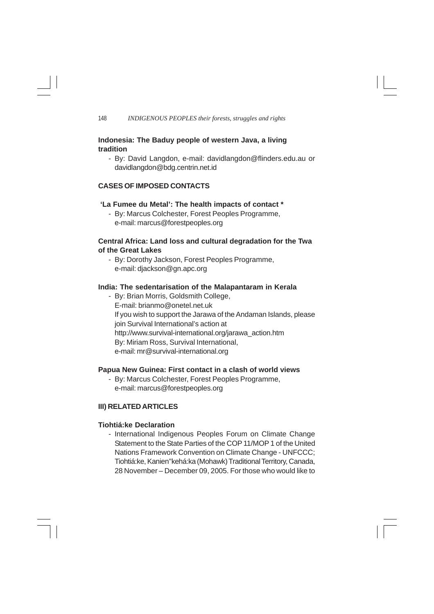#### 148 *INDIGENOUS PEOPLES their forests, struggles and rights*

# **Indonesia: The Baduy people of western Java, a living tradition**

- By: David Langdon, e-mail: davidlangdon@flinders.edu.au or davidlangdon@bdg.centrin.net.id

## **CASES OF IMPOSED CONTACTS**

- **'La Fumee du Metal': The health impacts of contact \***
	- By: Marcus Colchester, Forest Peoples Programme, e-mail: marcus@forestpeoples.org

# **Central Africa: Land loss and cultural degradation for the Twa of the Great Lakes**

- By: Dorothy Jackson, Forest Peoples Programme, e-mail: djackson@gn.apc.org

#### **India: The sedentarisation of the Malapantaram in Kerala**

- By: Brian Morris, Goldsmith College, E-mail: brianmo@onetel.net.uk If you wish to support the Jarawa of the Andaman Islands, please join Survival International's action at http://www.survival-international.org/jarawa\_action.htm By: Miriam Ross, Survival International, e-mail: mr@survival-international.org

### **Papua New Guinea: First contact in a clash of world views**

- By: Marcus Colchester, Forest Peoples Programme, e-mail: marcus@forestpeoples.org

# **III) RELATED ARTICLES**

#### **Tiohtiá:ke Declaration**

- International Indigenous Peoples Forum on Climate Change Statement to the State Parties of the COP 11/MOP 1 of the United Nations Framework Convention on Climate Change - UNFCCC; Tiohtiá:ke, Kanien''kehá:ka (Mohawk) Traditional Territory, Canada, 28 November – December 09, 2005. For those who would like to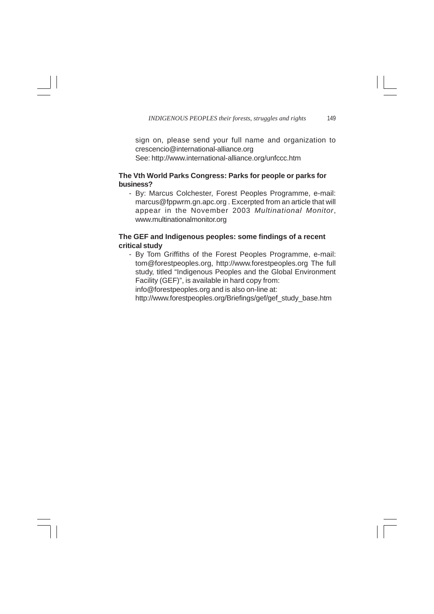sign on, please send your full name and organization to crescencio@international-alliance.org See: http://www.international-alliance.org/unfccc.htm

## **The Vth World Parks Congress: Parks for people or parks for business?**

- By: Marcus Colchester, Forest Peoples Programme, e-mail: marcus@fppwrm.gn.apc.org . Excerpted from an article that will appear in the November 2003 *Multinational Monitor*, www.multinationalmonitor.org

## **The GEF and Indigenous peoples: some findings of a recent critical study**

- By Tom Griffiths of the Forest Peoples Programme, e-mail: tom@forestpeoples.org, http://www.forestpeoples.org The full study, titled "Indigenous Peoples and the Global Environment Facility (GEF)", is available in hard copy from: info@forestpeoples.org and is also on-line at:

http://www.forestpeoples.org/Briefings/gef/gef\_study\_base.htm